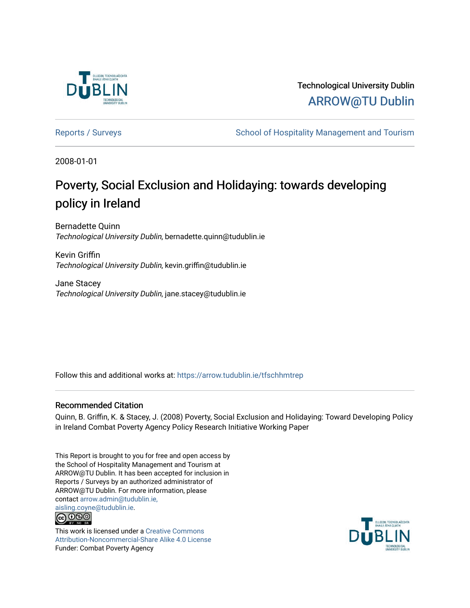

## Technological University Dublin [ARROW@TU Dublin](https://arrow.tudublin.ie/)

[Reports / Surveys](https://arrow.tudublin.ie/tfschhmtrep) **School of Hospitality Management and Tourism** 

2008-01-01

# Poverty, Social Exclusion and Holidaying: towards developing policy in Ireland

Bernadette Quinn Technological University Dublin, bernadette.quinn@tudublin.ie

Kevin Griffin Technological University Dublin, kevin.griffin@tudublin.ie

Jane Stacey Technological University Dublin, jane.stacey@tudublin.ie

Follow this and additional works at: [https://arrow.tudublin.ie/tfschhmtrep](https://arrow.tudublin.ie/tfschhmtrep?utm_source=arrow.tudublin.ie%2Ftfschhmtrep%2F5&utm_medium=PDF&utm_campaign=PDFCoverPages)

#### Recommended Citation

Quinn, B. Griffin, K. & Stacey, J. (2008) Poverty, Social Exclusion and Holidaying: Toward Developing Policy in Ireland Combat Poverty Agency Policy Research Initiative Working Paper

This Report is brought to you for free and open access by the School of Hospitality Management and Tourism at ARROW@TU Dublin. It has been accepted for inclusion in Reports / Surveys by an authorized administrator of ARROW@TU Dublin. For more information, please contact [arrow.admin@tudublin.ie,](mailto:arrow.admin@tudublin.ie,%20aisling.coyne@tudublin.ie)  [aisling.coyne@tudublin.ie.](mailto:arrow.admin@tudublin.ie,%20aisling.coyne@tudublin.ie)



This work is licensed under a [Creative Commons](http://creativecommons.org/licenses/by-nc-sa/4.0/) [Attribution-Noncommercial-Share Alike 4.0 License](http://creativecommons.org/licenses/by-nc-sa/4.0/) Funder: Combat Poverty Agency

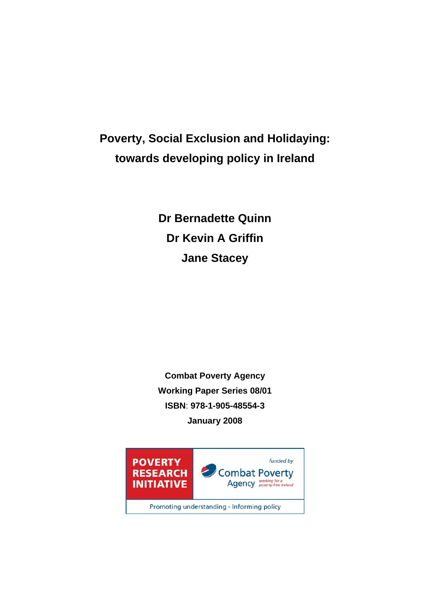# **Poverty, Social Exclusion and Holidaying: towards developing policy in Ireland**

**Dr Bernadette Quinn Dr Kevin A Griffin Jane Stacey** 

**Combat Poverty Agency Working Paper Series 08/01 ISBN**: **978-1-905-48554-3 January 2008** 

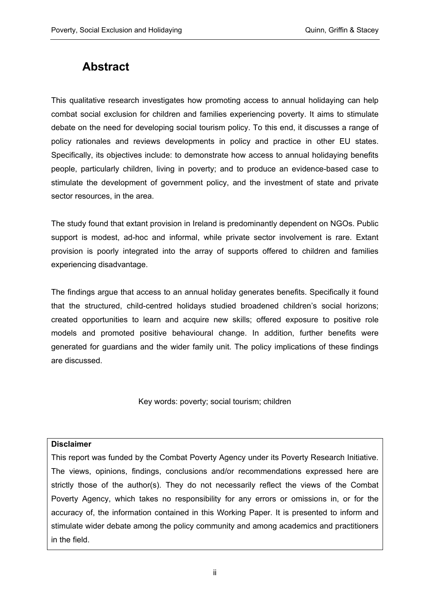# **Abstract**

This qualitative research investigates how promoting access to annual holidaying can help combat social exclusion for children and families experiencing poverty. It aims to stimulate debate on the need for developing social tourism policy. To this end, it discusses a range of policy rationales and reviews developments in policy and practice in other EU states. Specifically, its objectives include: to demonstrate how access to annual holidaying benefits people, particularly children, living in poverty; and to produce an evidence-based case to stimulate the development of government policy, and the investment of state and private sector resources, in the area.

The study found that extant provision in Ireland is predominantly dependent on NGOs. Public support is modest, ad-hoc and informal, while private sector involvement is rare. Extant provision is poorly integrated into the array of supports offered to children and families experiencing disadvantage.

The findings argue that access to an annual holiday generates benefits. Specifically it found that the structured, child-centred holidays studied broadened children's social horizons; created opportunities to learn and acquire new skills; offered exposure to positive role models and promoted positive behavioural change. In addition, further benefits were generated for guardians and the wider family unit. The policy implications of these findings are discussed.

Key words: poverty; social tourism; children

#### **Disclaimer**

This report was funded by the Combat Poverty Agency under its Poverty Research Initiative. The views, opinions, findings, conclusions and/or recommendations expressed here are strictly those of the author(s). They do not necessarily reflect the views of the Combat Poverty Agency, which takes no responsibility for any errors or omissions in, or for the accuracy of, the information contained in this Working Paper. It is presented to inform and stimulate wider debate among the policy community and among academics and practitioners in the field.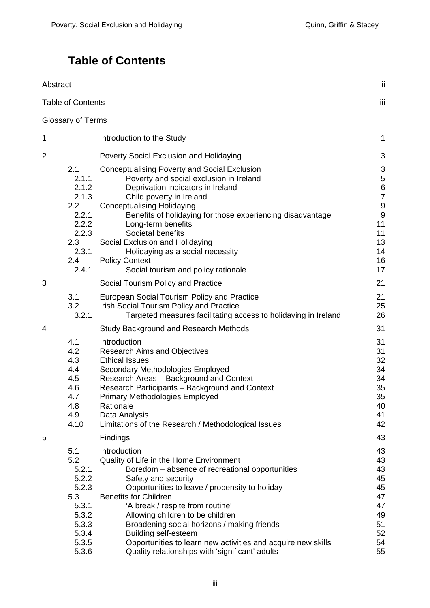# **Table of Contents**

| Abstract                 |                                                                                                    |                                                                                                                                                                                                                                                                                                                                                                                                                                                                                              | ij                                                                                       |  |  |
|--------------------------|----------------------------------------------------------------------------------------------------|----------------------------------------------------------------------------------------------------------------------------------------------------------------------------------------------------------------------------------------------------------------------------------------------------------------------------------------------------------------------------------------------------------------------------------------------------------------------------------------------|------------------------------------------------------------------------------------------|--|--|
| <b>Table of Contents</b> |                                                                                                    |                                                                                                                                                                                                                                                                                                                                                                                                                                                                                              |                                                                                          |  |  |
|                          | <b>Glossary of Terms</b>                                                                           |                                                                                                                                                                                                                                                                                                                                                                                                                                                                                              |                                                                                          |  |  |
| 1                        |                                                                                                    | Introduction to the Study                                                                                                                                                                                                                                                                                                                                                                                                                                                                    | 1                                                                                        |  |  |
| $\overline{2}$           |                                                                                                    | Poverty Social Exclusion and Holidaying                                                                                                                                                                                                                                                                                                                                                                                                                                                      | 3                                                                                        |  |  |
|                          | 2.1<br>2.1.1<br>2.1.2<br>2.1.3<br>2.2<br>2.2.1<br>2.2.2<br>2.2.3<br>2.3<br>2.3.1<br>2.4<br>2.4.1   | Conceptualising Poverty and Social Exclusion<br>Poverty and social exclusion in Ireland<br>Deprivation indicators in Ireland<br>Child poverty in Ireland<br><b>Conceptualising Holidaying</b><br>Benefits of holidaying for those experiencing disadvantage<br>Long-term benefits<br>Societal benefits<br>Social Exclusion and Holidaying<br>Holidaying as a social necessity<br><b>Policy Context</b><br>Social tourism and policy rationale                                                | 3<br>5<br>$\overline{6}$<br>$\overline{7}$<br>9<br>9<br>11<br>11<br>13<br>14<br>16<br>17 |  |  |
| 3                        |                                                                                                    | Social Tourism Policy and Practice                                                                                                                                                                                                                                                                                                                                                                                                                                                           | 21                                                                                       |  |  |
|                          | 3.1<br>3.2<br>3.2.1                                                                                | European Social Tourism Policy and Practice<br><b>Irish Social Tourism Policy and Practice</b><br>Targeted measures facilitating access to holidaying in Ireland                                                                                                                                                                                                                                                                                                                             | 21<br>25<br>26                                                                           |  |  |
| 4                        |                                                                                                    | <b>Study Background and Research Methods</b>                                                                                                                                                                                                                                                                                                                                                                                                                                                 | 31                                                                                       |  |  |
|                          | 4.1<br>4.2<br>4.3<br>4.4<br>4.5<br>4.6<br>4.7<br>4.8<br>4.9<br>4.10                                | Introduction<br><b>Research Aims and Objectives</b><br><b>Ethical Issues</b><br>Secondary Methodologies Employed<br>Research Areas - Background and Context<br>Research Participants - Background and Context<br><b>Primary Methodologies Employed</b><br>Rationale<br>Data Analysis<br>Limitations of the Research / Methodological Issues                                                                                                                                                  | 31<br>31<br>32<br>34<br>34<br>35<br>35<br>40<br>41<br>42                                 |  |  |
| 5                        |                                                                                                    | Findings                                                                                                                                                                                                                                                                                                                                                                                                                                                                                     | 43                                                                                       |  |  |
|                          | 5.1<br>5.2<br>5.2.1<br>5.2.2<br>5.2.3<br>5.3<br>5.3.1<br>5.3.2<br>5.3.3<br>5.3.4<br>5.3.5<br>5.3.6 | Introduction<br>Quality of Life in the Home Environment<br>Boredom - absence of recreational opportunities<br>Safety and security<br>Opportunities to leave / propensity to holiday<br><b>Benefits for Children</b><br>'A break / respite from routine'<br>Allowing children to be children<br>Broadening social horizons / making friends<br><b>Building self-esteem</b><br>Opportunities to learn new activities and acquire new skills<br>Quality relationships with 'significant' adults | 43<br>43<br>43<br>45<br>45<br>47<br>47<br>49<br>51<br>52<br>54<br>55                     |  |  |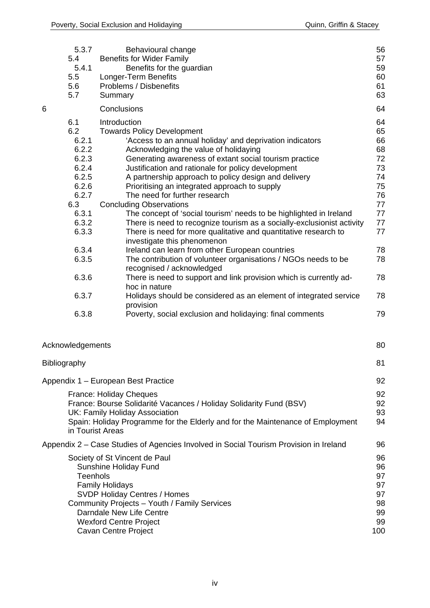|                                                                                                                                                                                                                                                                                               | 5.3.7<br>5.4<br>5.4.1<br>5.5<br>5.6<br>5.7                                                                                                               | Behavioural change<br><b>Benefits for Wider Family</b><br>Benefits for the guardian<br>Longer-Term Benefits<br>Problems / Disbenefits<br>Summary                                                                                                                                                                                                                                                                                                                                                                                                                                                                                                                                                                                                                                                                                                                                                                                                                                                                                                                                            | 56<br>57<br>59<br>60<br>61<br>63                                                                         |  |
|-----------------------------------------------------------------------------------------------------------------------------------------------------------------------------------------------------------------------------------------------------------------------------------------------|----------------------------------------------------------------------------------------------------------------------------------------------------------|---------------------------------------------------------------------------------------------------------------------------------------------------------------------------------------------------------------------------------------------------------------------------------------------------------------------------------------------------------------------------------------------------------------------------------------------------------------------------------------------------------------------------------------------------------------------------------------------------------------------------------------------------------------------------------------------------------------------------------------------------------------------------------------------------------------------------------------------------------------------------------------------------------------------------------------------------------------------------------------------------------------------------------------------------------------------------------------------|----------------------------------------------------------------------------------------------------------|--|
| 6                                                                                                                                                                                                                                                                                             |                                                                                                                                                          | Conclusions                                                                                                                                                                                                                                                                                                                                                                                                                                                                                                                                                                                                                                                                                                                                                                                                                                                                                                                                                                                                                                                                                 | 64                                                                                                       |  |
|                                                                                                                                                                                                                                                                                               | 6.1<br>6.2<br>6.2.1<br>6.2.2<br>6.2.3<br>6.2.4<br>6.2.5<br>6.2.6<br>6.2.7<br>6.3<br>6.3.1<br>6.3.2<br>6.3.3<br>6.3.4<br>6.3.5<br>6.3.6<br>6.3.7<br>6.3.8 | Introduction<br><b>Towards Policy Development</b><br>'Access to an annual holiday' and deprivation indicators<br>Acknowledging the value of holidaying<br>Generating awareness of extant social tourism practice<br>Justification and rationale for policy development<br>A partnership approach to policy design and delivery<br>Prioritising an integrated approach to supply<br>The need for further research<br><b>Concluding Observations</b><br>The concept of 'social tourism' needs to be highlighted in Ireland<br>There is need to recognize tourism as a socially-exclusionist activity<br>There is need for more qualitative and quantitative research to<br>investigate this phenomenon<br>Ireland can learn from other European countries<br>The contribution of volunteer organisations / NGOs needs to be<br>recognised / acknowledged<br>There is need to support and link provision which is currently ad-<br>hoc in nature<br>Holidays should be considered as an element of integrated service<br>provision<br>Poverty, social exclusion and holidaying: final comments | 64<br>65<br>66<br>68<br>72<br>73<br>74<br>75<br>76<br>77<br>77<br>77<br>77<br>78<br>78<br>78<br>78<br>79 |  |
|                                                                                                                                                                                                                                                                                               | Acknowledgements                                                                                                                                         |                                                                                                                                                                                                                                                                                                                                                                                                                                                                                                                                                                                                                                                                                                                                                                                                                                                                                                                                                                                                                                                                                             | 80                                                                                                       |  |
|                                                                                                                                                                                                                                                                                               | Bibliography                                                                                                                                             |                                                                                                                                                                                                                                                                                                                                                                                                                                                                                                                                                                                                                                                                                                                                                                                                                                                                                                                                                                                                                                                                                             | 81                                                                                                       |  |
|                                                                                                                                                                                                                                                                                               |                                                                                                                                                          | Appendix 1 - European Best Practice                                                                                                                                                                                                                                                                                                                                                                                                                                                                                                                                                                                                                                                                                                                                                                                                                                                                                                                                                                                                                                                         | 92                                                                                                       |  |
| France: Holiday Cheques<br>France: Bourse Solidarité Vacances / Holiday Solidarity Fund (BSV)<br>UK: Family Holiday Association<br>Spain: Holiday Programme for the Elderly and for the Maintenance of Employment<br>in Tourist Areas                                                         |                                                                                                                                                          |                                                                                                                                                                                                                                                                                                                                                                                                                                                                                                                                                                                                                                                                                                                                                                                                                                                                                                                                                                                                                                                                                             |                                                                                                          |  |
|                                                                                                                                                                                                                                                                                               |                                                                                                                                                          | Appendix 2 – Case Studies of Agencies Involved in Social Tourism Provision in Ireland                                                                                                                                                                                                                                                                                                                                                                                                                                                                                                                                                                                                                                                                                                                                                                                                                                                                                                                                                                                                       | 96                                                                                                       |  |
| Society of St Vincent de Paul<br><b>Sunshine Holiday Fund</b><br><b>Teenhols</b><br><b>Family Holidays</b><br><b>SVDP Holiday Centres / Homes</b><br>Community Projects - Youth / Family Services<br>Darndale New Life Centre<br><b>Wexford Centre Project</b><br><b>Cavan Centre Project</b> |                                                                                                                                                          |                                                                                                                                                                                                                                                                                                                                                                                                                                                                                                                                                                                                                                                                                                                                                                                                                                                                                                                                                                                                                                                                                             |                                                                                                          |  |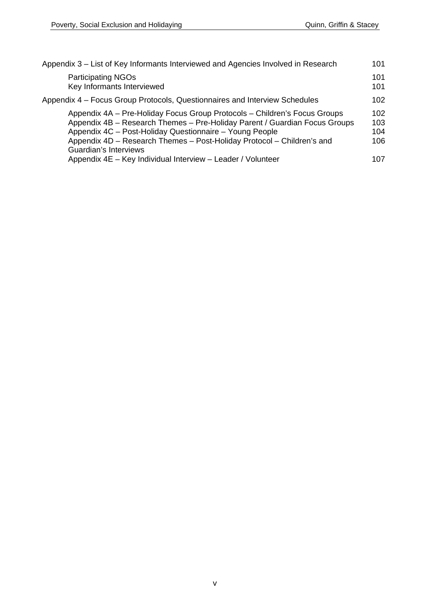| Appendix 3 – List of Key Informants Interviewed and Agencies Involved in Research                                                                                                                                                                                                                                     |                          |
|-----------------------------------------------------------------------------------------------------------------------------------------------------------------------------------------------------------------------------------------------------------------------------------------------------------------------|--------------------------|
| <b>Participating NGOs</b><br>Key Informants Interviewed                                                                                                                                                                                                                                                               | 101<br>101               |
| Appendix 4 - Focus Group Protocols, Questionnaires and Interview Schedules                                                                                                                                                                                                                                            | 102                      |
| Appendix 4A - Pre-Holiday Focus Group Protocols - Children's Focus Groups<br>Appendix 4B - Research Themes - Pre-Holiday Parent / Guardian Focus Groups<br>Appendix 4C - Post-Holiday Questionnaire - Young People<br>Appendix 4D - Research Themes - Post-Holiday Protocol - Children's and<br>Guardian's Interviews | 102<br>103<br>104<br>106 |
| Appendix 4E - Key Individual Interview - Leader / Volunteer                                                                                                                                                                                                                                                           | 107                      |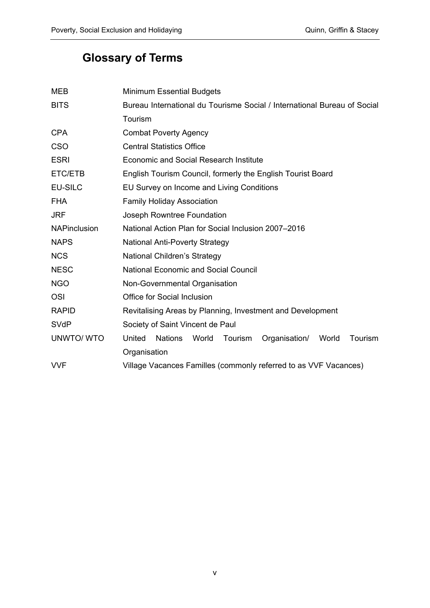# **Glossary of Terms**

| <b>MEB</b>                                                  | <b>Minimum Essential Budgets</b>                                                         |  |  |  |  |
|-------------------------------------------------------------|------------------------------------------------------------------------------------------|--|--|--|--|
| <b>BITS</b>                                                 | Bureau International du Tourisme Social / International Bureau of Social                 |  |  |  |  |
|                                                             | Tourism                                                                                  |  |  |  |  |
| <b>CPA</b>                                                  | <b>Combat Poverty Agency</b>                                                             |  |  |  |  |
| <b>CSO</b>                                                  | <b>Central Statistics Office</b>                                                         |  |  |  |  |
| <b>ESRI</b>                                                 | <b>Economic and Social Research Institute</b>                                            |  |  |  |  |
| ETC/ETB                                                     | English Tourism Council, formerly the English Tourist Board                              |  |  |  |  |
| <b>EU-SILC</b><br>EU Survey on Income and Living Conditions |                                                                                          |  |  |  |  |
| <b>FHA</b>                                                  | <b>Family Holiday Association</b>                                                        |  |  |  |  |
| <b>JRF</b>                                                  | Joseph Rowntree Foundation                                                               |  |  |  |  |
| <b>NAPinclusion</b>                                         | National Action Plan for Social Inclusion 2007-2016                                      |  |  |  |  |
| <b>NAPS</b><br>National Anti-Poverty Strategy               |                                                                                          |  |  |  |  |
| <b>NCS</b>                                                  | National Children's Strategy                                                             |  |  |  |  |
| <b>NESC</b>                                                 | <b>National Economic and Social Council</b>                                              |  |  |  |  |
| <b>NGO</b>                                                  | Non-Governmental Organisation                                                            |  |  |  |  |
| OSI                                                         | <b>Office for Social Inclusion</b>                                                       |  |  |  |  |
| <b>RAPID</b>                                                | Revitalising Areas by Planning, Investment and Development                               |  |  |  |  |
| <b>SVdP</b>                                                 | Society of Saint Vincent de Paul                                                         |  |  |  |  |
| <b>UNWTO/WTO</b>                                            | United<br><b>Nations</b><br><b>Tourism</b><br>World<br>Tourism<br>Organisation/<br>World |  |  |  |  |
|                                                             | Organisation                                                                             |  |  |  |  |
| <b>VVF</b>                                                  | Village Vacances Familles (commonly referred to as VVF Vacances)                         |  |  |  |  |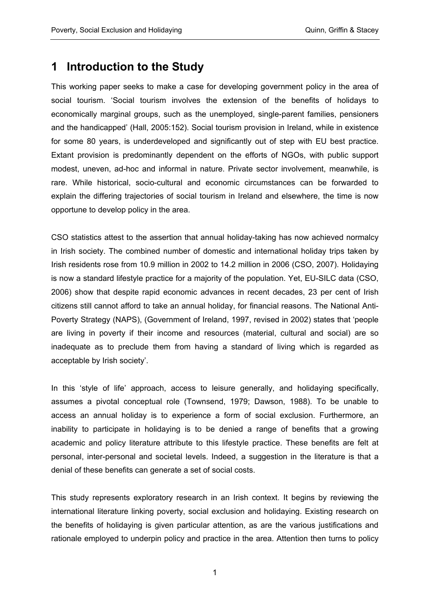## **1 Introduction to the Study**

This working paper seeks to make a case for developing government policy in the area of social tourism. 'Social tourism involves the extension of the benefits of holidays to economically marginal groups, such as the unemployed, single-parent families, pensioners and the handicapped' (Hall, 2005:152). Social tourism provision in Ireland, while in existence for some 80 years, is underdeveloped and significantly out of step with EU best practice. Extant provision is predominantly dependent on the efforts of NGOs, with public support modest, uneven, ad-hoc and informal in nature. Private sector involvement, meanwhile, is rare. While historical, socio-cultural and economic circumstances can be forwarded to explain the differing trajectories of social tourism in Ireland and elsewhere, the time is now opportune to develop policy in the area.

CSO statistics attest to the assertion that annual holiday-taking has now achieved normalcy in Irish society. The combined number of domestic and international holiday trips taken by Irish residents rose from 10.9 million in 2002 to 14.2 million in 2006 (CSO, 2007). Holidaying is now a standard lifestyle practice for a majority of the population. Yet, EU-SILC data (CSO, 2006) show that despite rapid economic advances in recent decades, 23 per cent of Irish citizens still cannot afford to take an annual holiday, for financial reasons. The National Anti-Poverty Strategy (NAPS), (Government of Ireland, 1997, revised in 2002) states that 'people are living in poverty if their income and resources (material, cultural and social) are so inadequate as to preclude them from having a standard of living which is regarded as acceptable by Irish society'.

In this 'style of life' approach, access to leisure generally, and holidaying specifically, assumes a pivotal conceptual role (Townsend, 1979; Dawson, 1988). To be unable to access an annual holiday is to experience a form of social exclusion. Furthermore, an inability to participate in holidaying is to be denied a range of benefits that a growing academic and policy literature attribute to this lifestyle practice. These benefits are felt at personal, inter-personal and societal levels. Indeed, a suggestion in the literature is that a denial of these benefits can generate a set of social costs.

This study represents exploratory research in an Irish context. It begins by reviewing the international literature linking poverty, social exclusion and holidaying. Existing research on the benefits of holidaying is given particular attention, as are the various justifications and rationale employed to underpin policy and practice in the area. Attention then turns to policy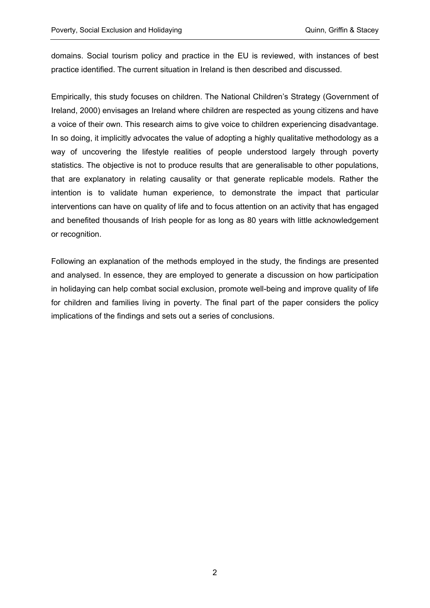domains. Social tourism policy and practice in the EU is reviewed, with instances of best practice identified. The current situation in Ireland is then described and discussed.

Empirically, this study focuses on children. The National Children's Strategy (Government of Ireland, 2000) envisages an Ireland where children are respected as young citizens and have a voice of their own. This research aims to give voice to children experiencing disadvantage. In so doing, it implicitly advocates the value of adopting a highly qualitative methodology as a way of uncovering the lifestyle realities of people understood largely through poverty statistics. The objective is not to produce results that are generalisable to other populations, that are explanatory in relating causality or that generate replicable models. Rather the intention is to validate human experience, to demonstrate the impact that particular interventions can have on quality of life and to focus attention on an activity that has engaged and benefited thousands of Irish people for as long as 80 years with little acknowledgement or recognition.

Following an explanation of the methods employed in the study, the findings are presented and analysed. In essence, they are employed to generate a discussion on how participation in holidaying can help combat social exclusion, promote well-being and improve quality of life for children and families living in poverty. The final part of the paper considers the policy implications of the findings and sets out a series of conclusions.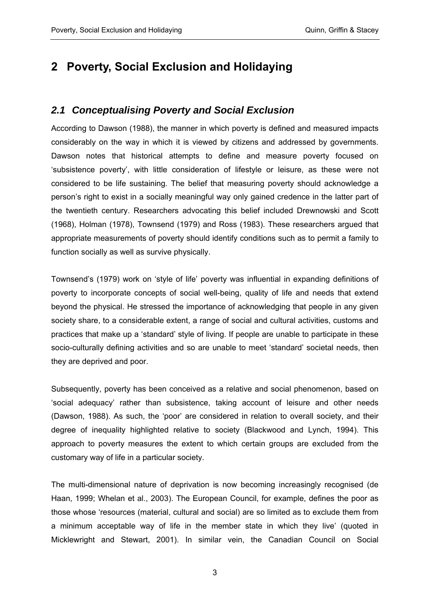## **2 Poverty, Social Exclusion and Holidaying**

## *2.1 Conceptualising Poverty and Social Exclusion*

According to Dawson (1988), the manner in which poverty is defined and measured impacts considerably on the way in which it is viewed by citizens and addressed by governments. Dawson notes that historical attempts to define and measure poverty focused on 'subsistence poverty', with little consideration of lifestyle or leisure, as these were not considered to be life sustaining. The belief that measuring poverty should acknowledge a person's right to exist in a socially meaningful way only gained credence in the latter part of the twentieth century. Researchers advocating this belief included Drewnowski and Scott (1968), Holman (1978), Townsend (1979) and Ross (1983). These researchers argued that appropriate measurements of poverty should identify conditions such as to permit a family to function socially as well as survive physically.

Townsend's (1979) work on 'style of life' poverty was influential in expanding definitions of poverty to incorporate concepts of social well-being, quality of life and needs that extend beyond the physical. He stressed the importance of acknowledging that people in any given society share, to a considerable extent, a range of social and cultural activities, customs and practices that make up a 'standard' style of living. If people are unable to participate in these socio-culturally defining activities and so are unable to meet 'standard' societal needs, then they are deprived and poor.

Subsequently, poverty has been conceived as a relative and social phenomenon, based on 'social adequacy' rather than subsistence, taking account of leisure and other needs (Dawson, 1988). As such, the 'poor' are considered in relation to overall society, and their degree of inequality highlighted relative to society (Blackwood and Lynch, 1994). This approach to poverty measures the extent to which certain groups are excluded from the customary way of life in a particular society.

The multi-dimensional nature of deprivation is now becoming increasingly recognised (de Haan, 1999; Whelan et al., 2003). The European Council, for example, defines the poor as those whose 'resources (material, cultural and social) are so limited as to exclude them from a minimum acceptable way of life in the member state in which they live' (quoted in Micklewright and Stewart, 2001). In similar vein, the Canadian Council on Social

3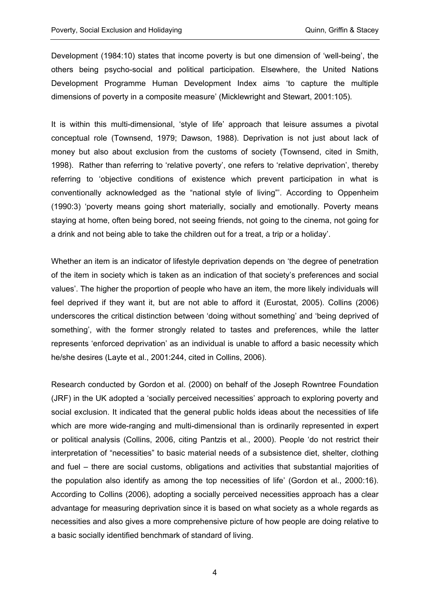Development (1984:10) states that income poverty is but one dimension of 'well-being', the others being psycho-social and political participation. Elsewhere, the United Nations Development Programme Human Development Index aims 'to capture the multiple dimensions of poverty in a composite measure' (Micklewright and Stewart, 2001:105).

It is within this multi-dimensional, 'style of life' approach that leisure assumes a pivotal conceptual role (Townsend, 1979; Dawson, 1988). Deprivation is not just about lack of money but also about exclusion from the customs of society (Townsend, cited in Smith, 1998). Rather than referring to 'relative poverty', one refers to 'relative deprivation', thereby referring to 'objective conditions of existence which prevent participation in what is conventionally acknowledged as the "national style of living"'. According to Oppenheim (1990:3) 'poverty means going short materially, socially and emotionally. Poverty means staying at home, often being bored, not seeing friends, not going to the cinema, not going for a drink and not being able to take the children out for a treat, a trip or a holiday'.

Whether an item is an indicator of lifestyle deprivation depends on 'the degree of penetration of the item in society which is taken as an indication of that society's preferences and social values'. The higher the proportion of people who have an item, the more likely individuals will feel deprived if they want it, but are not able to afford it (Eurostat, 2005). Collins (2006) underscores the critical distinction between 'doing without something' and 'being deprived of something', with the former strongly related to tastes and preferences, while the latter represents 'enforced deprivation' as an individual is unable to afford a basic necessity which he/she desires (Layte et al., 2001:244, cited in Collins, 2006).

Research conducted by Gordon et al. (2000) on behalf of the Joseph Rowntree Foundation (JRF) in the UK adopted a 'socially perceived necessities' approach to exploring poverty and social exclusion. It indicated that the general public holds ideas about the necessities of life which are more wide-ranging and multi-dimensional than is ordinarily represented in expert or political analysis (Collins, 2006, citing Pantzis et al., 2000). People 'do not restrict their interpretation of "necessities" to basic material needs of a subsistence diet, shelter, clothing and fuel – there are social customs, obligations and activities that substantial majorities of the population also identify as among the top necessities of life' (Gordon et al., 2000:16). According to Collins (2006), adopting a socially perceived necessities approach has a clear advantage for measuring deprivation since it is based on what society as a whole regards as necessities and also gives a more comprehensive picture of how people are doing relative to a basic socially identified benchmark of standard of living.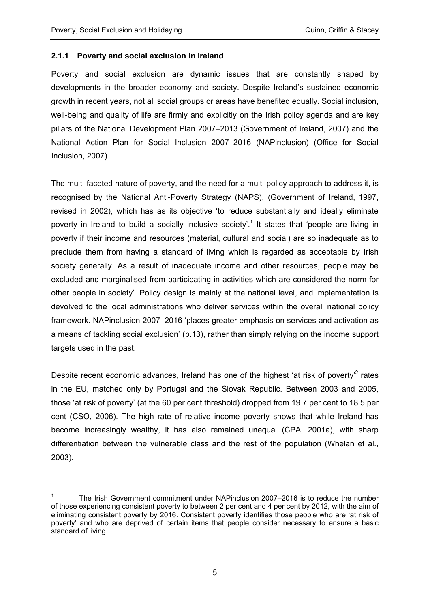-

#### **2.1.1 Poverty and social exclusion in Ireland**

Poverty and social exclusion are dynamic issues that are constantly shaped by developments in the broader economy and society. Despite Ireland's sustained economic growth in recent years, not all social groups or areas have benefited equally. Social inclusion, well-being and quality of life are firmly and explicitly on the Irish policy agenda and are key pillars of the National Development Plan 2007–2013 (Government of Ireland, 2007) and the National Action Plan for Social Inclusion 2007–2016 (NAPinclusion) (Office for Social Inclusion, 2007).

The multi-faceted nature of poverty, and the need for a multi-policy approach to address it, is recognised by the National Anti-Poverty Strategy (NAPS), (Government of Ireland, 1997, revised in 2002), which has as its objective 'to reduce substantially and ideally eliminate poverty in Ireland to build a socially inclusive society'.<sup>1</sup> It states that 'people are living in poverty if their income and resources (material, cultural and social) are so inadequate as to preclude them from having a standard of living which is regarded as acceptable by Irish society generally. As a result of inadequate income and other resources, people may be excluded and marginalised from participating in activities which are considered the norm for other people in society'. Policy design is mainly at the national level, and implementation is devolved to the local administrations who deliver services within the overall national policy framework. NAPinclusion 2007–2016 'places greater emphasis on services and activation as a means of tackling social exclusion' (p.13), rather than simply relying on the income support targets used in the past.

Despite recent economic advances, Ireland has one of the highest 'at risk of poverty<sup>2</sup> rates in the EU, matched only by Portugal and the Slovak Republic. Between 2003 and 2005, those 'at risk of poverty' (at the 60 per cent threshold) dropped from 19.7 per cent to 18.5 per cent (CSO, 2006). The high rate of relative income poverty shows that while Ireland has become increasingly wealthy, it has also remained unequal (CPA, 2001a), with sharp differentiation between the vulnerable class and the rest of the population (Whelan et al., 2003).

<sup>1</sup> The Irish Government commitment under NAPinclusion 2007–2016 is to reduce the number of those experiencing consistent poverty to between 2 per cent and 4 per cent by 2012, with the aim of eliminating consistent poverty by 2016. Consistent poverty identifies those people who are 'at risk of poverty' and who are deprived of certain items that people consider necessary to ensure a basic standard of living.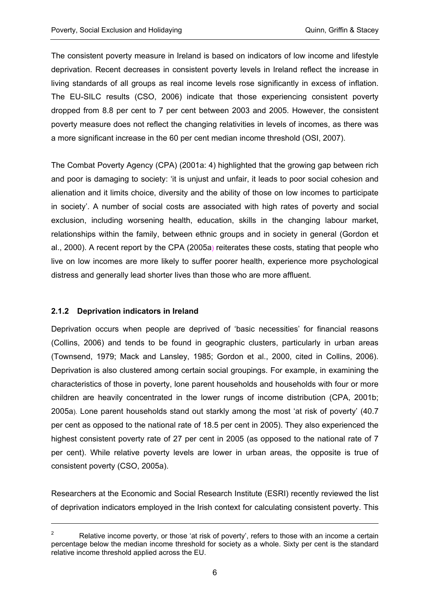The consistent poverty measure in Ireland is based on indicators of low income and lifestyle deprivation. Recent decreases in consistent poverty levels in Ireland reflect the increase in living standards of all groups as real income levels rose significantly in excess of inflation. The EU-SILC results (CSO, 2006) indicate that those experiencing consistent poverty dropped from 8.8 per cent to 7 per cent between 2003 and 2005. However, the consistent poverty measure does not reflect the changing relativities in levels of incomes, as there was a more significant increase in the 60 per cent median income threshold (OSI, 2007).

The Combat Poverty Agency (CPA) (2001a: 4) highlighted that the growing gap between rich and poor is damaging to society: 'it is unjust and unfair, it leads to poor social cohesion and alienation and it limits choice, diversity and the ability of those on low incomes to participate in society'. A number of social costs are associated with high rates of poverty and social exclusion, including worsening health, education, skills in the changing labour market, relationships within the family, between ethnic groups and in society in general (Gordon et al., 2000). A recent report by the CPA (2005a) reiterates these costs, stating that people who live on low incomes are more likely to suffer poorer health, experience more psychological distress and generally lead shorter lives than those who are more affluent.

### **2.1.2 Deprivation indicators in Ireland**

-

Deprivation occurs when people are deprived of 'basic necessities' for financial reasons (Collins, 2006) and tends to be found in geographic clusters, particularly in urban areas (Townsend, 1979; Mack and Lansley, 1985; Gordon et al., 2000, cited in Collins, 2006). Deprivation is also clustered among certain social groupings. For example, in examining the characteristics of those in poverty, lone parent households and households with four or more children are heavily concentrated in the lower rungs of income distribution (CPA, 2001b; 2005a). Lone parent households stand out starkly among the most 'at risk of poverty' (40.7 per cent as opposed to the national rate of 18.5 per cent in 2005). They also experienced the highest consistent poverty rate of 27 per cent in 2005 (as opposed to the national rate of 7 per cent). While relative poverty levels are lower in urban areas, the opposite is true of consistent poverty (CSO, 2005a).

Researchers at the Economic and Social Research Institute (ESRI) recently reviewed the list of deprivation indicators employed in the Irish context for calculating consistent poverty. This

<sup>2</sup> Relative income poverty, or those 'at risk of poverty', refers to those with an income a certain percentage below the median income threshold for society as a whole. Sixty per cent is the standard relative income threshold applied across the EU.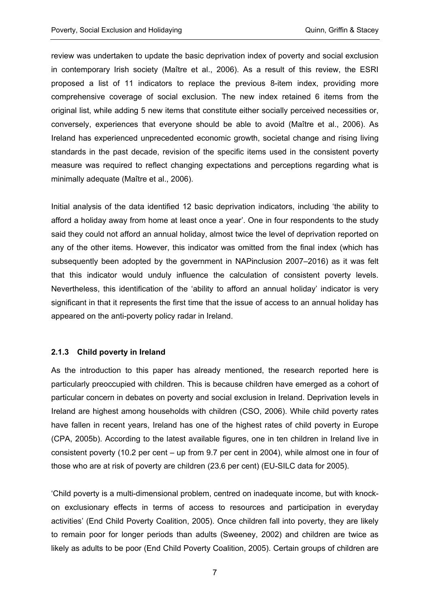review was undertaken to update the basic deprivation index of poverty and social exclusion in contemporary Irish society (Maître et al., 2006). As a result of this review, the ESRI proposed a list of 11 indicators to replace the previous 8-item index, providing more comprehensive coverage of social exclusion. The new index retained 6 items from the original list, while adding 5 new items that constitute either socially perceived necessities or, conversely, experiences that everyone should be able to avoid (Maître et al., 2006). As Ireland has experienced unprecedented economic growth, societal change and rising living standards in the past decade, revision of the specific items used in the consistent poverty measure was required to reflect changing expectations and perceptions regarding what is minimally adequate (Maître et al., 2006).

Initial analysis of the data identified 12 basic deprivation indicators, including 'the ability to afford a holiday away from home at least once a year'. One in four respondents to the study said they could not afford an annual holiday, almost twice the level of deprivation reported on any of the other items. However, this indicator was omitted from the final index (which has subsequently been adopted by the government in NAPinclusion 2007–2016) as it was felt that this indicator would unduly influence the calculation of consistent poverty levels. Nevertheless, this identification of the 'ability to afford an annual holiday' indicator is very significant in that it represents the first time that the issue of access to an annual holiday has appeared on the anti-poverty policy radar in Ireland.

#### **2.1.3 Child poverty in Ireland**

As the introduction to this paper has already mentioned, the research reported here is particularly preoccupied with children. This is because children have emerged as a cohort of particular concern in debates on poverty and social exclusion in Ireland. Deprivation levels in Ireland are highest among households with children (CSO, 2006). While child poverty rates have fallen in recent years, Ireland has one of the highest rates of child poverty in Europe (CPA, 2005b). According to the latest available figures, one in ten children in Ireland live in consistent poverty (10.2 per cent – up from 9.7 per cent in 2004), while almost one in four of those who are at risk of poverty are children (23.6 per cent) (EU-SILC data for 2005).

'Child poverty is a multi-dimensional problem, centred on inadequate income, but with knockon exclusionary effects in terms of access to resources and participation in everyday activities' (End Child Poverty Coalition, 2005). Once children fall into poverty, they are likely to remain poor for longer periods than adults (Sweeney, 2002) and children are twice as likely as adults to be poor (End Child Poverty Coalition, 2005). Certain groups of children are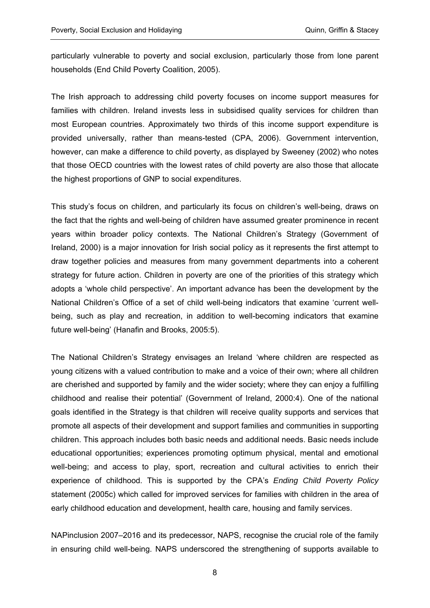particularly vulnerable to poverty and social exclusion, particularly those from lone parent households (End Child Poverty Coalition, 2005).

The Irish approach to addressing child poverty focuses on income support measures for families with children. Ireland invests less in subsidised quality services for children than most European countries. Approximately two thirds of this income support expenditure is provided universally, rather than means-tested (CPA, 2006). Government intervention, however, can make a difference to child poverty, as displayed by Sweeney (2002) who notes that those OECD countries with the lowest rates of child poverty are also those that allocate the highest proportions of GNP to social expenditures.

This study's focus on children, and particularly its focus on children's well-being, draws on the fact that the rights and well-being of children have assumed greater prominence in recent years within broader policy contexts. The National Children's Strategy (Government of Ireland, 2000) is a major innovation for Irish social policy as it represents the first attempt to draw together policies and measures from many government departments into a coherent strategy for future action. Children in poverty are one of the priorities of this strategy which adopts a 'whole child perspective'. An important advance has been the development by the National Children's Office of a set of child well-being indicators that examine 'current wellbeing, such as play and recreation, in addition to well-becoming indicators that examine future well-being' (Hanafin and Brooks, 2005:5).

The National Children's Strategy envisages an Ireland 'where children are respected as young citizens with a valued contribution to make and a voice of their own; where all children are cherished and supported by family and the wider society; where they can enjoy a fulfilling childhood and realise their potential' (Government of Ireland, 2000:4). One of the national goals identified in the Strategy is that children will receive quality supports and services that promote all aspects of their development and support families and communities in supporting children. This approach includes both basic needs and additional needs. Basic needs include educational opportunities; experiences promoting optimum physical, mental and emotional well-being; and access to play, sport, recreation and cultural activities to enrich their experience of childhood. This is supported by the CPA's *Ending Child Poverty Policy* statement (2005c) which called for improved services for families with children in the area of early childhood education and development, health care, housing and family services.

NAPinclusion 2007–2016 and its predecessor, NAPS, recognise the crucial role of the family in ensuring child well-being. NAPS underscored the strengthening of supports available to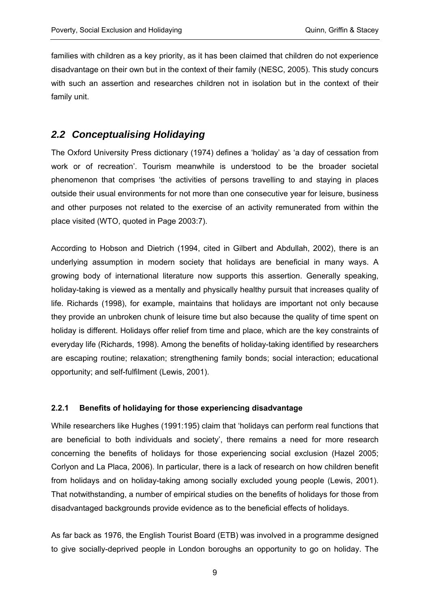families with children as a key priority, as it has been claimed that children do not experience disadvantage on their own but in the context of their family (NESC, 2005). This study concurs with such an assertion and researches children not in isolation but in the context of their family unit.

## *2.2 Conceptualising Holidaying*

The Oxford University Press dictionary (1974) defines a 'holiday' as 'a day of cessation from work or of recreation'. Tourism meanwhile is understood to be the broader societal phenomenon that comprises 'the activities of persons travelling to and staying in places outside their usual environments for not more than one consecutive year for leisure, business and other purposes not related to the exercise of an activity remunerated from within the place visited (WTO, quoted in Page 2003:7).

According to Hobson and Dietrich (1994, cited in Gilbert and Abdullah, 2002), there is an underlying assumption in modern society that holidays are beneficial in many ways. A growing body of international literature now supports this assertion. Generally speaking, holiday-taking is viewed as a mentally and physically healthy pursuit that increases quality of life. Richards (1998), for example, maintains that holidays are important not only because they provide an unbroken chunk of leisure time but also because the quality of time spent on holiday is different. Holidays offer relief from time and place, which are the key constraints of everyday life (Richards, 1998). Among the benefits of holiday-taking identified by researchers are escaping routine; relaxation; strengthening family bonds; social interaction; educational opportunity; and self-fulfilment (Lewis, 2001).

#### **2.2.1 Benefits of holidaying for those experiencing disadvantage**

While researchers like Hughes (1991:195) claim that 'holidays can perform real functions that are beneficial to both individuals and society', there remains a need for more research concerning the benefits of holidays for those experiencing social exclusion (Hazel 2005; Corlyon and La Placa, 2006). In particular, there is a lack of research on how children benefit from holidays and on holiday-taking among socially excluded young people (Lewis, 2001). That notwithstanding, a number of empirical studies on the benefits of holidays for those from disadvantaged backgrounds provide evidence as to the beneficial effects of holidays.

As far back as 1976, the English Tourist Board (ETB) was involved in a programme designed to give socially-deprived people in London boroughs an opportunity to go on holiday. The

9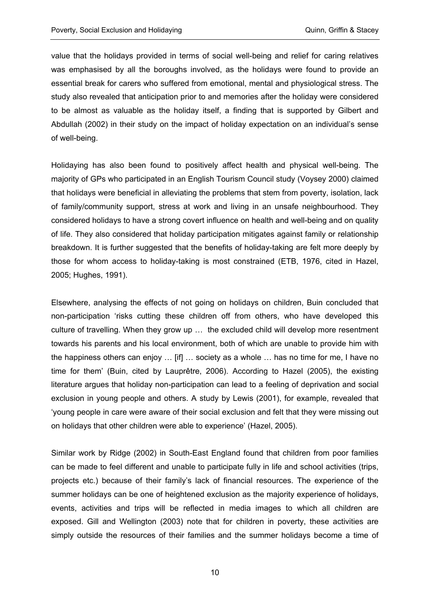value that the holidays provided in terms of social well-being and relief for caring relatives was emphasised by all the boroughs involved, as the holidays were found to provide an essential break for carers who suffered from emotional, mental and physiological stress. The study also revealed that anticipation prior to and memories after the holiday were considered to be almost as valuable as the holiday itself, a finding that is supported by Gilbert and Abdullah (2002) in their study on the impact of holiday expectation on an individual's sense of well-being.

Holidaying has also been found to positively affect health and physical well-being. The majority of GPs who participated in an English Tourism Council study (Voysey 2000) claimed that holidays were beneficial in alleviating the problems that stem from poverty, isolation, lack of family/community support, stress at work and living in an unsafe neighbourhood. They considered holidays to have a strong covert influence on health and well-being and on quality of life. They also considered that holiday participation mitigates against family or relationship breakdown. It is further suggested that the benefits of holiday-taking are felt more deeply by those for whom access to holiday-taking is most constrained (ETB, 1976, cited in Hazel, 2005; Hughes, 1991).

Elsewhere, analysing the effects of not going on holidays on children, Buin concluded that non-participation 'risks cutting these children off from others, who have developed this culture of travelling. When they grow up … the excluded child will develop more resentment towards his parents and his local environment, both of which are unable to provide him with the happiness others can enjoy … [if] … society as a whole … has no time for me, I have no time for them' (Buin, cited by Lauprêtre, 2006). According to Hazel (2005), the existing literature argues that holiday non-participation can lead to a feeling of deprivation and social exclusion in young people and others. A study by Lewis (2001), for example, revealed that 'young people in care were aware of their social exclusion and felt that they were missing out on holidays that other children were able to experience' (Hazel, 2005).

Similar work by Ridge (2002) in South-East England found that children from poor families can be made to feel different and unable to participate fully in life and school activities (trips, projects etc.) because of their family's lack of financial resources. The experience of the summer holidays can be one of heightened exclusion as the majority experience of holidays, events, activities and trips will be reflected in media images to which all children are exposed. Gill and Wellington (2003) note that for children in poverty, these activities are simply outside the resources of their families and the summer holidays become a time of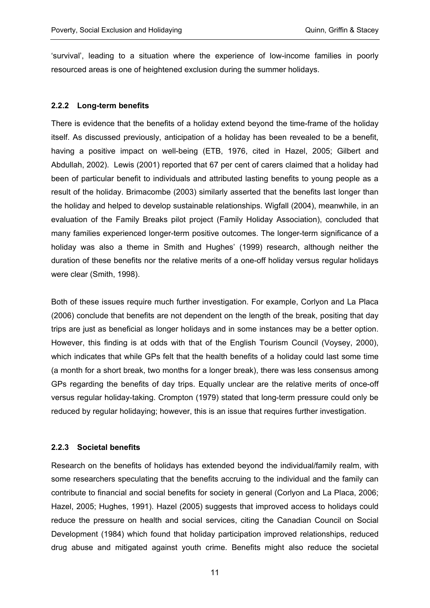'survival', leading to a situation where the experience of low-income families in poorly resourced areas is one of heightened exclusion during the summer holidays.

#### **2.2.2 Long-term benefits**

There is evidence that the benefits of a holiday extend beyond the time-frame of the holiday itself. As discussed previously, anticipation of a holiday has been revealed to be a benefit, having a positive impact on well-being (ETB, 1976, cited in Hazel, 2005; Gilbert and Abdullah, 2002). Lewis (2001) reported that 67 per cent of carers claimed that a holiday had been of particular benefit to individuals and attributed lasting benefits to young people as a result of the holiday. Brimacombe (2003) similarly asserted that the benefits last longer than the holiday and helped to develop sustainable relationships. Wigfall (2004), meanwhile, in an evaluation of the Family Breaks pilot project (Family Holiday Association), concluded that many families experienced longer-term positive outcomes. The longer-term significance of a holiday was also a theme in Smith and Hughes' (1999) research, although neither the duration of these benefits nor the relative merits of a one-off holiday versus regular holidays were clear (Smith, 1998).

Both of these issues require much further investigation. For example, Corlyon and La Placa (2006) conclude that benefits are not dependent on the length of the break, positing that day trips are just as beneficial as longer holidays and in some instances may be a better option. However, this finding is at odds with that of the English Tourism Council (Voysey, 2000), which indicates that while GPs felt that the health benefits of a holiday could last some time (a month for a short break, two months for a longer break), there was less consensus among GPs regarding the benefits of day trips. Equally unclear are the relative merits of once-off versus regular holiday-taking. Crompton (1979) stated that long-term pressure could only be reduced by regular holidaying; however, this is an issue that requires further investigation.

#### **2.2.3 Societal benefits**

Research on the benefits of holidays has extended beyond the individual/family realm, with some researchers speculating that the benefits accruing to the individual and the family can contribute to financial and social benefits for society in general (Corlyon and La Placa, 2006; Hazel, 2005; Hughes, 1991). Hazel (2005) suggests that improved access to holidays could reduce the pressure on health and social services, citing the Canadian Council on Social Development (1984) which found that holiday participation improved relationships, reduced drug abuse and mitigated against youth crime. Benefits might also reduce the societal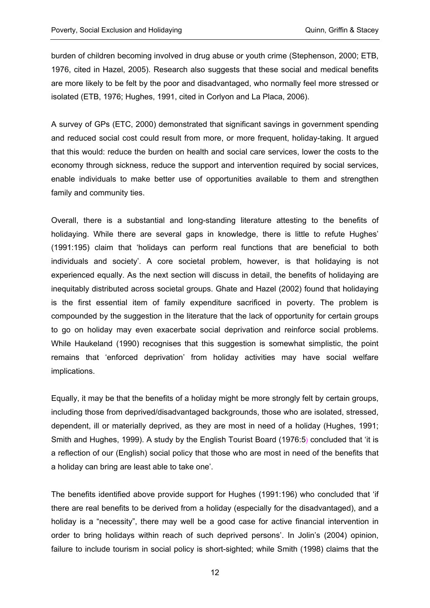burden of children becoming involved in drug abuse or youth crime (Stephenson, 2000; ETB, 1976, cited in Hazel, 2005). Research also suggests that these social and medical benefits are more likely to be felt by the poor and disadvantaged, who normally feel more stressed or isolated (ETB, 1976; Hughes, 1991, cited in Corlyon and La Placa, 2006).

A survey of GPs (ETC, 2000) demonstrated that significant savings in government spending and reduced social cost could result from more, or more frequent, holiday-taking. It argued that this would: reduce the burden on health and social care services, lower the costs to the economy through sickness, reduce the support and intervention required by social services, enable individuals to make better use of opportunities available to them and strengthen family and community ties.

Overall, there is a substantial and long-standing literature attesting to the benefits of holidaying. While there are several gaps in knowledge, there is little to refute Hughes' (1991:195) claim that 'holidays can perform real functions that are beneficial to both individuals and society'. A core societal problem, however, is that holidaying is not experienced equally. As the next section will discuss in detail, the benefits of holidaying are inequitably distributed across societal groups. Ghate and Hazel (2002) found that holidaying is the first essential item of family expenditure sacrificed in poverty. The problem is compounded by the suggestion in the literature that the lack of opportunity for certain groups to go on holiday may even exacerbate social deprivation and reinforce social problems. While Haukeland (1990) recognises that this suggestion is somewhat simplistic, the point remains that 'enforced deprivation' from holiday activities may have social welfare implications.

Equally, it may be that the benefits of a holiday might be more strongly felt by certain groups, including those from deprived/disadvantaged backgrounds, those who are isolated, stressed, dependent, ill or materially deprived, as they are most in need of a holiday (Hughes, 1991; Smith and Hughes, 1999). A study by the English Tourist Board (1976:5) concluded that 'it is a reflection of our (English) social policy that those who are most in need of the benefits that a holiday can bring are least able to take one'.

The benefits identified above provide support for Hughes (1991:196) who concluded that 'if there are real benefits to be derived from a holiday (especially for the disadvantaged), and a holiday is a "necessity", there may well be a good case for active financial intervention in order to bring holidays within reach of such deprived persons'. In Jolin's (2004) opinion, failure to include tourism in social policy is short-sighted; while Smith (1998) claims that the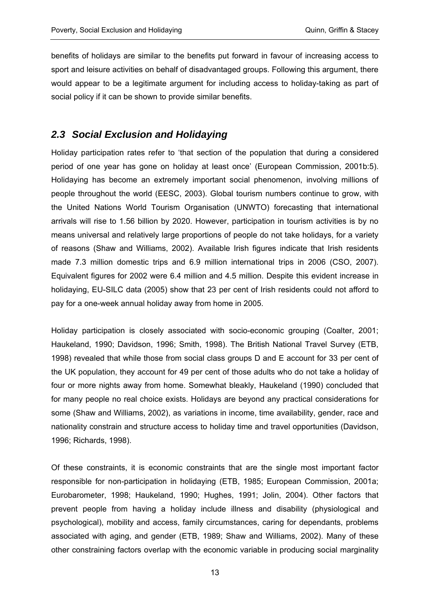benefits of holidays are similar to the benefits put forward in favour of increasing access to sport and leisure activities on behalf of disadvantaged groups. Following this argument, there would appear to be a legitimate argument for including access to holiday-taking as part of social policy if it can be shown to provide similar benefits.

## *2.3 Social Exclusion and Holidaying*

Holiday participation rates refer to 'that section of the population that during a considered period of one year has gone on holiday at least once' (European Commission, 2001b:5). Holidaying has become an extremely important social phenomenon, involving millions of people throughout the world (EESC, 2003). Global tourism numbers continue to grow, with the United Nations World Tourism Organisation (UNWTO) forecasting that international arrivals will rise to 1.56 billion by 2020. However, participation in tourism activities is by no means universal and relatively large proportions of people do not take holidays, for a variety of reasons (Shaw and Williams, 2002). Available Irish figures indicate that Irish residents made 7.3 million domestic trips and 6.9 million international trips in 2006 (CSO, 2007). Equivalent figures for 2002 were 6.4 million and 4.5 million. Despite this evident increase in holidaying, EU-SILC data (2005) show that 23 per cent of Irish residents could not afford to pay for a one-week annual holiday away from home in 2005.

Holiday participation is closely associated with socio-economic grouping (Coalter, 2001; Haukeland, 1990; Davidson, 1996; Smith, 1998). The British National Travel Survey (ETB, 1998) revealed that while those from social class groups D and E account for 33 per cent of the UK population, they account for 49 per cent of those adults who do not take a holiday of four or more nights away from home. Somewhat bleakly, Haukeland (1990) concluded that for many people no real choice exists. Holidays are beyond any practical considerations for some (Shaw and Williams, 2002), as variations in income, time availability, gender, race and nationality constrain and structure access to holiday time and travel opportunities (Davidson, 1996; Richards, 1998).

Of these constraints, it is economic constraints that are the single most important factor responsible for non-participation in holidaying (ETB, 1985; European Commission, 2001a; Eurobarometer, 1998; Haukeland, 1990; Hughes, 1991; Jolin, 2004). Other factors that prevent people from having a holiday include illness and disability (physiological and psychological), mobility and access, family circumstances, caring for dependants, problems associated with aging, and gender (ETB, 1989; Shaw and Williams, 2002). Many of these other constraining factors overlap with the economic variable in producing social marginality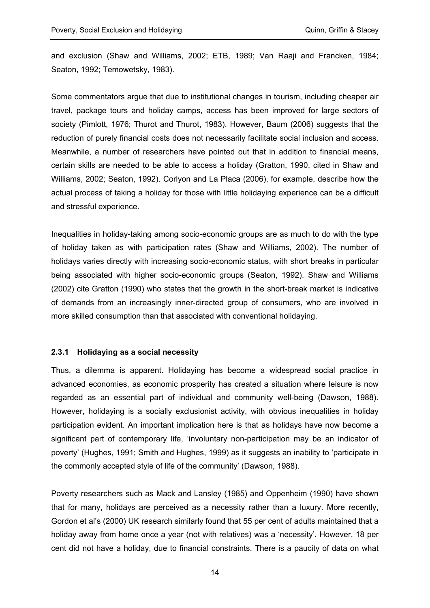and exclusion (Shaw and Williams, 2002; ETB, 1989; Van Raaji and Francken, 1984; Seaton, 1992; Temowetsky, 1983).

Some commentators argue that due to institutional changes in tourism, including cheaper air travel, package tours and holiday camps, access has been improved for large sectors of society (Pimlott, 1976; Thurot and Thurot, 1983). However, Baum (2006) suggests that the reduction of purely financial costs does not necessarily facilitate social inclusion and access. Meanwhile, a number of researchers have pointed out that in addition to financial means, certain skills are needed to be able to access a holiday (Gratton, 1990, cited in Shaw and Williams, 2002; Seaton, 1992). Corlyon and La Placa (2006), for example, describe how the actual process of taking a holiday for those with little holidaying experience can be a difficult and stressful experience.

Inequalities in holiday-taking among socio-economic groups are as much to do with the type of holiday taken as with participation rates (Shaw and Williams, 2002). The number of holidays varies directly with increasing socio-economic status, with short breaks in particular being associated with higher socio-economic groups (Seaton, 1992). Shaw and Williams (2002) cite Gratton (1990) who states that the growth in the short-break market is indicative of demands from an increasingly inner-directed group of consumers, who are involved in more skilled consumption than that associated with conventional holidaying.

#### **2.3.1 Holidaying as a social necessity**

Thus, a dilemma is apparent. Holidaying has become a widespread social practice in advanced economies, as economic prosperity has created a situation where leisure is now regarded as an essential part of individual and community well-being (Dawson, 1988). However, holidaying is a socially exclusionist activity, with obvious inequalities in holiday participation evident. An important implication here is that as holidays have now become a significant part of contemporary life, 'involuntary non-participation may be an indicator of poverty' (Hughes, 1991; Smith and Hughes, 1999) as it suggests an inability to 'participate in the commonly accepted style of life of the community' (Dawson, 1988).

Poverty researchers such as Mack and Lansley (1985) and Oppenheim (1990) have shown that for many, holidays are perceived as a necessity rather than a luxury. More recently, Gordon et al's (2000) UK research similarly found that 55 per cent of adults maintained that a holiday away from home once a year (not with relatives) was a 'necessity'. However, 18 per cent did not have a holiday, due to financial constraints. There is a paucity of data on what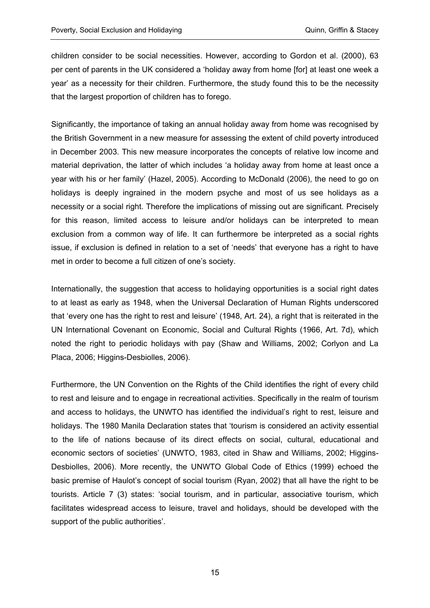children consider to be social necessities. However, according to Gordon et al. (2000), 63 per cent of parents in the UK considered a 'holiday away from home [for] at least one week a year' as a necessity for their children. Furthermore, the study found this to be the necessity that the largest proportion of children has to forego.

Significantly, the importance of taking an annual holiday away from home was recognised by the British Government in a new measure for assessing the extent of child poverty introduced in December 2003. This new measure incorporates the concepts of relative low income and material deprivation, the latter of which includes 'a holiday away from home at least once a year with his or her family' (Hazel, 2005). According to McDonald (2006), the need to go on holidays is deeply ingrained in the modern psyche and most of us see holidays as a necessity or a social right. Therefore the implications of missing out are significant. Precisely for this reason, limited access to leisure and/or holidays can be interpreted to mean exclusion from a common way of life. It can furthermore be interpreted as a social rights issue, if exclusion is defined in relation to a set of 'needs' that everyone has a right to have met in order to become a full citizen of one's society.

Internationally, the suggestion that access to holidaying opportunities is a social right dates to at least as early as 1948, when the Universal Declaration of Human Rights underscored that 'every one has the right to rest and leisure' (1948, Art. 24), a right that is reiterated in the UN International Covenant on Economic, Social and Cultural Rights (1966, Art. 7d), which noted the right to periodic holidays with pay (Shaw and Williams, 2002; Corlyon and La Placa, 2006; Higgins-Desbiolles, 2006).

Furthermore, the UN Convention on the Rights of the Child identifies the right of every child to rest and leisure and to engage in recreational activities. Specifically in the realm of tourism and access to holidays, the UNWTO has identified the individual's right to rest, leisure and holidays. The 1980 Manila Declaration states that 'tourism is considered an activity essential to the life of nations because of its direct effects on social, cultural, educational and economic sectors of societies' (UNWTO, 1983, cited in Shaw and Williams, 2002; Higgins-Desbiolles, 2006). More recently, the UNWTO Global Code of Ethics (1999) echoed the basic premise of Haulot's concept of social tourism (Ryan, 2002) that all have the right to be tourists. Article 7 (3) states: 'social tourism, and in particular, associative tourism, which facilitates widespread access to leisure, travel and holidays, should be developed with the support of the public authorities'.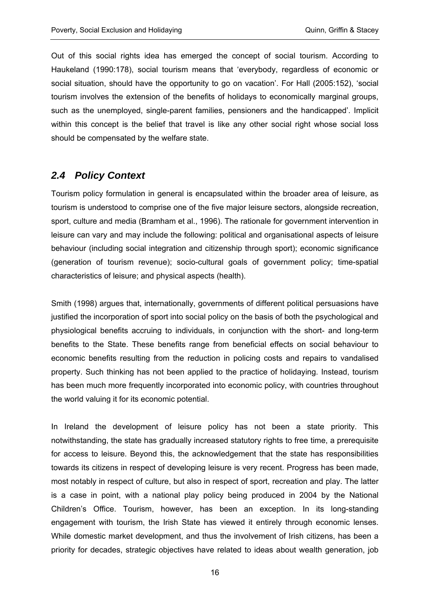Out of this social rights idea has emerged the concept of social tourism. According to Haukeland (1990:178), social tourism means that 'everybody, regardless of economic or social situation, should have the opportunity to go on vacation'. For Hall (2005:152), 'social tourism involves the extension of the benefits of holidays to economically marginal groups, such as the unemployed, single-parent families, pensioners and the handicapped'. Implicit within this concept is the belief that travel is like any other social right whose social loss should be compensated by the welfare state.

### *2.4 Policy Context*

Tourism policy formulation in general is encapsulated within the broader area of leisure, as tourism is understood to comprise one of the five major leisure sectors, alongside recreation, sport, culture and media (Bramham et al., 1996). The rationale for government intervention in leisure can vary and may include the following: political and organisational aspects of leisure behaviour (including social integration and citizenship through sport); economic significance (generation of tourism revenue); socio-cultural goals of government policy; time-spatial characteristics of leisure; and physical aspects (health).

Smith (1998) argues that, internationally, governments of different political persuasions have justified the incorporation of sport into social policy on the basis of both the psychological and physiological benefits accruing to individuals, in conjunction with the short- and long-term benefits to the State. These benefits range from beneficial effects on social behaviour to economic benefits resulting from the reduction in policing costs and repairs to vandalised property. Such thinking has not been applied to the practice of holidaying. Instead, tourism has been much more frequently incorporated into economic policy, with countries throughout the world valuing it for its economic potential.

In Ireland the development of leisure policy has not been a state priority. This notwithstanding, the state has gradually increased statutory rights to free time, a prerequisite for access to leisure. Beyond this, the acknowledgement that the state has responsibilities towards its citizens in respect of developing leisure is very recent. Progress has been made, most notably in respect of culture, but also in respect of sport, recreation and play. The latter is a case in point, with a national play policy being produced in 2004 by the National Children's Office. Tourism, however, has been an exception. In its long-standing engagement with tourism, the Irish State has viewed it entirely through economic lenses. While domestic market development, and thus the involvement of Irish citizens, has been a priority for decades, strategic objectives have related to ideas about wealth generation, job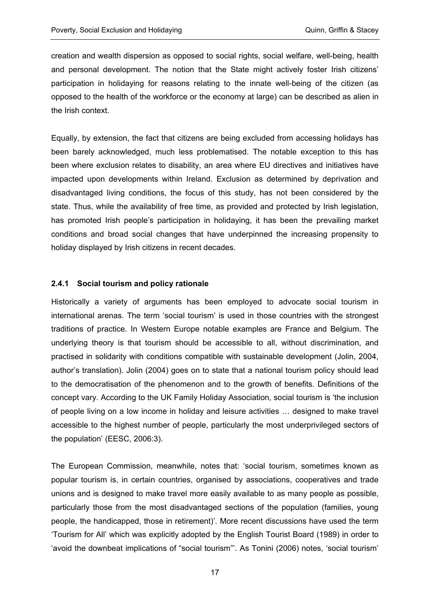creation and wealth dispersion as opposed to social rights, social welfare, well-being, health and personal development. The notion that the State might actively foster Irish citizens' participation in holidaying for reasons relating to the innate well-being of the citizen (as opposed to the health of the workforce or the economy at large) can be described as alien in the Irish context.

Equally, by extension, the fact that citizens are being excluded from accessing holidays has been barely acknowledged, much less problematised. The notable exception to this has been where exclusion relates to disability, an area where EU directives and initiatives have impacted upon developments within Ireland. Exclusion as determined by deprivation and disadvantaged living conditions, the focus of this study, has not been considered by the state. Thus, while the availability of free time, as provided and protected by Irish legislation, has promoted Irish people's participation in holidaying, it has been the prevailing market conditions and broad social changes that have underpinned the increasing propensity to holiday displayed by Irish citizens in recent decades.

#### **2.4.1 Social tourism and policy rationale**

Historically a variety of arguments has been employed to advocate social tourism in international arenas. The term 'social tourism' is used in those countries with the strongest traditions of practice. In Western Europe notable examples are France and Belgium. The underlying theory is that tourism should be accessible to all, without discrimination, and practised in solidarity with conditions compatible with sustainable development (Jolin, 2004, author's translation). Jolin (2004) goes on to state that a national tourism policy should lead to the democratisation of the phenomenon and to the growth of benefits. Definitions of the concept vary. According to the UK Family Holiday Association, social tourism is 'the inclusion of people living on a low income in holiday and leisure activities … designed to make travel accessible to the highest number of people, particularly the most underprivileged sectors of the population' (EESC, 2006:3).

The European Commission, meanwhile, notes that: 'social tourism, sometimes known as popular tourism is, in certain countries, organised by associations, cooperatives and trade unions and is designed to make travel more easily available to as many people as possible, particularly those from the most disadvantaged sections of the population (families, young people, the handicapped, those in retirement)'. More recent discussions have used the term 'Tourism for All' which was explicitly adopted by the English Tourist Board (1989) in order to 'avoid the downbeat implications of "social tourism"'. As Tonini (2006) notes, 'social tourism'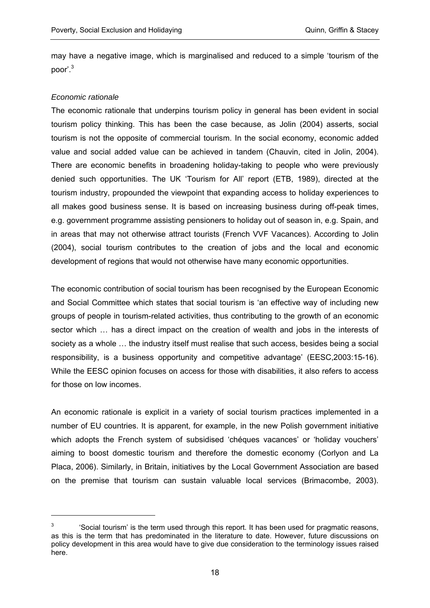may have a negative image, which is marginalised and reduced to a simple 'tourism of the poor'.<sup>3</sup>

#### *Economic rationale*

-

The economic rationale that underpins tourism policy in general has been evident in social tourism policy thinking. This has been the case because, as Jolin (2004) asserts, social tourism is not the opposite of commercial tourism. In the social economy, economic added value and social added value can be achieved in tandem (Chauvin, cited in Jolin, 2004). There are economic benefits in broadening holiday-taking to people who were previously denied such opportunities. The UK 'Tourism for All' report (ETB, 1989), directed at the tourism industry, propounded the viewpoint that expanding access to holiday experiences to all makes good business sense. It is based on increasing business during off-peak times, e.g. government programme assisting pensioners to holiday out of season in, e.g. Spain, and in areas that may not otherwise attract tourists (French VVF Vacances). According to Jolin (2004), social tourism contributes to the creation of jobs and the local and economic development of regions that would not otherwise have many economic opportunities.

The economic contribution of social tourism has been recognised by the European Economic and Social Committee which states that social tourism is 'an effective way of including new groups of people in tourism-related activities, thus contributing to the growth of an economic sector which … has a direct impact on the creation of wealth and jobs in the interests of society as a whole … the industry itself must realise that such access, besides being a social responsibility, is a business opportunity and competitive advantage' (EESC,2003:15-16). While the EESC opinion focuses on access for those with disabilities, it also refers to access for those on low incomes.

An economic rationale is explicit in a variety of social tourism practices implemented in a number of EU countries. It is apparent, for example, in the new Polish government initiative which adopts the French system of subsidised 'chéques vacances' or 'holiday vouchers' aiming to boost domestic tourism and therefore the domestic economy (Corlyon and La Placa, 2006). Similarly, in Britain, initiatives by the Local Government Association are based on the premise that tourism can sustain valuable local services (Brimacombe, 2003).

<sup>3</sup> 'Social tourism' is the term used through this report. It has been used for pragmatic reasons, as this is the term that has predominated in the literature to date. However, future discussions on policy development in this area would have to give due consideration to the terminology issues raised here.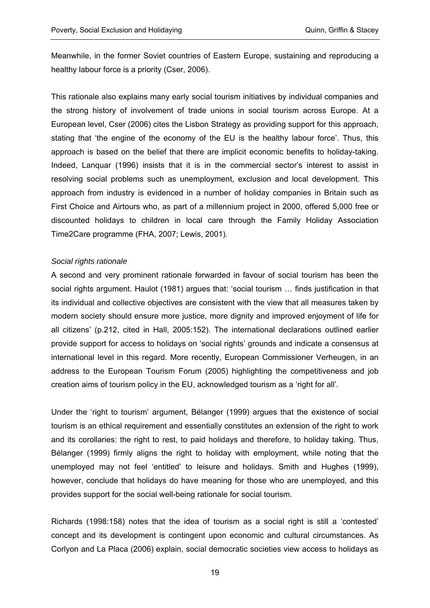Meanwhile, in the former Soviet countries of Eastern Europe, sustaining and reproducing a healthy labour force is a priority (Cser, 2006).

This rationale also explains many early social tourism initiatives by individual companies and the strong history of involvement of trade unions in social tourism across Europe. At a European level, Cser (2006) cites the Lisbon Strategy as providing support for this approach, stating that 'the engine of the economy of the EU is the healthy labour force'. Thus, this approach is based on the belief that there are implicit economic benefits to holiday-taking. Indeed, Lanquar (1996) insists that it is in the commercial sector's interest to assist in resolving social problems such as unemployment, exclusion and local development. This approach from industry is evidenced in a number of holiday companies in Britain such as First Choice and Airtours who, as part of a millennium project in 2000, offered 5,000 free or discounted holidays to children in local care through the Family Holiday Association Time2Care programme (FHA, 2007; Lewis, 2001).

#### *Social rights rationale*

A second and very prominent rationale forwarded in favour of social tourism has been the social rights argument. Haulot (1981) argues that: 'social tourism … finds justification in that its individual and collective objectives are consistent with the view that all measures taken by modern society should ensure more justice, more dignity and improved enjoyment of life for all citizens' (p.212, cited in Hall, 2005:152). The international declarations outlined earlier provide support for access to holidays on 'social rights' grounds and indicate a consensus at international level in this regard. More recently, European Commissioner Verheugen, in an address to the European Tourism Forum (2005) highlighting the competitiveness and job creation aims of tourism policy in the EU, acknowledged tourism as a 'right for all'.

Under the 'right to tourism' argument, Bélanger (1999) argues that the existence of social tourism is an ethical requirement and essentially constitutes an extension of the right to work and its corollaries: the right to rest, to paid holidays and therefore, to holiday taking. Thus, Bélanger (1999) firmly aligns the right to holiday with employment, while noting that the unemployed may not feel 'entitled' to leisure and holidays. Smith and Hughes (1999), however, conclude that holidays do have meaning for those who are unemployed, and this provides support for the social well-being rationale for social tourism.

Richards (1998:158) notes that the idea of tourism as a social right is still a 'contested' concept and its development is contingent upon economic and cultural circumstances. As Corlyon and La Placa (2006) explain, social democratic societies view access to holidays as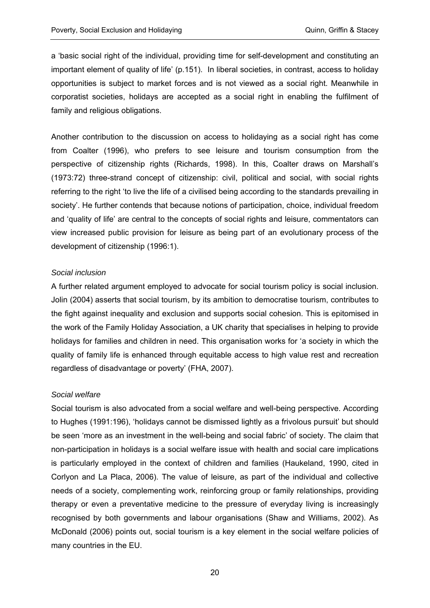a 'basic social right of the individual, providing time for self-development and constituting an important element of quality of life' (p.151). In liberal societies, in contrast, access to holiday opportunities is subject to market forces and is not viewed as a social right. Meanwhile in corporatist societies, holidays are accepted as a social right in enabling the fulfilment of family and religious obligations.

Another contribution to the discussion on access to holidaying as a social right has come from Coalter (1996), who prefers to see leisure and tourism consumption from the perspective of citizenship rights (Richards, 1998). In this, Coalter draws on Marshall's (1973:72) three-strand concept of citizenship: civil, political and social, with social rights referring to the right 'to live the life of a civilised being according to the standards prevailing in society'. He further contends that because notions of participation, choice, individual freedom and 'quality of life' are central to the concepts of social rights and leisure, commentators can view increased public provision for leisure as being part of an evolutionary process of the development of citizenship (1996:1).

#### *Social inclusion*

A further related argument employed to advocate for social tourism policy is social inclusion. Jolin (2004) asserts that social tourism, by its ambition to democratise tourism, contributes to the fight against inequality and exclusion and supports social cohesion. This is epitomised in the work of the Family Holiday Association, a UK charity that specialises in helping to provide holidays for families and children in need. This organisation works for 'a society in which the quality of family life is enhanced through equitable access to high value rest and recreation regardless of disadvantage or poverty' (FHA, 2007).

#### *Social welfare*

Social tourism is also advocated from a social welfare and well-being perspective. According to Hughes (1991:196), 'holidays cannot be dismissed lightly as a frivolous pursuit' but should be seen 'more as an investment in the well-being and social fabric' of society. The claim that non-participation in holidays is a social welfare issue with health and social care implications is particularly employed in the context of children and families (Haukeland, 1990, cited in Corlyon and La Placa, 2006). The value of leisure, as part of the individual and collective needs of a society, complementing work, reinforcing group or family relationships, providing therapy or even a preventative medicine to the pressure of everyday living is increasingly recognised by both governments and labour organisations (Shaw and Williams, 2002). As McDonald (2006) points out, social tourism is a key element in the social welfare policies of many countries in the EU.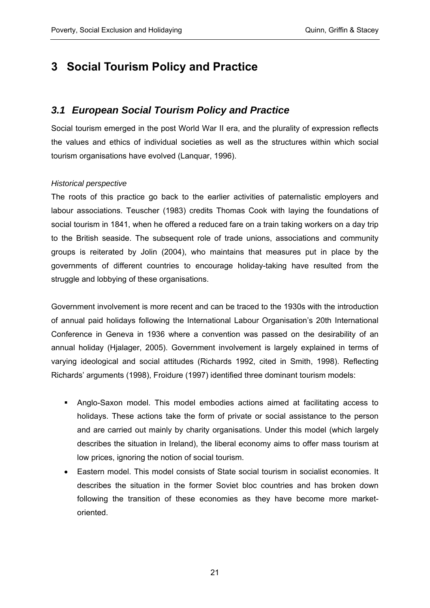## **3 Social Tourism Policy and Practice**

## *3.1 European Social Tourism Policy and Practice*

Social tourism emerged in the post World War II era, and the plurality of expression reflects the values and ethics of individual societies as well as the structures within which social tourism organisations have evolved (Lanquar, 1996).

#### *Historical perspective*

The roots of this practice go back to the earlier activities of paternalistic employers and labour associations. Teuscher (1983) credits Thomas Cook with laying the foundations of social tourism in 1841, when he offered a reduced fare on a train taking workers on a day trip to the British seaside. The subsequent role of trade unions, associations and community groups is reiterated by Jolin (2004), who maintains that measures put in place by the governments of different countries to encourage holiday-taking have resulted from the struggle and lobbying of these organisations.

Government involvement is more recent and can be traced to the 1930s with the introduction of annual paid holidays following the International Labour Organisation's 20th International Conference in Geneva in 1936 where a convention was passed on the desirability of an annual holiday (Hjalager, 2005). Government involvement is largely explained in terms of varying ideological and social attitudes (Richards 1992, cited in Smith, 1998). Reflecting Richards' arguments (1998), Froidure (1997) identified three dominant tourism models:

- Anglo-Saxon model. This model embodies actions aimed at facilitating access to holidays. These actions take the form of private or social assistance to the person and are carried out mainly by charity organisations. Under this model (which largely describes the situation in Ireland), the liberal economy aims to offer mass tourism at low prices, ignoring the notion of social tourism.
- Eastern model. This model consists of State social tourism in socialist economies. It describes the situation in the former Soviet bloc countries and has broken down following the transition of these economies as they have become more marketoriented.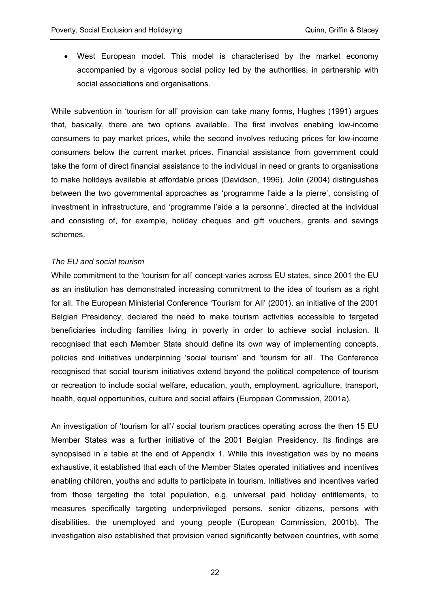• West European model. This model is characterised by the market economy accompanied by a vigorous social policy led by the authorities, in partnership with social associations and organisations.

While subvention in 'tourism for all' provision can take many forms, Hughes (1991) argues that, basically, there are two options available. The first involves enabling low-income consumers to pay market prices, while the second involves reducing prices for low-income consumers below the current market prices. Financial assistance from government could take the form of direct financial assistance to the individual in need or grants to organisations to make holidays available at affordable prices (Davidson, 1996). Jolin (2004) distinguishes between the two governmental approaches as 'programme l'aide a la pierre', consisting of investment in infrastructure, and 'programme l'aide a la personne', directed at the individual and consisting of, for example, holiday cheques and gift vouchers, grants and savings schemes.

#### *The EU and social tourism*

While commitment to the 'tourism for all' concept varies across EU states, since 2001 the EU as an institution has demonstrated increasing commitment to the idea of tourism as a right for all. The European Ministerial Conference 'Tourism for All' (2001), an initiative of the 2001 Belgian Presidency, declared the need to make tourism activities accessible to targeted beneficiaries including families living in poverty in order to achieve social inclusion. It recognised that each Member State should define its own way of implementing concepts, policies and initiatives underpinning 'social tourism' and 'tourism for all'. The Conference recognised that social tourism initiatives extend beyond the political competence of tourism or recreation to include social welfare, education, youth, employment, agriculture, transport, health, equal opportunities, culture and social affairs (European Commission, 2001a).

An investigation of 'tourism for all'/ social tourism practices operating across the then 15 EU Member States was a further initiative of the 2001 Belgian Presidency. Its findings are synopsised in a table at the end of Appendix 1. While this investigation was by no means exhaustive, it established that each of the Member States operated initiatives and incentives enabling children, youths and adults to participate in tourism. Initiatives and incentives varied from those targeting the total population, e.g. universal paid holiday entitlements, to measures specifically targeting underprivileged persons, senior citizens, persons with disabilities, the unemployed and young people (European Commission, 2001b). The investigation also established that provision varied significantly between countries, with some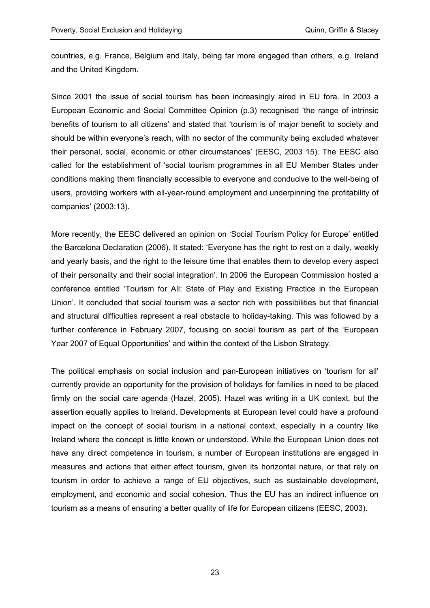countries, e.g. France, Belgium and Italy, being far more engaged than others, e.g. Ireland and the United Kingdom.

Since 2001 the issue of social tourism has been increasingly aired in EU fora. In 2003 a European Economic and Social Committee Opinion (p.3) recognised 'the range of intrinsic benefits of tourism to all citizens' and stated that 'tourism is of major benefit to society and should be within everyone's reach, with no sector of the community being excluded whatever their personal, social, economic or other circumstances' (EESC, 2003 15). The EESC also called for the establishment of 'social tourism programmes in all EU Member States under conditions making them financially accessible to everyone and conducive to the well-being of users, providing workers with all-year-round employment and underpinning the profitability of companies' (2003:13).

More recently, the EESC delivered an opinion on 'Social Tourism Policy for Europe' entitled the Barcelona Declaration (2006). It stated: 'Everyone has the right to rest on a daily, weekly and yearly basis, and the right to the leisure time that enables them to develop every aspect of their personality and their social integration'. In 2006 the European Commission hosted a conference entitled 'Tourism for All: State of Play and Existing Practice in the European Union'. It concluded that social tourism was a sector rich with possibilities but that financial and structural difficulties represent a real obstacle to holiday-taking. This was followed by a further conference in February 2007, focusing on social tourism as part of the 'European Year 2007 of Equal Opportunities' and within the context of the Lisbon Strategy.

The political emphasis on social inclusion and pan-European initiatives on 'tourism for all' currently provide an opportunity for the provision of holidays for families in need to be placed firmly on the social care agenda (Hazel, 2005). Hazel was writing in a UK context, but the assertion equally applies to Ireland. Developments at European level could have a profound impact on the concept of social tourism in a national context, especially in a country like Ireland where the concept is little known or understood. While the European Union does not have any direct competence in tourism, a number of European institutions are engaged in measures and actions that either affect tourism, given its horizontal nature, or that rely on tourism in order to achieve a range of EU objectives, such as sustainable development, employment, and economic and social cohesion. Thus the EU has an indirect influence on tourism as a means of ensuring a better quality of life for European citizens (EESC, 2003).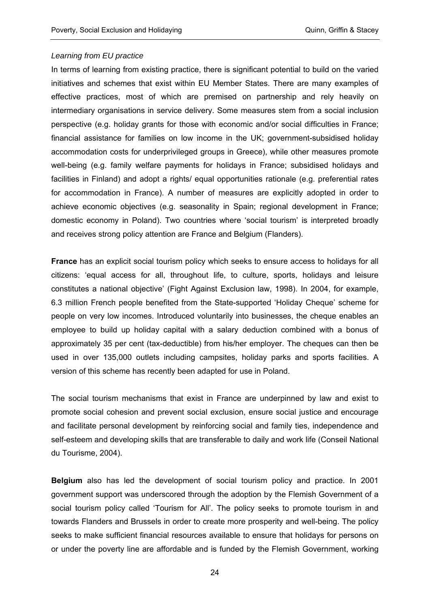#### *Learning from EU practice*

In terms of learning from existing practice, there is significant potential to build on the varied initiatives and schemes that exist within EU Member States. There are many examples of effective practices, most of which are premised on partnership and rely heavily on intermediary organisations in service delivery. Some measures stem from a social inclusion perspective (e.g. holiday grants for those with economic and/or social difficulties in France; financial assistance for families on low income in the UK; government-subsidised holiday accommodation costs for underprivileged groups in Greece), while other measures promote well-being (e.g. family welfare payments for holidays in France; subsidised holidays and facilities in Finland) and adopt a rights/ equal opportunities rationale (e.g. preferential rates for accommodation in France). A number of measures are explicitly adopted in order to achieve economic objectives (e.g. seasonality in Spain; regional development in France; domestic economy in Poland). Two countries where 'social tourism' is interpreted broadly and receives strong policy attention are France and Belgium (Flanders).

**France** has an explicit social tourism policy which seeks to ensure access to holidays for all citizens: 'equal access for all, throughout life, to culture, sports, holidays and leisure constitutes a national objective' (Fight Against Exclusion law, 1998). In 2004, for example, 6.3 million French people benefited from the State-supported 'Holiday Cheque' scheme for people on very low incomes. Introduced voluntarily into businesses, the cheque enables an employee to build up holiday capital with a salary deduction combined with a bonus of approximately 35 per cent (tax-deductible) from his/her employer. The cheques can then be used in over 135,000 outlets including campsites, holiday parks and sports facilities. A version of this scheme has recently been adapted for use in Poland.

The social tourism mechanisms that exist in France are underpinned by law and exist to promote social cohesion and prevent social exclusion, ensure social justice and encourage and facilitate personal development by reinforcing social and family ties, independence and self-esteem and developing skills that are transferable to daily and work life (Conseil National du Tourisme, 2004).

**Belgium** also has led the development of social tourism policy and practice. In 2001 government support was underscored through the adoption by the Flemish Government of a social tourism policy called 'Tourism for All'. The policy seeks to promote tourism in and towards Flanders and Brussels in order to create more prosperity and well-being. The policy seeks to make sufficient financial resources available to ensure that holidays for persons on or under the poverty line are affordable and is funded by the Flemish Government, working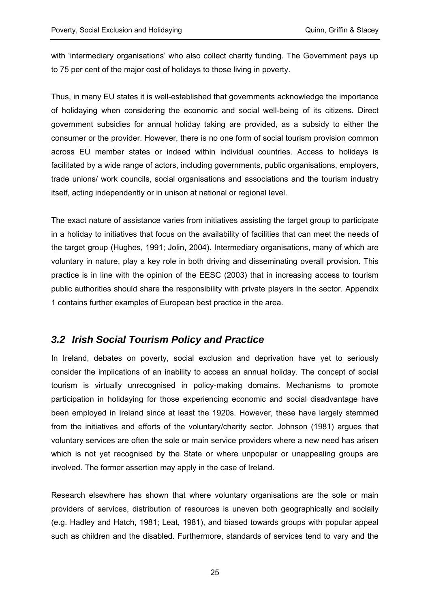with 'intermediary organisations' who also collect charity funding. The Government pays up to 75 per cent of the major cost of holidays to those living in poverty.

Thus, in many EU states it is well-established that governments acknowledge the importance of holidaying when considering the economic and social well-being of its citizens. Direct government subsidies for annual holiday taking are provided, as a subsidy to either the consumer or the provider. However, there is no one form of social tourism provision common across EU member states or indeed within individual countries. Access to holidays is facilitated by a wide range of actors, including governments, public organisations, employers, trade unions/ work councils, social organisations and associations and the tourism industry itself, acting independently or in unison at national or regional level.

The exact nature of assistance varies from initiatives assisting the target group to participate in a holiday to initiatives that focus on the availability of facilities that can meet the needs of the target group (Hughes, 1991; Jolin, 2004). Intermediary organisations, many of which are voluntary in nature, play a key role in both driving and disseminating overall provision. This practice is in line with the opinion of the EESC (2003) that in increasing access to tourism public authorities should share the responsibility with private players in the sector. Appendix 1 contains further examples of European best practice in the area.

## *3.2 Irish Social Tourism Policy and Practice*

In Ireland, debates on poverty, social exclusion and deprivation have yet to seriously consider the implications of an inability to access an annual holiday. The concept of social tourism is virtually unrecognised in policy-making domains. Mechanisms to promote participation in holidaying for those experiencing economic and social disadvantage have been employed in Ireland since at least the 1920s. However, these have largely stemmed from the initiatives and efforts of the voluntary/charity sector. Johnson (1981) argues that voluntary services are often the sole or main service providers where a new need has arisen which is not yet recognised by the State or where unpopular or unappealing groups are involved. The former assertion may apply in the case of Ireland.

Research elsewhere has shown that where voluntary organisations are the sole or main providers of services, distribution of resources is uneven both geographically and socially (e.g. Hadley and Hatch, 1981; Leat, 1981), and biased towards groups with popular appeal such as children and the disabled. Furthermore, standards of services tend to vary and the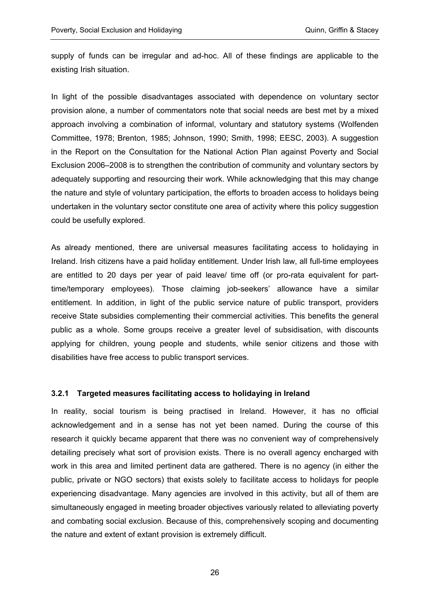supply of funds can be irregular and ad-hoc. All of these findings are applicable to the existing Irish situation.

In light of the possible disadvantages associated with dependence on voluntary sector provision alone, a number of commentators note that social needs are best met by a mixed approach involving a combination of informal, voluntary and statutory systems (Wolfenden Committee, 1978; Brenton, 1985; Johnson, 1990; Smith, 1998; EESC, 2003). A suggestion in the Report on the Consultation for the National Action Plan against Poverty and Social Exclusion 2006–2008 is to strengthen the contribution of community and voluntary sectors by adequately supporting and resourcing their work. While acknowledging that this may change the nature and style of voluntary participation, the efforts to broaden access to holidays being undertaken in the voluntary sector constitute one area of activity where this policy suggestion could be usefully explored.

As already mentioned, there are universal measures facilitating access to holidaying in Ireland. Irish citizens have a paid holiday entitlement. Under Irish law, all full-time employees are entitled to 20 days per year of paid leave/ time off (or pro-rata equivalent for parttime/temporary employees). Those claiming job-seekers' allowance have a similar entitlement. In addition, in light of the public service nature of public transport, providers receive State subsidies complementing their commercial activities. This benefits the general public as a whole. Some groups receive a greater level of subsidisation, with discounts applying for children, young people and students, while senior citizens and those with disabilities have free access to public transport services.

#### **3.2.1 Targeted measures facilitating access to holidaying in Ireland**

In reality, social tourism is being practised in Ireland. However, it has no official acknowledgement and in a sense has not yet been named. During the course of this research it quickly became apparent that there was no convenient way of comprehensively detailing precisely what sort of provision exists. There is no overall agency encharged with work in this area and limited pertinent data are gathered. There is no agency (in either the public, private or NGO sectors) that exists solely to facilitate access to holidays for people experiencing disadvantage. Many agencies are involved in this activity, but all of them are simultaneously engaged in meeting broader objectives variously related to alleviating poverty and combating social exclusion. Because of this, comprehensively scoping and documenting the nature and extent of extant provision is extremely difficult.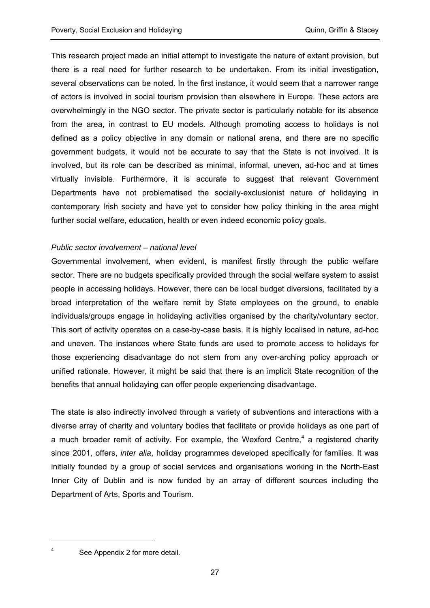This research project made an initial attempt to investigate the nature of extant provision, but there is a real need for further research to be undertaken. From its initial investigation, several observations can be noted. In the first instance, it would seem that a narrower range of actors is involved in social tourism provision than elsewhere in Europe. These actors are overwhelmingly in the NGO sector. The private sector is particularly notable for its absence from the area, in contrast to EU models. Although promoting access to holidays is not defined as a policy objective in any domain or national arena, and there are no specific government budgets, it would not be accurate to say that the State is not involved. It is involved, but its role can be described as minimal, informal, uneven, ad-hoc and at times virtually invisible. Furthermore, it is accurate to suggest that relevant Government Departments have not problematised the socially-exclusionist nature of holidaying in contemporary Irish society and have yet to consider how policy thinking in the area might further social welfare, education, health or even indeed economic policy goals.

#### *Public sector involvement – national level*

Governmental involvement, when evident, is manifest firstly through the public welfare sector. There are no budgets specifically provided through the social welfare system to assist people in accessing holidays. However, there can be local budget diversions, facilitated by a broad interpretation of the welfare remit by State employees on the ground, to enable individuals/groups engage in holidaying activities organised by the charity/voluntary sector. This sort of activity operates on a case-by-case basis. It is highly localised in nature, ad-hoc and uneven. The instances where State funds are used to promote access to holidays for those experiencing disadvantage do not stem from any over-arching policy approach or unified rationale. However, it might be said that there is an implicit State recognition of the benefits that annual holidaying can offer people experiencing disadvantage.

The state is also indirectly involved through a variety of subventions and interactions with a diverse array of charity and voluntary bodies that facilitate or provide holidays as one part of a much broader remit of activity. For example, the Wexford Centre,<sup>4</sup> a registered charity since 2001, offers, *inter alia*, holiday programmes developed specifically for families. It was initially founded by a group of social services and organisations working in the North-East Inner City of Dublin and is now funded by an array of different sources including the Department of Arts, Sports and Tourism.

-4

See Appendix 2 for more detail.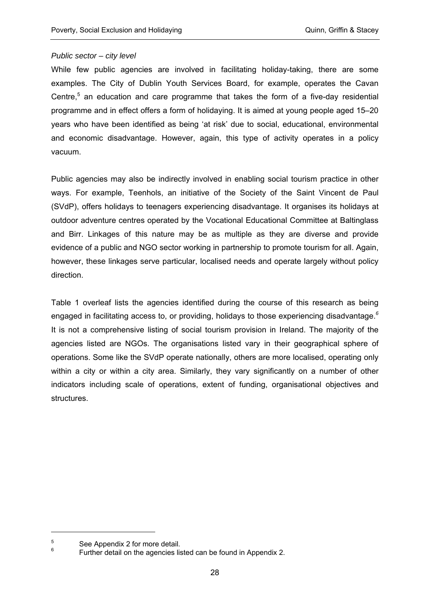#### *Public sector – city level*

While few public agencies are involved in facilitating holiday-taking, there are some examples. The City of Dublin Youth Services Board, for example, operates the Cavan Centre, $5$  an education and care programme that takes the form of a five-day residential programme and in effect offers a form of holidaying. It is aimed at young people aged 15–20 years who have been identified as being 'at risk' due to social, educational, environmental and economic disadvantage. However, again, this type of activity operates in a policy vacuum.

Public agencies may also be indirectly involved in enabling social tourism practice in other ways. For example, Teenhols, an initiative of the Society of the Saint Vincent de Paul (SVdP), offers holidays to teenagers experiencing disadvantage. It organises its holidays at outdoor adventure centres operated by the Vocational Educational Committee at Baltinglass and Birr. Linkages of this nature may be as multiple as they are diverse and provide evidence of a public and NGO sector working in partnership to promote tourism for all. Again, however, these linkages serve particular, localised needs and operate largely without policy direction.

Table 1 overleaf lists the agencies identified during the course of this research as being engaged in facilitating access to, or providing, holidays to those experiencing disadvantage.*<sup>6</sup>* It is not a comprehensive listing of social tourism provision in Ireland. The majority of the agencies listed are NGOs. The organisations listed vary in their geographical sphere of operations. Some like the SVdP operate nationally, others are more localised, operating only within a city or within a city area. Similarly, they vary significantly on a number of other indicators including scale of operations, extent of funding, organisational objectives and structures.

-

<sup>5</sup> See Appendix 2 for more detail.

<sup>6</sup> Further detail on the agencies listed can be found in Appendix 2.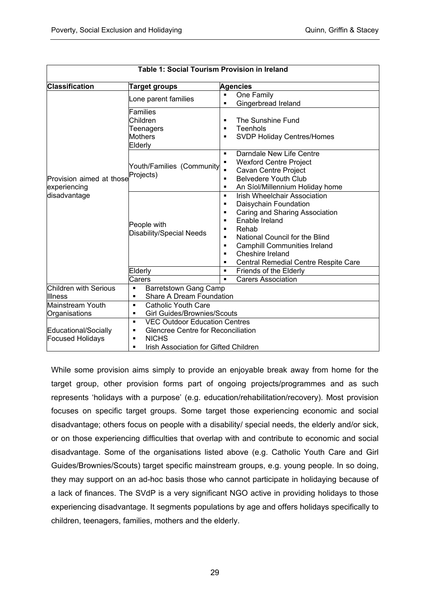| <b>Table 1: Social Tourism Provision in Ireland</b> |                                                                                                                                                                                                            |                                                                                                                                                                                                                                                                                                                                                          |  |  |  |  |
|-----------------------------------------------------|------------------------------------------------------------------------------------------------------------------------------------------------------------------------------------------------------------|----------------------------------------------------------------------------------------------------------------------------------------------------------------------------------------------------------------------------------------------------------------------------------------------------------------------------------------------------------|--|--|--|--|
| <b>Classification</b>                               | Target groups                                                                                                                                                                                              | <b>Agencies</b>                                                                                                                                                                                                                                                                                                                                          |  |  |  |  |
|                                                     | Lone parent families                                                                                                                                                                                       | One Family<br>$\blacksquare$<br>Gingerbread Ireland<br>$\blacksquare$                                                                                                                                                                                                                                                                                    |  |  |  |  |
|                                                     | <b>Families</b><br>Children<br>Teenagers<br><b>Mothers</b><br>Elderly                                                                                                                                      | The Sunshine Fund<br>٠<br>Teenhols<br>$\blacksquare$<br><b>SVDP Holiday Centres/Homes</b><br>٠                                                                                                                                                                                                                                                           |  |  |  |  |
| Provision aimed at those<br>experiencing            | Youth/Families (Community<br>Projects)                                                                                                                                                                     | Darndale New Life Centre<br>$\blacksquare$<br><b>Wexford Centre Project</b><br>٠<br><b>Cavan Centre Project</b><br>$\blacksquare$<br><b>Belvedere Youth Club</b><br>$\blacksquare$<br>An Síol/Millennium Holiday home<br>$\blacksquare$                                                                                                                  |  |  |  |  |
| disadvantage                                        | People with<br>Disability/Special Needs                                                                                                                                                                    | Irish Wheelchair Association<br>$\blacksquare$<br>Daisychain Foundation<br>$\blacksquare$<br>Caring and Sharing Association<br>٠<br>Enable Ireland<br>٠<br>Rehab<br>٠<br>National Council for the Blind<br>$\blacksquare$<br><b>Camphill Communities Ireland</b><br>$\blacksquare$<br>Cheshire Ireland<br>٠<br>Central Remedial Centre Respite Care<br>٠ |  |  |  |  |
|                                                     | Elderly                                                                                                                                                                                                    | Friends of the Elderly<br>$\blacksquare$                                                                                                                                                                                                                                                                                                                 |  |  |  |  |
| Children with Serious<br>Illness                    | Carers<br>$\blacksquare$<br><b>Carers Association</b><br>Barretstown Gang Camp<br>Ξ<br>Share A Dream Foundation<br>٠                                                                                       |                                                                                                                                                                                                                                                                                                                                                          |  |  |  |  |
| Mainstream Youth<br>Organisations                   | <b>Catholic Youth Care</b><br>$\blacksquare$<br>$\blacksquare$                                                                                                                                             |                                                                                                                                                                                                                                                                                                                                                          |  |  |  |  |
| Educational/Socially<br><b>Focused Holidays</b>     | <b>Girl Guides/Brownies/Scouts</b><br><b>VEC Outdoor Education Centres</b><br>$\blacksquare$<br>Glencree Centre for Reconciliation<br>٠<br><b>NICHS</b><br>п<br>Irish Association for Gifted Children<br>٠ |                                                                                                                                                                                                                                                                                                                                                          |  |  |  |  |

While some provision aims simply to provide an enjoyable break away from home for the target group, other provision forms part of ongoing projects/programmes and as such represents 'holidays with a purpose' (e.g. education/rehabilitation/recovery). Most provision focuses on specific target groups. Some target those experiencing economic and social disadvantage; others focus on people with a disability/ special needs, the elderly and/or sick, or on those experiencing difficulties that overlap with and contribute to economic and social disadvantage. Some of the organisations listed above (e.g. Catholic Youth Care and Girl Guides/Brownies/Scouts) target specific mainstream groups, e.g. young people. In so doing, they may support on an ad-hoc basis those who cannot participate in holidaying because of a lack of finances. The SVdP is a very significant NGO active in providing holidays to those experiencing disadvantage. It segments populations by age and offers holidays specifically to children, teenagers, families, mothers and the elderly.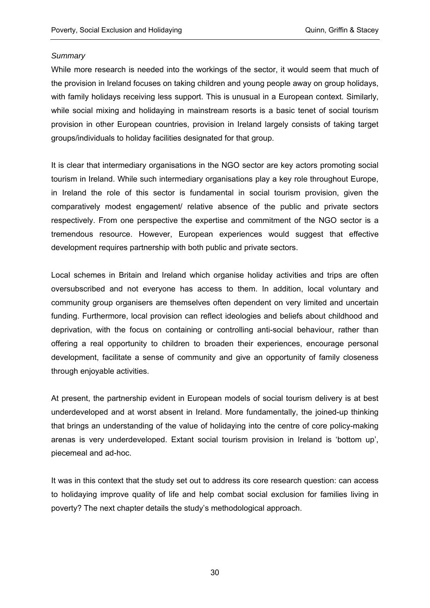#### *Summary*

While more research is needed into the workings of the sector, it would seem that much of the provision in Ireland focuses on taking children and young people away on group holidays, with family holidays receiving less support. This is unusual in a European context. Similarly, while social mixing and holidaying in mainstream resorts is a basic tenet of social tourism provision in other European countries, provision in Ireland largely consists of taking target groups/individuals to holiday facilities designated for that group.

It is clear that intermediary organisations in the NGO sector are key actors promoting social tourism in Ireland. While such intermediary organisations play a key role throughout Europe, in Ireland the role of this sector is fundamental in social tourism provision, given the comparatively modest engagement/ relative absence of the public and private sectors respectively. From one perspective the expertise and commitment of the NGO sector is a tremendous resource. However, European experiences would suggest that effective development requires partnership with both public and private sectors.

Local schemes in Britain and Ireland which organise holiday activities and trips are often oversubscribed and not everyone has access to them. In addition, local voluntary and community group organisers are themselves often dependent on very limited and uncertain funding. Furthermore, local provision can reflect ideologies and beliefs about childhood and deprivation, with the focus on containing or controlling anti-social behaviour, rather than offering a real opportunity to children to broaden their experiences, encourage personal development, facilitate a sense of community and give an opportunity of family closeness through enjoyable activities.

At present, the partnership evident in European models of social tourism delivery is at best underdeveloped and at worst absent in Ireland. More fundamentally, the joined-up thinking that brings an understanding of the value of holidaying into the centre of core policy-making arenas is very underdeveloped. Extant social tourism provision in Ireland is 'bottom up', piecemeal and ad-hoc.

It was in this context that the study set out to address its core research question: can access to holidaying improve quality of life and help combat social exclusion for families living in poverty? The next chapter details the study's methodological approach.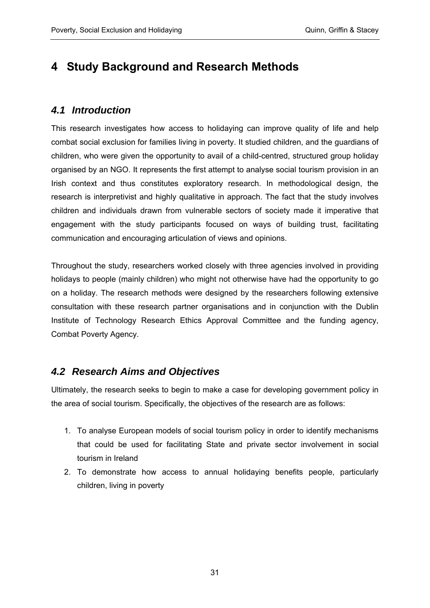# **4 Study Background and Research Methods**

## *4.1 Introduction*

This research investigates how access to holidaying can improve quality of life and help combat social exclusion for families living in poverty. It studied children, and the guardians of children, who were given the opportunity to avail of a child-centred, structured group holiday organised by an NGO. It represents the first attempt to analyse social tourism provision in an Irish context and thus constitutes exploratory research. In methodological design, the research is interpretivist and highly qualitative in approach. The fact that the study involves children and individuals drawn from vulnerable sectors of society made it imperative that engagement with the study participants focused on ways of building trust, facilitating communication and encouraging articulation of views and opinions.

Throughout the study, researchers worked closely with three agencies involved in providing holidays to people (mainly children) who might not otherwise have had the opportunity to go on a holiday. The research methods were designed by the researchers following extensive consultation with these research partner organisations and in conjunction with the Dublin Institute of Technology Research Ethics Approval Committee and the funding agency, Combat Poverty Agency.

# *4.2 Research Aims and Objectives*

Ultimately, the research seeks to begin to make a case for developing government policy in the area of social tourism. Specifically, the objectives of the research are as follows:

- 1. To analyse European models of social tourism policy in order to identify mechanisms that could be used for facilitating State and private sector involvement in social tourism in Ireland
- 2. To demonstrate how access to annual holidaying benefits people, particularly children, living in poverty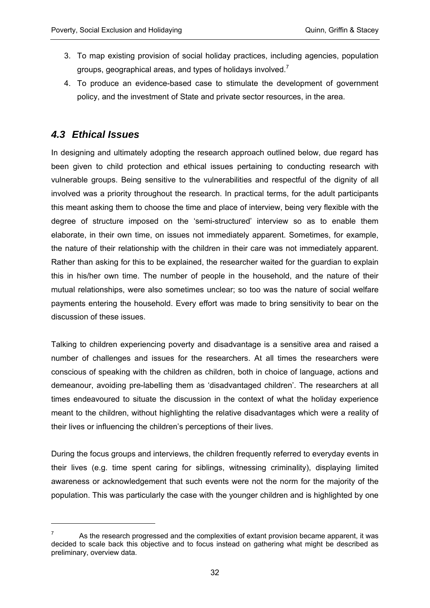- 3. To map existing provision of social holiday practices, including agencies, population groups, geographical areas, and types of holidays involved.<sup>7</sup>
- 4. To produce an evidence-based case to stimulate the development of government policy, and the investment of State and private sector resources, in the area.

# *4.3 Ethical Issues*

-

In designing and ultimately adopting the research approach outlined below, due regard has been given to child protection and ethical issues pertaining to conducting research with vulnerable groups. Being sensitive to the vulnerabilities and respectful of the dignity of all involved was a priority throughout the research. In practical terms, for the adult participants this meant asking them to choose the time and place of interview, being very flexible with the degree of structure imposed on the 'semi-structured' interview so as to enable them elaborate, in their own time, on issues not immediately apparent. Sometimes, for example, the nature of their relationship with the children in their care was not immediately apparent. Rather than asking for this to be explained, the researcher waited for the guardian to explain this in his/her own time. The number of people in the household, and the nature of their mutual relationships, were also sometimes unclear; so too was the nature of social welfare payments entering the household. Every effort was made to bring sensitivity to bear on the discussion of these issues.

Talking to children experiencing poverty and disadvantage is a sensitive area and raised a number of challenges and issues for the researchers. At all times the researchers were conscious of speaking with the children as children, both in choice of language, actions and demeanour, avoiding pre-labelling them as 'disadvantaged children'. The researchers at all times endeavoured to situate the discussion in the context of what the holiday experience meant to the children, without highlighting the relative disadvantages which were a reality of their lives or influencing the children's perceptions of their lives.

During the focus groups and interviews, the children frequently referred to everyday events in their lives (e.g. time spent caring for siblings, witnessing criminality), displaying limited awareness or acknowledgement that such events were not the norm for the majority of the population. This was particularly the case with the younger children and is highlighted by one

<sup>7</sup> As the research progressed and the complexities of extant provision became apparent, it was decided to scale back this objective and to focus instead on gathering what might be described as preliminary, overview data.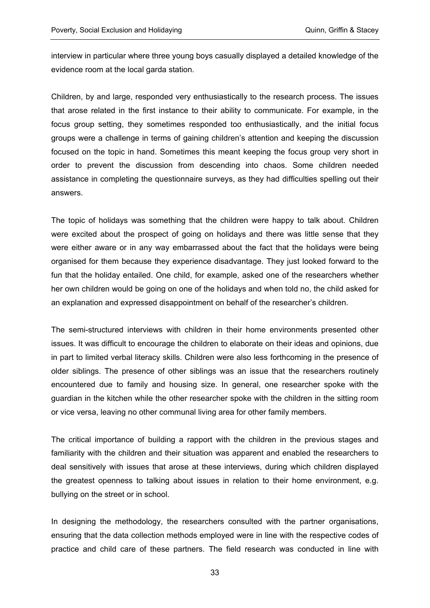interview in particular where three young boys casually displayed a detailed knowledge of the evidence room at the local garda station.

Children, by and large, responded very enthusiastically to the research process. The issues that arose related in the first instance to their ability to communicate. For example, in the focus group setting, they sometimes responded too enthusiastically, and the initial focus groups were a challenge in terms of gaining children's attention and keeping the discussion focused on the topic in hand. Sometimes this meant keeping the focus group very short in order to prevent the discussion from descending into chaos. Some children needed assistance in completing the questionnaire surveys, as they had difficulties spelling out their answers.

The topic of holidays was something that the children were happy to talk about. Children were excited about the prospect of going on holidays and there was little sense that they were either aware or in any way embarrassed about the fact that the holidays were being organised for them because they experience disadvantage. They just looked forward to the fun that the holiday entailed. One child, for example, asked one of the researchers whether her own children would be going on one of the holidays and when told no, the child asked for an explanation and expressed disappointment on behalf of the researcher's children.

The semi-structured interviews with children in their home environments presented other issues. It was difficult to encourage the children to elaborate on their ideas and opinions, due in part to limited verbal literacy skills. Children were also less forthcoming in the presence of older siblings. The presence of other siblings was an issue that the researchers routinely encountered due to family and housing size. In general, one researcher spoke with the guardian in the kitchen while the other researcher spoke with the children in the sitting room or vice versa, leaving no other communal living area for other family members.

The critical importance of building a rapport with the children in the previous stages and familiarity with the children and their situation was apparent and enabled the researchers to deal sensitively with issues that arose at these interviews, during which children displayed the greatest openness to talking about issues in relation to their home environment, e.g. bullying on the street or in school.

In designing the methodology, the researchers consulted with the partner organisations, ensuring that the data collection methods employed were in line with the respective codes of practice and child care of these partners. The field research was conducted in line with

33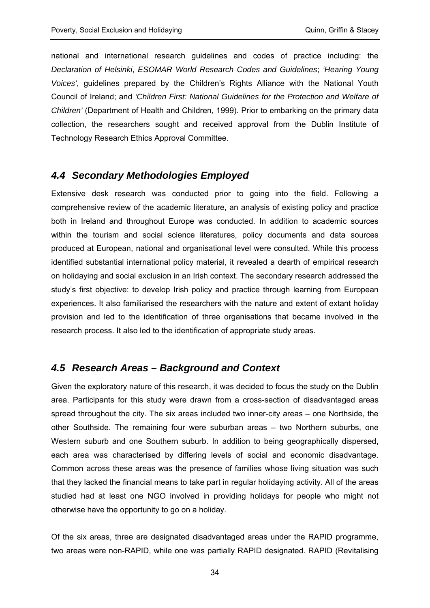national and international research guidelines and codes of practice including: the *Declaration of Helsinki*, *ESOMAR World Research Codes and Guidelines*; *'Hearing Young Voices'*, guidelines prepared by the Children's Rights Alliance with the National Youth Council of Ireland; and *'Children First: National Guidelines for the Protection and Welfare of Children'* (Department of Health and Children, 1999). Prior to embarking on the primary data collection, the researchers sought and received approval from the Dublin Institute of Technology Research Ethics Approval Committee.

### *4.4 Secondary Methodologies Employed*

Extensive desk research was conducted prior to going into the field. Following a comprehensive review of the academic literature, an analysis of existing policy and practice both in Ireland and throughout Europe was conducted. In addition to academic sources within the tourism and social science literatures, policy documents and data sources produced at European, national and organisational level were consulted. While this process identified substantial international policy material, it revealed a dearth of empirical research on holidaying and social exclusion in an Irish context. The secondary research addressed the study's first objective: to develop Irish policy and practice through learning from European experiences. It also familiarised the researchers with the nature and extent of extant holiday provision and led to the identification of three organisations that became involved in the research process. It also led to the identification of appropriate study areas.

#### *4.5 Research Areas – Background and Context*

Given the exploratory nature of this research, it was decided to focus the study on the Dublin area. Participants for this study were drawn from a cross-section of disadvantaged areas spread throughout the city. The six areas included two inner-city areas – one Northside, the other Southside. The remaining four were suburban areas – two Northern suburbs, one Western suburb and one Southern suburb. In addition to being geographically dispersed, each area was characterised by differing levels of social and economic disadvantage. Common across these areas was the presence of families whose living situation was such that they lacked the financial means to take part in regular holidaying activity. All of the areas studied had at least one NGO involved in providing holidays for people who might not otherwise have the opportunity to go on a holiday.

Of the six areas, three are designated disadvantaged areas under the RAPID programme, two areas were non-RAPID, while one was partially RAPID designated. RAPID (Revitalising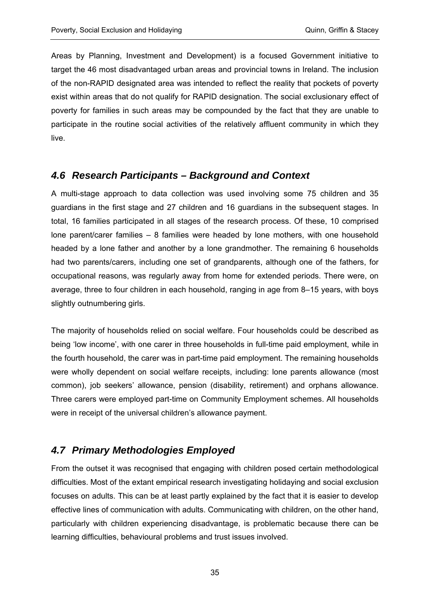Areas by Planning, Investment and Development) is a focused Government initiative to target the 46 most disadvantaged urban areas and provincial towns in Ireland. The inclusion of the non-RAPID designated area was intended to reflect the reality that pockets of poverty exist within areas that do not qualify for RAPID designation. The social exclusionary effect of poverty for families in such areas may be compounded by the fact that they are unable to participate in the routine social activities of the relatively affluent community in which they live.

### *4.6 Research Participants – Background and Context*

A multi-stage approach to data collection was used involving some 75 children and 35 guardians in the first stage and 27 children and 16 guardians in the subsequent stages. In total, 16 families participated in all stages of the research process. Of these, 10 comprised lone parent/carer families – 8 families were headed by lone mothers, with one household headed by a lone father and another by a lone grandmother. The remaining 6 households had two parents/carers, including one set of grandparents, although one of the fathers, for occupational reasons, was regularly away from home for extended periods. There were, on average, three to four children in each household, ranging in age from 8–15 years, with boys slightly outnumbering girls.

The majority of households relied on social welfare. Four households could be described as being 'low income', with one carer in three households in full-time paid employment, while in the fourth household, the carer was in part-time paid employment. The remaining households were wholly dependent on social welfare receipts, including: lone parents allowance (most common), job seekers' allowance, pension (disability, retirement) and orphans allowance. Three carers were employed part-time on Community Employment schemes. All households were in receipt of the universal children's allowance payment.

### *4.7 Primary Methodologies Employed*

From the outset it was recognised that engaging with children posed certain methodological difficulties. Most of the extant empirical research investigating holidaying and social exclusion focuses on adults. This can be at least partly explained by the fact that it is easier to develop effective lines of communication with adults. Communicating with children, on the other hand, particularly with children experiencing disadvantage, is problematic because there can be learning difficulties, behavioural problems and trust issues involved.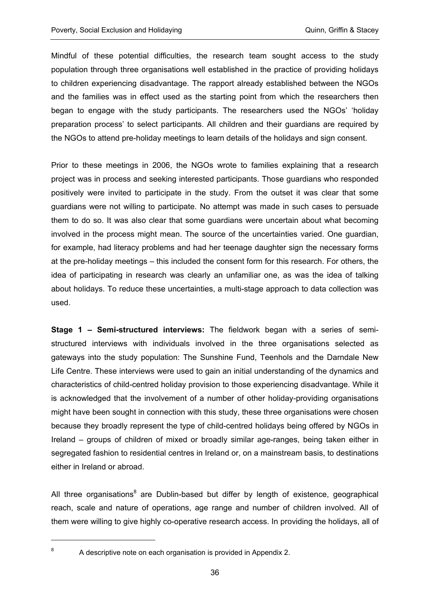Mindful of these potential difficulties, the research team sought access to the study population through three organisations well established in the practice of providing holidays to children experiencing disadvantage. The rapport already established between the NGOs and the families was in effect used as the starting point from which the researchers then began to engage with the study participants. The researchers used the NGOs' 'holiday preparation process' to select participants. All children and their guardians are required by the NGOs to attend pre-holiday meetings to learn details of the holidays and sign consent.

Prior to these meetings in 2006, the NGOs wrote to families explaining that a research project was in process and seeking interested participants. Those guardians who responded positively were invited to participate in the study. From the outset it was clear that some guardians were not willing to participate. No attempt was made in such cases to persuade them to do so. It was also clear that some guardians were uncertain about what becoming involved in the process might mean. The source of the uncertainties varied. One guardian, for example, had literacy problems and had her teenage daughter sign the necessary forms at the pre-holiday meetings – this included the consent form for this research. For others, the idea of participating in research was clearly an unfamiliar one, as was the idea of talking about holidays. To reduce these uncertainties, a multi-stage approach to data collection was used.

**Stage 1 – Semi-structured interviews:** The fieldwork began with a series of semistructured interviews with individuals involved in the three organisations selected as gateways into the study population: The Sunshine Fund, Teenhols and the Darndale New Life Centre. These interviews were used to gain an initial understanding of the dynamics and characteristics of child-centred holiday provision to those experiencing disadvantage. While it is acknowledged that the involvement of a number of other holiday-providing organisations might have been sought in connection with this study, these three organisations were chosen because they broadly represent the type of child-centred holidays being offered by NGOs in Ireland – groups of children of mixed or broadly similar age-ranges, being taken either in segregated fashion to residential centres in Ireland or, on a mainstream basis, to destinations either in Ireland or abroad.

All three organisations<sup>8</sup> are Dublin-based but differ by length of existence, geographical reach, scale and nature of operations, age range and number of children involved. All of them were willing to give highly co-operative research access. In providing the holidays, all of

-8

A descriptive note on each organisation is provided in Appendix 2.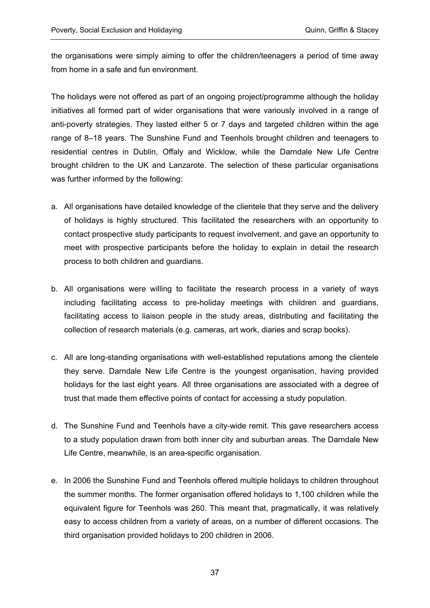the organisations were simply aiming to offer the children/teenagers a period of time away from home in a safe and fun environment.

The holidays were not offered as part of an ongoing project/programme although the holiday initiatives all formed part of wider organisations that were variously involved in a range of anti-poverty strategies. They lasted either 5 or 7 days and targeted children within the age range of 8–18 years. The Sunshine Fund and Teenhols brought children and teenagers to residential centres in Dublin, Offaly and Wicklow, while the Darndale New Life Centre brought children to the UK and Lanzarote. The selection of these particular organisations was further informed by the following:

- a. All organisations have detailed knowledge of the clientele that they serve and the delivery of holidays is highly structured. This facilitated the researchers with an opportunity to contact prospective study participants to request involvement, and gave an opportunity to meet with prospective participants before the holiday to explain in detail the research process to both children and guardians.
- b. All organisations were willing to facilitate the research process in a variety of ways including facilitating access to pre-holiday meetings with children and guardians, facilitating access to liaison people in the study areas, distributing and facilitating the collection of research materials (e.g. cameras, art work, diaries and scrap books).
- c. All are long-standing organisations with well-established reputations among the clientele they serve. Darndale New Life Centre is the youngest organisation, having provided holidays for the last eight years. All three organisations are associated with a degree of trust that made them effective points of contact for accessing a study population.
- d. The Sunshine Fund and Teenhols have a city-wide remit. This gave researchers access to a study population drawn from both inner city and suburban areas. The Darndale New Life Centre, meanwhile, is an area-specific organisation.
- e. In 2006 the Sunshine Fund and Teenhols offered multiple holidays to children throughout the summer months. The former organisation offered holidays to 1,100 children while the equivalent figure for Teenhols was 260. This meant that, pragmatically, it was relatively easy to access children from a variety of areas, on a number of different occasions. The third organisation provided holidays to 200 children in 2006.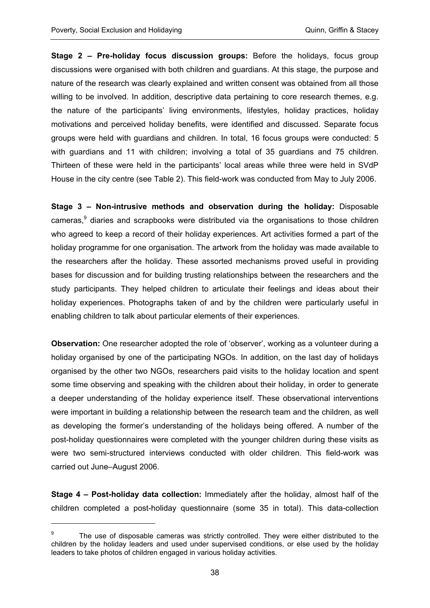-

**Stage 2 – Pre-holiday focus discussion groups:** Before the holidays, focus group discussions were organised with both children and guardians. At this stage, the purpose and nature of the research was clearly explained and written consent was obtained from all those willing to be involved. In addition, descriptive data pertaining to core research themes, e.g. the nature of the participants' living environments, lifestyles, holiday practices, holiday motivations and perceived holiday benefits, were identified and discussed. Separate focus groups were held with guardians and children. In total, 16 focus groups were conducted: 5 with guardians and 11 with children; involving a total of 35 guardians and 75 children. Thirteen of these were held in the participants' local areas while three were held in SVdP House in the city centre (see Table 2). This field-work was conducted from May to July 2006.

**Stage 3 – Non-intrusive methods and observation during the holiday:** Disposable cameras, $9$  diaries and scrapbooks were distributed via the organisations to those children who agreed to keep a record of their holiday experiences. Art activities formed a part of the holiday programme for one organisation. The artwork from the holiday was made available to the researchers after the holiday. These assorted mechanisms proved useful in providing bases for discussion and for building trusting relationships between the researchers and the study participants. They helped children to articulate their feelings and ideas about their holiday experiences. Photographs taken of and by the children were particularly useful in enabling children to talk about particular elements of their experiences.

**Observation:** One researcher adopted the role of 'observer', working as a volunteer during a holiday organised by one of the participating NGOs. In addition, on the last day of holidays organised by the other two NGOs, researchers paid visits to the holiday location and spent some time observing and speaking with the children about their holiday, in order to generate a deeper understanding of the holiday experience itself. These observational interventions were important in building a relationship between the research team and the children, as well as developing the former's understanding of the holidays being offered. A number of the post-holiday questionnaires were completed with the younger children during these visits as were two semi-structured interviews conducted with older children. This field-work was carried out June–August 2006.

**Stage 4 – Post-holiday data collection:** Immediately after the holiday, almost half of the children completed a post-holiday questionnaire (some 35 in total). This data-collection

<sup>9</sup> The use of disposable cameras was strictly controlled. They were either distributed to the children by the holiday leaders and used under supervised conditions, or else used by the holiday leaders to take photos of children engaged in various holiday activities.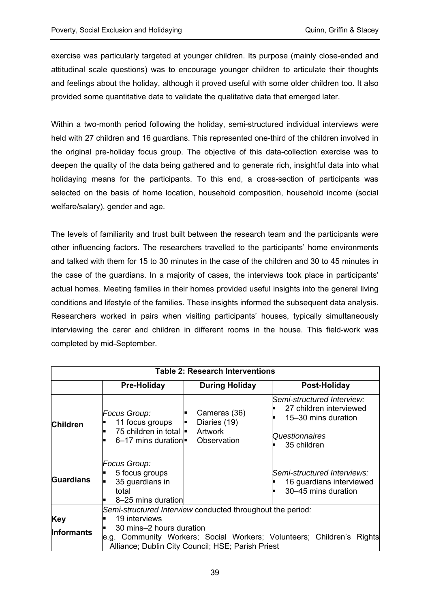exercise was particularly targeted at younger children. Its purpose (mainly close-ended and attitudinal scale questions) was to encourage younger children to articulate their thoughts and feelings about the holiday, although it proved useful with some older children too. It also provided some quantitative data to validate the qualitative data that emerged later.

Within a two-month period following the holiday, semi-structured individual interviews were held with 27 children and 16 guardians. This represented one-third of the children involved in the original pre-holiday focus group. The objective of this data-collection exercise was to deepen the quality of the data being gathered and to generate rich, insightful data into what holidaying means for the participants. To this end, a cross-section of participants was selected on the basis of home location, household composition, household income (social welfare/salary), gender and age.

The levels of familiarity and trust built between the research team and the participants were other influencing factors. The researchers travelled to the participants' home environments and talked with them for 15 to 30 minutes in the case of the children and 30 to 45 minutes in the case of the guardians. In a majority of cases, the interviews took place in participants' actual homes. Meeting families in their homes provided useful insights into the general living conditions and lifestyle of the families. These insights informed the subsequent data analysis. Researchers worked in pairs when visiting participants' houses, typically simultaneously interviewing the carer and children in different rooms in the house. This field-work was completed by mid-September.

| <b>Table 2: Research Interventions</b> |                                                                                                                                                                                  |                                                        |                                                                                                               |
|----------------------------------------|----------------------------------------------------------------------------------------------------------------------------------------------------------------------------------|--------------------------------------------------------|---------------------------------------------------------------------------------------------------------------|
|                                        | <b>Pre-Holiday</b>                                                                                                                                                               | <b>During Holiday</b>                                  | Post-Holiday                                                                                                  |
| <b>Children</b>                        | Focus Group:<br>11 focus groups<br>75 children in total  <br>$6-17$ mins duration                                                                                                | Cameras (36)<br>Diaries (19)<br>Artwork<br>Observation | Semi-structured Interview:<br>27 children interviewed<br>15-30 mins duration<br>Questionnaires<br>35 children |
| Guardians                              | Focus Group:<br>5 focus groups<br>35 guardians in<br>total<br>8-25 mins duration                                                                                                 |                                                        | Semi-structured Interviews:<br>16 guardians interviewed<br>30-45 mins duration                                |
| Key<br><b>Informants</b>               | Semi-structured Interview conducted throughout the period:<br>19 interviews<br>30 mins-2 hours duration<br>e.g. Community Workers; Social Workers; Volunteers; Children's Rights |                                                        |                                                                                                               |
|                                        | Alliance; Dublin City Council; HSE; Parish Priest                                                                                                                                |                                                        |                                                                                                               |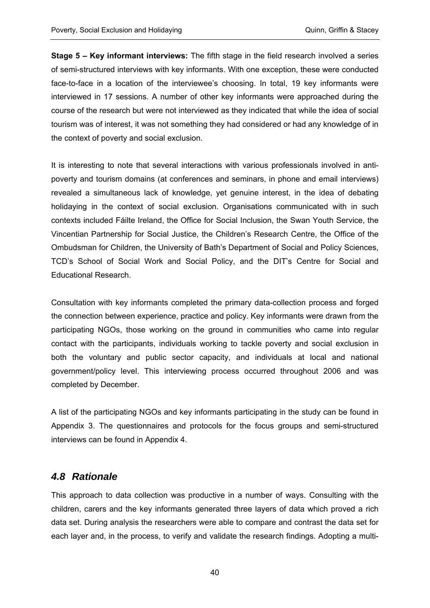**Stage 5 – Key informant interviews:** The fifth stage in the field research involved a series of semi-structured interviews with key informants. With one exception, these were conducted face-to-face in a location of the interviewee's choosing. In total, 19 key informants were interviewed in 17 sessions. A number of other key informants were approached during the course of the research but were not interviewed as they indicated that while the idea of social tourism was of interest, it was not something they had considered or had any knowledge of in the context of poverty and social exclusion.

It is interesting to note that several interactions with various professionals involved in antipoverty and tourism domains (at conferences and seminars, in phone and email interviews) revealed a simultaneous lack of knowledge, yet genuine interest, in the idea of debating holidaying in the context of social exclusion. Organisations communicated with in such contexts included Fáilte Ireland, the Office for Social Inclusion, the Swan Youth Service, the Vincentian Partnership for Social Justice, the Children's Research Centre, the Office of the Ombudsman for Children, the University of Bath's Department of Social and Policy Sciences, TCD's School of Social Work and Social Policy, and the DIT's Centre for Social and Educational Research.

Consultation with key informants completed the primary data-collection process and forged the connection between experience, practice and policy. Key informants were drawn from the participating NGOs, those working on the ground in communities who came into regular contact with the participants, individuals working to tackle poverty and social exclusion in both the voluntary and public sector capacity, and individuals at local and national government/policy level. This interviewing process occurred throughout 2006 and was completed by December.

A list of the participating NGOs and key informants participating in the study can be found in Appendix 3. The questionnaires and protocols for the focus groups and semi-structured interviews can be found in Appendix 4.

### *4.8 Rationale*

This approach to data collection was productive in a number of ways. Consulting with the children, carers and the key informants generated three layers of data which proved a rich data set. During analysis the researchers were able to compare and contrast the data set for each layer and, in the process, to verify and validate the research findings. Adopting a multi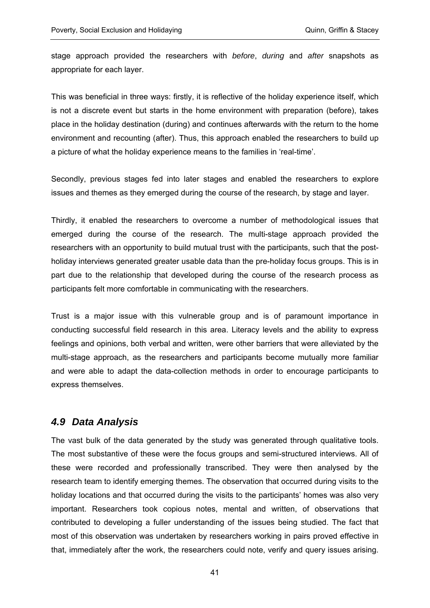stage approach provided the researchers with *before*, *during* and *after* snapshots as appropriate for each layer.

This was beneficial in three ways: firstly, it is reflective of the holiday experience itself, which is not a discrete event but starts in the home environment with preparation (before), takes place in the holiday destination (during) and continues afterwards with the return to the home environment and recounting (after). Thus, this approach enabled the researchers to build up a picture of what the holiday experience means to the families in 'real-time'.

Secondly, previous stages fed into later stages and enabled the researchers to explore issues and themes as they emerged during the course of the research, by stage and layer.

Thirdly, it enabled the researchers to overcome a number of methodological issues that emerged during the course of the research. The multi-stage approach provided the researchers with an opportunity to build mutual trust with the participants, such that the postholiday interviews generated greater usable data than the pre-holiday focus groups. This is in part due to the relationship that developed during the course of the research process as participants felt more comfortable in communicating with the researchers.

Trust is a major issue with this vulnerable group and is of paramount importance in conducting successful field research in this area. Literacy levels and the ability to express feelings and opinions, both verbal and written, were other barriers that were alleviated by the multi-stage approach, as the researchers and participants become mutually more familiar and were able to adapt the data-collection methods in order to encourage participants to express themselves.

### *4.9 Data Analysis*

The vast bulk of the data generated by the study was generated through qualitative tools. The most substantive of these were the focus groups and semi-structured interviews. All of these were recorded and professionally transcribed. They were then analysed by the research team to identify emerging themes. The observation that occurred during visits to the holiday locations and that occurred during the visits to the participants' homes was also very important. Researchers took copious notes, mental and written, of observations that contributed to developing a fuller understanding of the issues being studied. The fact that most of this observation was undertaken by researchers working in pairs proved effective in that, immediately after the work, the researchers could note, verify and query issues arising.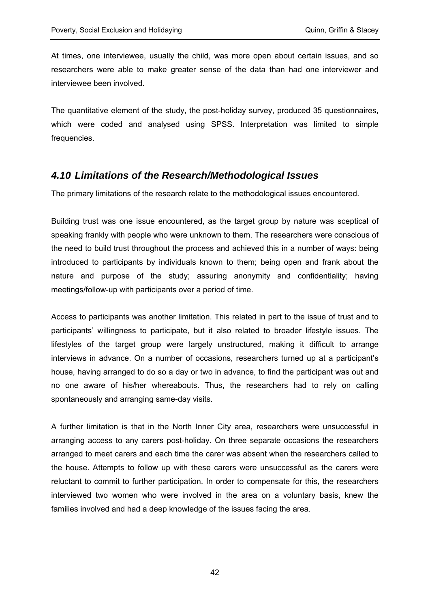At times, one interviewee, usually the child, was more open about certain issues, and so researchers were able to make greater sense of the data than had one interviewer and interviewee been involved.

The quantitative element of the study, the post-holiday survey, produced 35 questionnaires, which were coded and analysed using SPSS. Interpretation was limited to simple frequencies.

### *4.10 Limitations of the Research/Methodological Issues*

The primary limitations of the research relate to the methodological issues encountered.

Building trust was one issue encountered, as the target group by nature was sceptical of speaking frankly with people who were unknown to them. The researchers were conscious of the need to build trust throughout the process and achieved this in a number of ways: being introduced to participants by individuals known to them; being open and frank about the nature and purpose of the study; assuring anonymity and confidentiality; having meetings/follow-up with participants over a period of time.

Access to participants was another limitation. This related in part to the issue of trust and to participants' willingness to participate, but it also related to broader lifestyle issues. The lifestyles of the target group were largely unstructured, making it difficult to arrange interviews in advance. On a number of occasions, researchers turned up at a participant's house, having arranged to do so a day or two in advance, to find the participant was out and no one aware of his/her whereabouts. Thus, the researchers had to rely on calling spontaneously and arranging same-day visits.

A further limitation is that in the North Inner City area, researchers were unsuccessful in arranging access to any carers post-holiday. On three separate occasions the researchers arranged to meet carers and each time the carer was absent when the researchers called to the house. Attempts to follow up with these carers were unsuccessful as the carers were reluctant to commit to further participation. In order to compensate for this, the researchers interviewed two women who were involved in the area on a voluntary basis, knew the families involved and had a deep knowledge of the issues facing the area.

42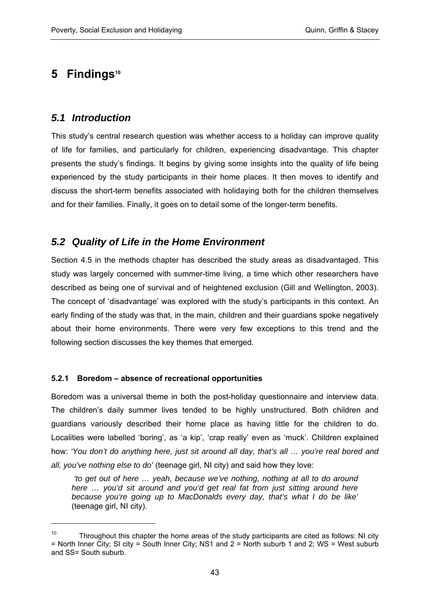# 5 Findings<sup>10</sup>

# *5.1 Introduction*

-

This study's central research question was whether access to a holiday can improve quality of life for families, and particularly for children, experiencing disadvantage. This chapter presents the study's findings. It begins by giving some insights into the quality of life being experienced by the study participants in their home places. It then moves to identify and discuss the short-term benefits associated with holidaying both for the children themselves and for their families. Finally, it goes on to detail some of the longer-term benefits.

# *5.2 Quality of Life in the Home Environment*

Section 4.5 in the methods chapter has described the study areas as disadvantaged. This study was largely concerned with summer-time living, a time which other researchers have described as being one of survival and of heightened exclusion (Gill and Wellington, 2003). The concept of 'disadvantage' was explored with the study's participants in this context. An early finding of the study was that, in the main, children and their guardians spoke negatively about their home environments. There were very few exceptions to this trend and the following section discusses the key themes that emerged.

#### **5.2.1 Boredom – absence of recreational opportunities**

Boredom was a universal theme in both the post-holiday questionnaire and interview data. The children's daily summer lives tended to be highly unstructured. Both children and guardians variously described their home place as having little for the children to do. Localities were labelled 'boring', as 'a kip', 'crap really' even as 'muck'. Children explained how: *'You don't do anything here, just sit around all day, that's all … you're real bored and all, you've nothing else to do'* (teenage girl, NI city) and said how they love:

 *'to get out of here … yeah, because we've nothing, nothing at all to do around here … you'd sit around and you'd get real fat from just sitting around here because you're going up to MacDonalds every day, that's what I do be like'*  (teenage girl, NI city).

<sup>&</sup>lt;sup>10</sup> Throughout this chapter the home areas of the study participants are cited as follows: NI city = North Inner City; SI city = South Inner City; NS1 and 2 = North suburb 1 and 2; WS = West suburb and SS= South suburb.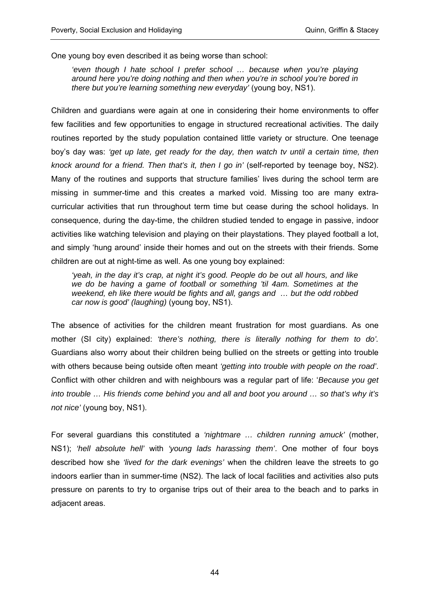One young boy even described it as being worse than school:

*'even though I hate school I prefer school … because when you're playing around here you're doing nothing and then when you're in school you're bored in there but you're learning something new everyday'* (young boy, NS1).

Children and guardians were again at one in considering their home environments to offer few facilities and few opportunities to engage in structured recreational activities. The daily routines reported by the study population contained little variety or structure. One teenage boy's day was: *'get up late, get ready for the day, then watch tv until a certain time, then knock around for a friend. Then that's it, then I go in'* (self-reported by teenage boy, NS2). Many of the routines and supports that structure families' lives during the school term are missing in summer-time and this creates a marked void. Missing too are many extracurricular activities that run throughout term time but cease during the school holidays. In consequence, during the day-time, the children studied tended to engage in passive, indoor activities like watching television and playing on their playstations. They played football a lot, and simply 'hung around' inside their homes and out on the streets with their friends. Some children are out at night-time as well. As one young boy explained:

*'yeah, in the day it's crap, at night it's good. People do be out all hours, and like we do be having a game of football or something 'til 4am. Sometimes at the weekend, eh like there would be fights and all, gangs and … but the odd robbed car now is good' (laughing)* (young boy, NS1).

The absence of activities for the children meant frustration for most guardians. As one mother (SI city) explained: *'there's nothing, there is literally nothing for them to do'.* Guardians also worry about their children being bullied on the streets or getting into trouble with others because being outside often meant *'getting into trouble with people on the road'*. Conflict with other children and with neighbours was a regular part of life: '*Because you get into trouble … His friends come behind you and all and boot you around … so that's why it's not nice'* (young boy, NS1).

For several guardians this constituted a *'nightmare … children running amuck'* (mother, NS1); *'hell absolute hell'* with *'young lads harassing them'*. One mother of four boys described how she *'lived for the dark evenings'* when the children leave the streets to go indoors earlier than in summer-time (NS2). The lack of local facilities and activities also puts pressure on parents to try to organise trips out of their area to the beach and to parks in adjacent areas.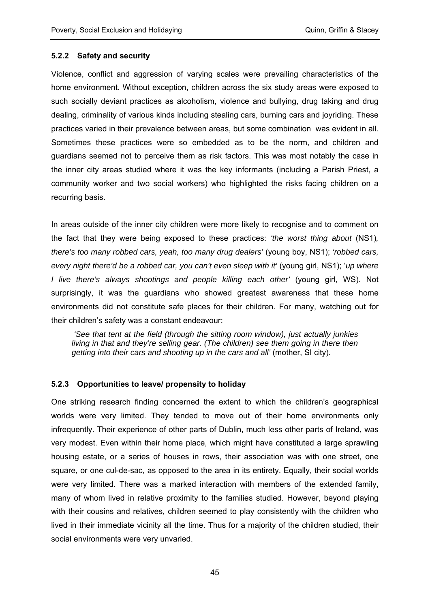#### **5.2.2 Safety and security**

Violence, conflict and aggression of varying scales were prevailing characteristics of the home environment. Without exception, children across the six study areas were exposed to such socially deviant practices as alcoholism, violence and bullying, drug taking and drug dealing, criminality of various kinds including stealing cars, burning cars and joyriding. These practices varied in their prevalence between areas, but some combination was evident in all. Sometimes these practices were so embedded as to be the norm, and children and guardians seemed not to perceive them as risk factors. This was most notably the case in the inner city areas studied where it was the key informants (including a Parish Priest, a community worker and two social workers) who highlighted the risks facing children on a recurring basis.

In areas outside of the inner city children were more likely to recognise and to comment on the fact that they were being exposed to these practices: *'the worst thing about* (NS1)*, there's too many robbed cars, yeah, too many drug dealers'* (young boy, NS1); *'robbed cars, every night there'd be a robbed car, you can't even sleep with it'* (young girl, NS1); '*up where I live there's always shootings and people killing each other'* (young girl, WS). Not surprisingly, it was the guardians who showed greatest awareness that these home environments did not constitute safe places for their children. For many, watching out for their children's safety was a constant endeavour:

 *'See that tent at the field (through the sitting room window), just actually junkies living in that and they're selling gear. (The children) see them going in there then getting into their cars and shooting up in the cars and all' (mother, SI city).* 

#### **5.2.3 Opportunities to leave/ propensity to holiday**

One striking research finding concerned the extent to which the children's geographical worlds were very limited. They tended to move out of their home environments only infrequently. Their experience of other parts of Dublin, much less other parts of Ireland, was very modest. Even within their home place, which might have constituted a large sprawling housing estate, or a series of houses in rows, their association was with one street, one square, or one cul-de-sac, as opposed to the area in its entirety. Equally, their social worlds were very limited. There was a marked interaction with members of the extended family, many of whom lived in relative proximity to the families studied. However, beyond playing with their cousins and relatives, children seemed to play consistently with the children who lived in their immediate vicinity all the time. Thus for a majority of the children studied, their social environments were very unvaried.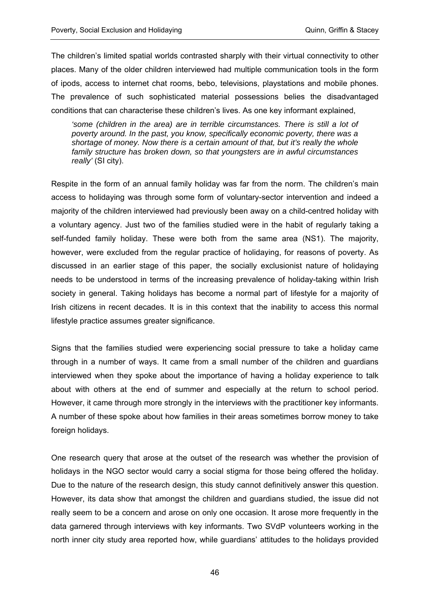The children's limited spatial worlds contrasted sharply with their virtual connectivity to other places. Many of the older children interviewed had multiple communication tools in the form of ipods, access to internet chat rooms, bebo, televisions, playstations and mobile phones. The prevalence of such sophisticated material possessions belies the disadvantaged conditions that can characterise these children's lives. As one key informant explained,

'some (children in the area) are in terrible circumstances. There is still a lot of *poverty around. In the past, you know, specifically economic poverty, there was a shortage of money. Now there is a certain amount of that, but it's really the whole family structure has broken down, so that youngsters are in awful circumstances*  really' (SI city).

Respite in the form of an annual family holiday was far from the norm. The children's main access to holidaying was through some form of voluntary-sector intervention and indeed a majority of the children interviewed had previously been away on a child-centred holiday with a voluntary agency. Just two of the families studied were in the habit of regularly taking a self-funded family holiday. These were both from the same area (NS1). The majority, however, were excluded from the regular practice of holidaying, for reasons of poverty. As discussed in an earlier stage of this paper, the socially exclusionist nature of holidaying needs to be understood in terms of the increasing prevalence of holiday-taking within Irish society in general. Taking holidays has become a normal part of lifestyle for a majority of Irish citizens in recent decades. It is in this context that the inability to access this normal lifestyle practice assumes greater significance.

Signs that the families studied were experiencing social pressure to take a holiday came through in a number of ways. It came from a small number of the children and guardians interviewed when they spoke about the importance of having a holiday experience to talk about with others at the end of summer and especially at the return to school period. However, it came through more strongly in the interviews with the practitioner key informants. A number of these spoke about how families in their areas sometimes borrow money to take foreign holidays.

One research query that arose at the outset of the research was whether the provision of holidays in the NGO sector would carry a social stigma for those being offered the holiday. Due to the nature of the research design, this study cannot definitively answer this question. However, its data show that amongst the children and guardians studied, the issue did not really seem to be a concern and arose on only one occasion. It arose more frequently in the data garnered through interviews with key informants. Two SVdP volunteers working in the north inner city study area reported how, while guardians' attitudes to the holidays provided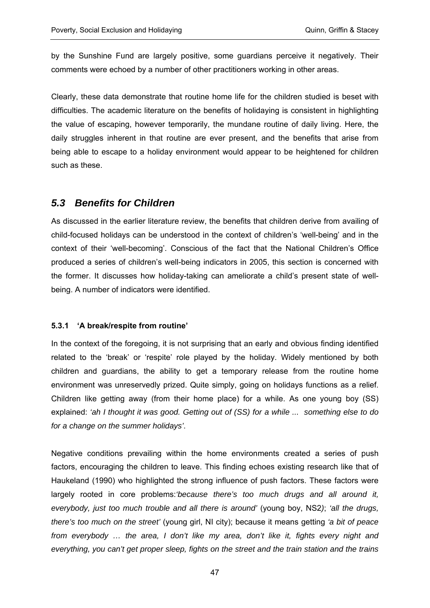by the Sunshine Fund are largely positive, some guardians perceive it negatively. Their comments were echoed by a number of other practitioners working in other areas.

Clearly, these data demonstrate that routine home life for the children studied is beset with difficulties. The academic literature on the benefits of holidaying is consistent in highlighting the value of escaping, however temporarily, the mundane routine of daily living. Here, the daily struggles inherent in that routine are ever present, and the benefits that arise from being able to escape to a holiday environment would appear to be heightened for children such as these.

### *5.3 Benefits for Children*

As discussed in the earlier literature review, the benefits that children derive from availing of child-focused holidays can be understood in the context of children's 'well-being' and in the context of their 'well-becoming'. Conscious of the fact that the National Children's Office produced a series of children's well-being indicators in 2005, this section is concerned with the former. It discusses how holiday-taking can ameliorate a child's present state of wellbeing. A number of indicators were identified.

#### **5.3.1 'A break/respite from routine'**

In the context of the foregoing, it is not surprising that an early and obvious finding identified related to the 'break' or 'respite' role played by the holiday. Widely mentioned by both children and guardians, the ability to get a temporary release from the routine home environment was unreservedly prized. Quite simply, going on holidays functions as a relief. Children like getting away (from their home place) for a while. As one young boy (SS) explained: *'ah I thought it was good. Getting out of (SS) for a while ... something else to do for a change on the summer holidays'*.

Negative conditions prevailing within the home environments created a series of push factors, encouraging the children to leave. This finding echoes existing research like that of Haukeland (1990) who highlighted the strong influence of push factors. These factors were largely rooted in core problems:*'because there's too much drugs and all around it, everybody, just too much trouble and all there is around'* (young boy, NS2*)*; *'all the drugs, there's too much on the street'* (young girl, NI city); because it means getting *'a bit of peace from everybody … the area, I don't like my area, don't like it, fights every night and everything, you can't get proper sleep, fights on the street and the train station and the trains* 

47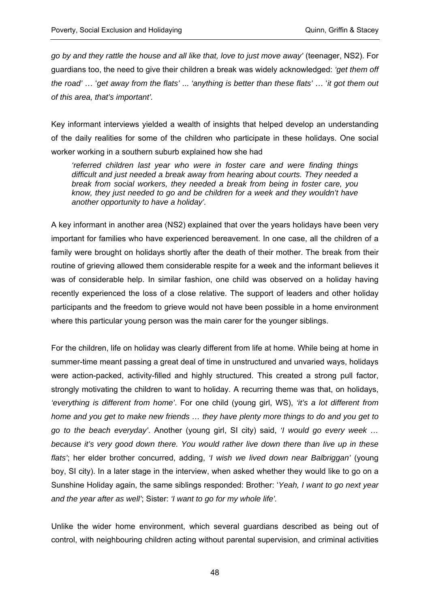*go by and they rattle the house and all like that, love to just move away'* (teenager, NS2). For guardians too, the need to give their children a break was widely acknowledged: *'get them off the road'* … '*get away from the flats'* ... *'anything is better than these flats'* … '*it got them out of this area, that's important'.*

Key informant interviews yielded a wealth of insights that helped develop an understanding of the daily realities for some of the children who participate in these holidays. One social worker working in a southern suburb explained how she had

*'referred children last year who were in foster care and were finding things difficult and just needed a break away from hearing about courts. They needed a break from social workers, they needed a break from being in foster care, you know, they just needed to go and be children for a week and they wouldn't have another opportunity to have a holiday'.* 

A key informant in another area (NS2) explained that over the years holidays have been very important for families who have experienced bereavement. In one case, all the children of a family were brought on holidays shortly after the death of their mother. The break from their routine of grieving allowed them considerable respite for a week and the informant believes it was of considerable help. In similar fashion, one child was observed on a holiday having recently experienced the loss of a close relative. The support of leaders and other holiday participants and the freedom to grieve would not have been possible in a home environment where this particular young person was the main carer for the younger siblings.

For the children, life on holiday was clearly different from life at home. While being at home in summer-time meant passing a great deal of time in unstructured and unvaried ways, holidays were action-packed, activity-filled and highly structured. This created a strong pull factor, strongly motivating the children to want to holiday. A recurring theme was that, on holidays, *'everything is different from home'*. For one child (young girl, WS), *'it's a lot different from home and you get to make new friends … they have plenty more things to do and you get to go to the beach everyday'*. Another (young girl, SI city) said, *'I would go every week … because it's very good down there. You would rather live down there than live up in these flats'*; her elder brother concurred, adding, *'I wish we lived down near Balbriggan'* (young boy, SI city). In a later stage in the interview, when asked whether they would like to go on a Sunshine Holiday again, the same siblings responded: Brother: '*Yeah, I want to go next year and the year after as well'*; Sister: *'I want to go for my whole life'.*

Unlike the wider home environment, which several guardians described as being out of control, with neighbouring children acting without parental supervision, and criminal activities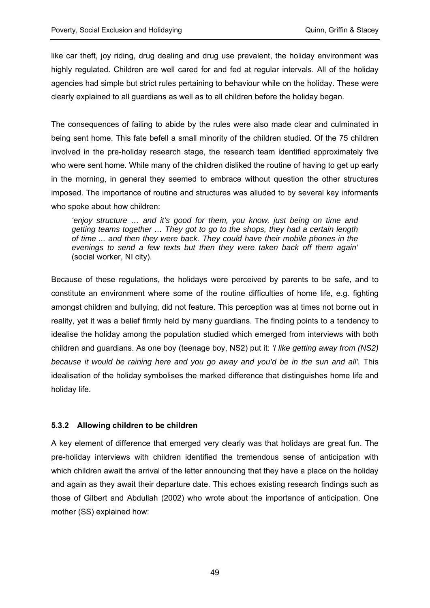like car theft, joy riding, drug dealing and drug use prevalent, the holiday environment was highly regulated. Children are well cared for and fed at regular intervals. All of the holiday agencies had simple but strict rules pertaining to behaviour while on the holiday. These were clearly explained to all guardians as well as to all children before the holiday began.

The consequences of failing to abide by the rules were also made clear and culminated in being sent home. This fate befell a small minority of the children studied. Of the 75 children involved in the pre-holiday research stage, the research team identified approximately five who were sent home. While many of the children disliked the routine of having to get up early in the morning, in general they seemed to embrace without question the other structures imposed. The importance of routine and structures was alluded to by several key informants who spoke about how children:

*'enjoy structure … and it's good for them, you know, just being on time and getting teams together … They got to go to the shops, they had a certain length of time ... and then they were back. They could have their mobile phones in the evenings to send a few texts but then they were taken back off them again'*  (social worker, NI city).

Because of these regulations, the holidays were perceived by parents to be safe, and to constitute an environment where some of the routine difficulties of home life, e.g. fighting amongst children and bullying, did not feature. This perception was at times not borne out in reality, yet it was a belief firmly held by many guardians. The finding points to a tendency to idealise the holiday among the population studied which emerged from interviews with both children and guardians. As one boy (teenage boy, NS2) put it: *'I like getting away from (NS2) because it would be raining here and you go away and you'd be in the sun and all'.* This idealisation of the holiday symbolises the marked difference that distinguishes home life and holiday life.

#### **5.3.2 Allowing children to be children**

A key element of difference that emerged very clearly was that holidays are great fun. The pre-holiday interviews with children identified the tremendous sense of anticipation with which children await the arrival of the letter announcing that they have a place on the holiday and again as they await their departure date. This echoes existing research findings such as those of Gilbert and Abdullah (2002) who wrote about the importance of anticipation. One mother (SS) explained how: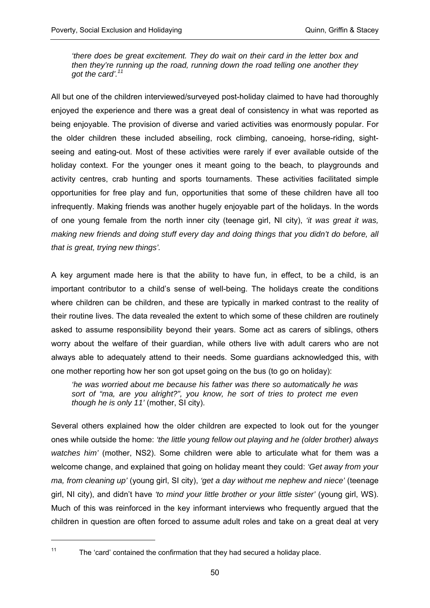*'there does be great excitement. They do wait on their card in the letter box and then they're running up the road, running down the road telling one another they got the card'.11* 

All but one of the children interviewed/surveyed post-holiday claimed to have had thoroughly enjoyed the experience and there was a great deal of consistency in what was reported as being enjoyable. The provision of diverse and varied activities was enormously popular. For the older children these included abseiling, rock climbing, canoeing, horse-riding, sightseeing and eating-out. Most of these activities were rarely if ever available outside of the holiday context. For the younger ones it meant going to the beach, to playgrounds and activity centres, crab hunting and sports tournaments. These activities facilitated simple opportunities for free play and fun, opportunities that some of these children have all too infrequently. Making friends was another hugely enjoyable part of the holidays. In the words of one young female from the north inner city (teenage girl, NI city), *'it was great it was, making new friends and doing stuff every day and doing things that you didn't do before, all that is great, trying new things'.*

A key argument made here is that the ability to have fun, in effect, to be a child, is an important contributor to a child's sense of well-being. The holidays create the conditions where children can be children, and these are typically in marked contrast to the reality of their routine lives. The data revealed the extent to which some of these children are routinely asked to assume responsibility beyond their years. Some act as carers of siblings, others worry about the welfare of their guardian, while others live with adult carers who are not always able to adequately attend to their needs. Some guardians acknowledged this, with one mother reporting how her son got upset going on the bus (to go on holiday):

*'he was worried about me because his father was there so automatically he was sort of "ma, are you alright?", you know, he sort of tries to protect me even though he is only 11'* (mother, SI city).

Several others explained how the older children are expected to look out for the younger ones while outside the home: *'the little young fellow out playing and he (older brother) always watches him'* (mother, NS2). Some children were able to articulate what for them was a welcome change, and explained that going on holiday meant they could: *'Get away from your ma, from cleaning up'* (young girl, SI city), *'get a day without me nephew and niece'* (teenage girl, NI city), and didn't have *'to mind your little brother or your little sister'* (young girl, WS). Much of this was reinforced in the key informant interviews who frequently argued that the children in question are often forced to assume adult roles and take on a great deal at very

-

 $11$  The 'card' contained the confirmation that they had secured a holiday place.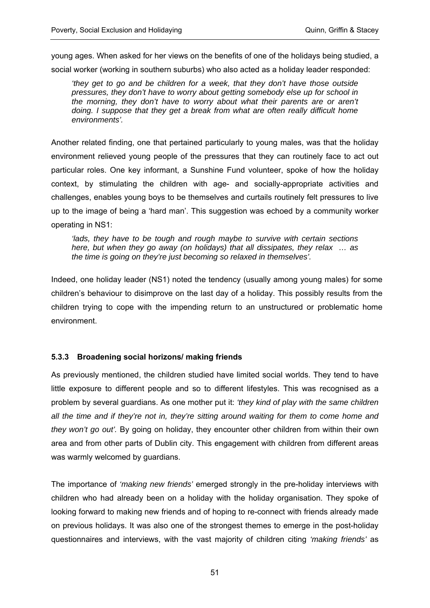young ages. When asked for her views on the benefits of one of the holidays being studied, a

social worker (working in southern suburbs) who also acted as a holiday leader responded:

*'they get to go and be children for a week, that they don't have those outside pressures, they don't have to worry about getting somebody else up for school in the morning, they don't have to worry about what their parents are or aren't doing. I suppose that they get a break from what are often really difficult home environments'.* 

Another related finding, one that pertained particularly to young males, was that the holiday environment relieved young people of the pressures that they can routinely face to act out particular roles. One key informant, a Sunshine Fund volunteer, spoke of how the holiday context, by stimulating the children with age- and socially-appropriate activities and challenges, enables young boys to be themselves and curtails routinely felt pressures to live up to the image of being a 'hard man'. This suggestion was echoed by a community worker operating in NS1:

*'lads, they have to be tough and rough maybe to survive with certain sections here, but when they go away (on holidays) that all dissipates, they relax … as the time is going on they're just becoming so relaxed in themselves'.* 

Indeed, one holiday leader (NS1) noted the tendency (usually among young males) for some children's behaviour to disimprove on the last day of a holiday. This possibly results from the children trying to cope with the impending return to an unstructured or problematic home environment.

#### **5.3.3 Broadening social horizons/ making friends**

As previously mentioned, the children studied have limited social worlds. They tend to have little exposure to different people and so to different lifestyles. This was recognised as a problem by several guardians. As one mother put it: *'they kind of play with the same children all the time and if they're not in, they're sitting around waiting for them to come home and they won't go out'.* By going on holiday, they encounter other children from within their own area and from other parts of Dublin city. This engagement with children from different areas was warmly welcomed by guardians.

The importance of *'making new friends'* emerged strongly in the pre-holiday interviews with children who had already been on a holiday with the holiday organisation. They spoke of looking forward to making new friends and of hoping to re-connect with friends already made on previous holidays. It was also one of the strongest themes to emerge in the post-holiday questionnaires and interviews, with the vast majority of children citing *'making friends'* as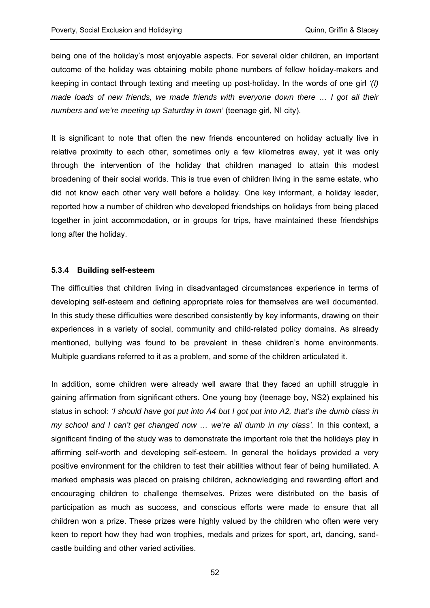being one of the holiday's most enjoyable aspects. For several older children, an important outcome of the holiday was obtaining mobile phone numbers of fellow holiday-makers and keeping in contact through texting and meeting up post-holiday. In the words of one girl *'(I) made loads of new friends, we made friends with everyone down there … I got all their numbers and we're meeting up Saturday in town'* (teenage girl, NI city).

It is significant to note that often the new friends encountered on holiday actually live in relative proximity to each other, sometimes only a few kilometres away, yet it was only through the intervention of the holiday that children managed to attain this modest broadening of their social worlds. This is true even of children living in the same estate, who did not know each other very well before a holiday. One key informant, a holiday leader, reported how a number of children who developed friendships on holidays from being placed together in joint accommodation, or in groups for trips, have maintained these friendships long after the holiday.

#### **5.3.4 Building self-esteem**

The difficulties that children living in disadvantaged circumstances experience in terms of developing self-esteem and defining appropriate roles for themselves are well documented. In this study these difficulties were described consistently by key informants, drawing on their experiences in a variety of social, community and child-related policy domains. As already mentioned, bullying was found to be prevalent in these children's home environments. Multiple guardians referred to it as a problem, and some of the children articulated it.

In addition, some children were already well aware that they faced an uphill struggle in gaining affirmation from significant others. One young boy (teenage boy, NS2) explained his status in school: *'I should have got put into A4 but I got put into A2, that's the dumb class in my school and I can't get changed now … we're all dumb in my class'.* In this context, a significant finding of the study was to demonstrate the important role that the holidays play in affirming self-worth and developing self-esteem. In general the holidays provided a very positive environment for the children to test their abilities without fear of being humiliated. A marked emphasis was placed on praising children, acknowledging and rewarding effort and encouraging children to challenge themselves. Prizes were distributed on the basis of participation as much as success, and conscious efforts were made to ensure that all children won a prize. These prizes were highly valued by the children who often were very keen to report how they had won trophies, medals and prizes for sport, art, dancing, sandcastle building and other varied activities.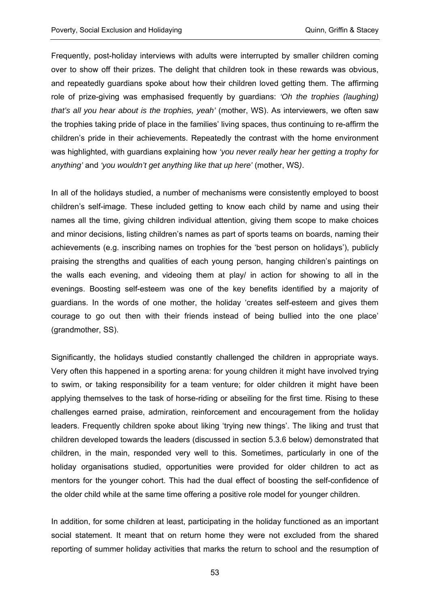Frequently, post-holiday interviews with adults were interrupted by smaller children coming over to show off their prizes. The delight that children took in these rewards was obvious, and repeatedly guardians spoke about how their children loved getting them. The affirming role of prize-giving was emphasised frequently by guardians: *'Oh the trophies (laughing) that's all you hear about is the trophies, yeah'* (mother, WS). As interviewers, we often saw the trophies taking pride of place in the families' living spaces, thus continuing to re-affirm the children's pride in their achievements. Repeatedly the contrast with the home environment was highlighted, with guardians explaining how *'you never really hear her getting a trophy for anything'* and *'you wouldn't get anything like that up here'* (mother, WS*)*.

In all of the holidays studied, a number of mechanisms were consistently employed to boost children's self-image. These included getting to know each child by name and using their names all the time, giving children individual attention, giving them scope to make choices and minor decisions, listing children's names as part of sports teams on boards, naming their achievements (e.g. inscribing names on trophies for the 'best person on holidays'), publicly praising the strengths and qualities of each young person, hanging children's paintings on the walls each evening, and videoing them at play/ in action for showing to all in the evenings. Boosting self-esteem was one of the key benefits identified by a majority of guardians. In the words of one mother, the holiday 'creates self-esteem and gives them courage to go out then with their friends instead of being bullied into the one place' (grandmother, SS).

Significantly, the holidays studied constantly challenged the children in appropriate ways. Very often this happened in a sporting arena: for young children it might have involved trying to swim, or taking responsibility for a team venture; for older children it might have been applying themselves to the task of horse-riding or abseiling for the first time. Rising to these challenges earned praise, admiration, reinforcement and encouragement from the holiday leaders. Frequently children spoke about liking 'trying new things'. The liking and trust that children developed towards the leaders (discussed in section 5.3.6 below) demonstrated that children, in the main, responded very well to this. Sometimes, particularly in one of the holiday organisations studied, opportunities were provided for older children to act as mentors for the younger cohort. This had the dual effect of boosting the self-confidence of the older child while at the same time offering a positive role model for younger children.

In addition, for some children at least, participating in the holiday functioned as an important social statement. It meant that on return home they were not excluded from the shared reporting of summer holiday activities that marks the return to school and the resumption of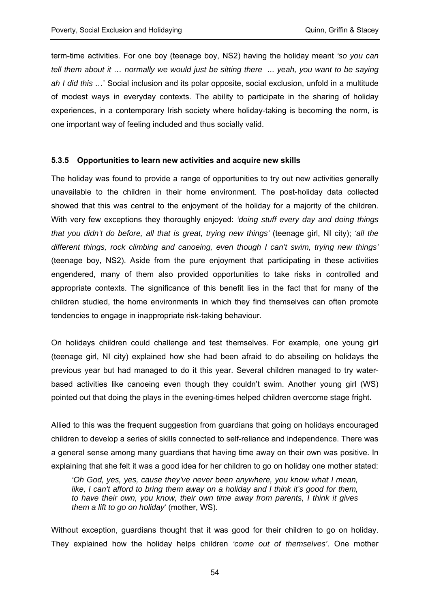term-time activities. For one boy (teenage boy, NS2) having the holiday meant *'so you can tell them about it … normally we would just be sitting there ... yeah, you want to be saying ah I did this …*' Social inclusion and its polar opposite, social exclusion, unfold in a multitude of modest ways in everyday contexts. The ability to participate in the sharing of holiday experiences, in a contemporary Irish society where holiday-taking is becoming the norm, is one important way of feeling included and thus socially valid.

#### **5.3.5 Opportunities to learn new activities and acquire new skills**

The holiday was found to provide a range of opportunities to try out new activities generally unavailable to the children in their home environment. The post-holiday data collected showed that this was central to the enjoyment of the holiday for a majority of the children. With very few exceptions they thoroughly enjoyed: *'doing stuff every day and doing things that you didn't do before, all that is great, trying new things'* (teenage girl, NI city); *'all the different things, rock climbing and canoeing, even though I can't swim, trying new things'* (teenage boy, NS2). Aside from the pure enjoyment that participating in these activities engendered, many of them also provided opportunities to take risks in controlled and appropriate contexts. The significance of this benefit lies in the fact that for many of the children studied, the home environments in which they find themselves can often promote tendencies to engage in inappropriate risk-taking behaviour.

On holidays children could challenge and test themselves. For example, one young girl (teenage girl, NI city) explained how she had been afraid to do abseiling on holidays the previous year but had managed to do it this year. Several children managed to try waterbased activities like canoeing even though they couldn't swim. Another young girl (WS) pointed out that doing the plays in the evening-times helped children overcome stage fright.

Allied to this was the frequent suggestion from guardians that going on holidays encouraged children to develop a series of skills connected to self-reliance and independence. There was a general sense among many guardians that having time away on their own was positive. In explaining that she felt it was a good idea for her children to go on holiday one mother stated:

*'Oh God, yes, yes, cause they've never been anywhere, you know what I mean, like, I can't afford to bring them away on a holiday and I think it's good for them, to have their own, you know, their own time away from parents, I think it gives them a lift to go on holiday'* (mother, WS).

Without exception, guardians thought that it was good for their children to go on holiday. They explained how the holiday helps children *'come out of themselves'*. One mother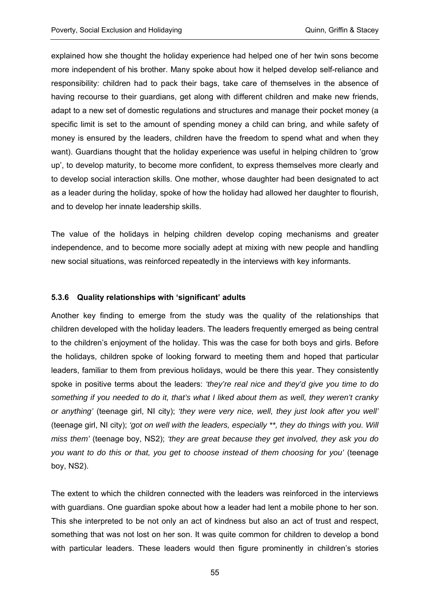explained how she thought the holiday experience had helped one of her twin sons become more independent of his brother. Many spoke about how it helped develop self-reliance and responsibility: children had to pack their bags, take care of themselves in the absence of having recourse to their guardians, get along with different children and make new friends, adapt to a new set of domestic regulations and structures and manage their pocket money (a specific limit is set to the amount of spending money a child can bring, and while safety of money is ensured by the leaders, children have the freedom to spend what and when they want). Guardians thought that the holiday experience was useful in helping children to 'grow up', to develop maturity, to become more confident, to express themselves more clearly and to develop social interaction skills. One mother, whose daughter had been designated to act as a leader during the holiday, spoke of how the holiday had allowed her daughter to flourish, and to develop her innate leadership skills.

The value of the holidays in helping children develop coping mechanisms and greater independence, and to become more socially adept at mixing with new people and handling new social situations, was reinforced repeatedly in the interviews with key informants.

#### **5.3.6 Quality relationships with 'significant' adults**

Another key finding to emerge from the study was the quality of the relationships that children developed with the holiday leaders. The leaders frequently emerged as being central to the children's enjoyment of the holiday. This was the case for both boys and girls. Before the holidays, children spoke of looking forward to meeting them and hoped that particular leaders, familiar to them from previous holidays, would be there this year. They consistently spoke in positive terms about the leaders: *'they're real nice and they'd give you time to do something if you needed to do it, that's what I liked about them as well, they weren't cranky or anything'* (teenage girl, NI city); *'they were very nice, well, they just look after you well'* (teenage girl, NI city); *'got on well with the leaders, especially \*\*, they do things with you. Will miss them'* (teenage boy, NS2); *'they are great because they get involved, they ask you do you want to do this or that, you get to choose instead of them choosing for you'* (teenage boy, NS2).

The extent to which the children connected with the leaders was reinforced in the interviews with guardians. One guardian spoke about how a leader had lent a mobile phone to her son. This she interpreted to be not only an act of kindness but also an act of trust and respect, something that was not lost on her son. It was quite common for children to develop a bond with particular leaders. These leaders would then figure prominently in children's stories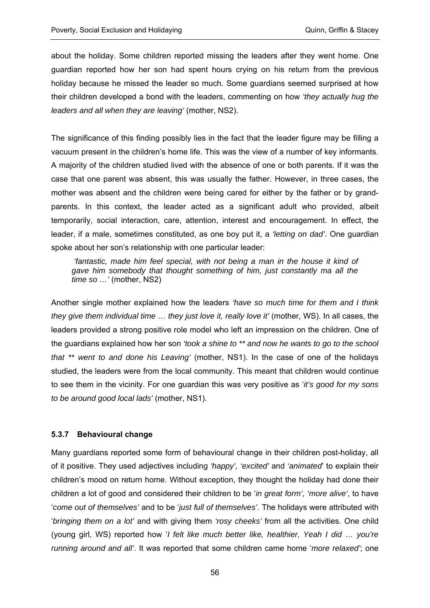about the holiday. Some children reported missing the leaders after they went home. One guardian reported how her son had spent hours crying on his return from the previous holiday because he missed the leader so much. Some guardians seemed surprised at how their children developed a bond with the leaders, commenting on how *'they actually hug the leaders and all when they are leaving'* (mother, NS2).

The significance of this finding possibly lies in the fact that the leader figure may be filling a vacuum present in the children's home life. This was the view of a number of key informants. A majority of the children studied lived with the absence of one or both parents. If it was the case that one parent was absent, this was usually the father. However, in three cases, the mother was absent and the children were being cared for either by the father or by grandparents. In this context, the leader acted as a significant adult who provided, albeit temporarily, social interaction, care, attention, interest and encouragement. In effect, the leader, if a male, sometimes constituted, as one boy put it, a *'letting on dad'*. One guardian spoke about her son's relationship with one particular leader:

*fantastic, made him feel special, with not being a man in the house it kind of gave him somebody that thought something of him, just constantly ma all the time so …'* (mother, NS2)

Another single mother explained how the leaders *'have so much time for them and I think they give them individual time … they just love it, really love it'* (mother, WS). In all cases, the leaders provided a strong positive role model who left an impression on the children. One of the guardians explained how her son *'took a shine to \*\* and now he wants to go to the school that \*\* went to and done his Leaving'* (mother, NS1). In the case of one of the holidays studied, the leaders were from the local community. This meant that children would continue to see them in the vicinity. For one guardian this was very positive as '*it's good for my sons to be around good local lads'* (mother, NS1).

#### **5.3.7 Behavioural change**

Many guardians reported some form of behavioural change in their children post-holiday, all of it positive. They used adjectives including *'happy', 'excited'* and *'animated*' to explain their children's mood on return home. Without exception, they thought the holiday had done their children a lot of good and considered their children to be '*in great form', 'more alive'*, to have '*come out of themselves'* and to be '*just full of themselves'*. The holidays were attributed with '*bringing them on a lot'* and with giving them *'rosy cheeks'* from all the activities. One child (young girl, WS) reported how '*I felt like much better like, healthier, Yeah I did … you're running around and all'*. It was reported that some children came home '*more relaxed'*; one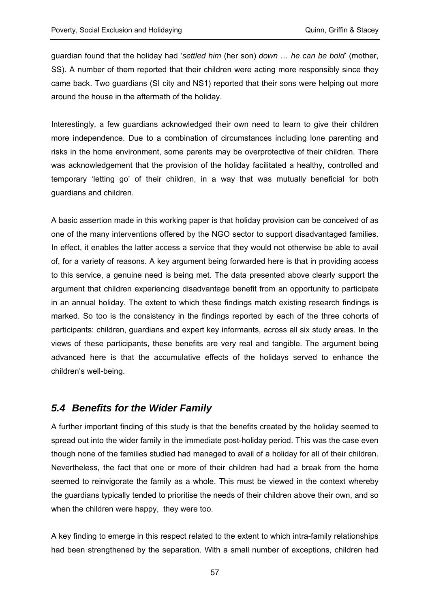guardian found that the holiday had '*settled him* (her son) *down … he can be bold*' (mother, SS). A number of them reported that their children were acting more responsibly since they came back. Two guardians (SI city and NS1) reported that their sons were helping out more around the house in the aftermath of the holiday.

Interestingly, a few guardians acknowledged their own need to learn to give their children more independence. Due to a combination of circumstances including lone parenting and risks in the home environment, some parents may be overprotective of their children. There was acknowledgement that the provision of the holiday facilitated a healthy, controlled and temporary 'letting go' of their children, in a way that was mutually beneficial for both guardians and children.

A basic assertion made in this working paper is that holiday provision can be conceived of as one of the many interventions offered by the NGO sector to support disadvantaged families. In effect, it enables the latter access a service that they would not otherwise be able to avail of, for a variety of reasons. A key argument being forwarded here is that in providing access to this service, a genuine need is being met. The data presented above clearly support the argument that children experiencing disadvantage benefit from an opportunity to participate in an annual holiday. The extent to which these findings match existing research findings is marked. So too is the consistency in the findings reported by each of the three cohorts of participants: children, guardians and expert key informants, across all six study areas. In the views of these participants, these benefits are very real and tangible. The argument being advanced here is that the accumulative effects of the holidays served to enhance the children's well-being.

### *5.4 Benefits for the Wider Family*

A further important finding of this study is that the benefits created by the holiday seemed to spread out into the wider family in the immediate post-holiday period. This was the case even though none of the families studied had managed to avail of a holiday for all of their children. Nevertheless, the fact that one or more of their children had had a break from the home seemed to reinvigorate the family as a whole. This must be viewed in the context whereby the guardians typically tended to prioritise the needs of their children above their own, and so when the children were happy, they were too.

A key finding to emerge in this respect related to the extent to which intra-family relationships had been strengthened by the separation. With a small number of exceptions, children had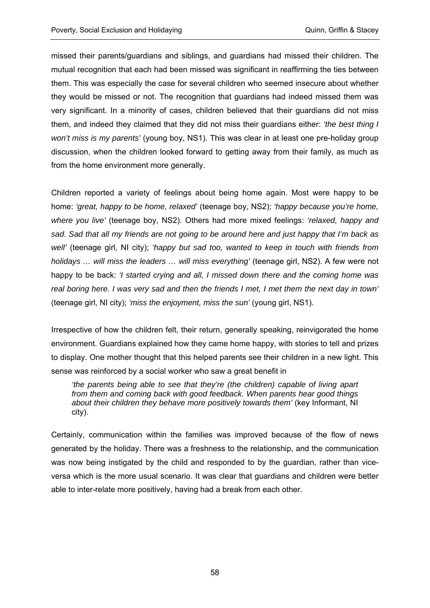missed their parents/guardians and siblings, and guardians had missed their children. The mutual recognition that each had been missed was significant in reaffirming the ties between them. This was especially the case for several children who seemed insecure about whether they would be missed or not. The recognition that guardians had indeed missed them was very significant. In a minority of cases, children believed that their guardians did not miss them, and indeed they claimed that they did not miss their guardians either: *'the best thing I won't miss is my parents'* (young boy, NS1). This was clear in at least one pre-holiday group discussion, when the children looked forward to getting away from their family, as much as from the home environment more generally.

Children reported a variety of feelings about being home again. Most were happy to be home: *'great, happy to be home, relaxed'* (teenage boy, NS2); *'happy because you're home, where you live'* (teenage boy, NS2). Others had more mixed feelings: *'relaxed, happy and sad. Sad that all my friends are not going to be around here and just happy that I'm back as well'* (teenage girl, NI city); *'happy but sad too, wanted to keep in touch with friends from holidays … will miss the leaders … will miss everything'* (teenage girl, NS2). A few were not happy to be back: *'I started crying and all, I missed down there and the coming home was real boring here. I was very sad and then the friends I met, I met them the next day in town'*  (teenage girl, NI city); *'miss the enjoyment, miss the sun'* (young girl, NS1).

Irrespective of how the children felt, their return, generally speaking, reinvigorated the home environment. Guardians explained how they came home happy, with stories to tell and prizes to display. One mother thought that this helped parents see their children in a new light. This sense was reinforced by a social worker who saw a great benefit in

*'the parents being able to see that they're (the children) capable of living apart from them and coming back with good feedback. When parents hear good things about their children they behave more positively towards them'* (key Informant, NI city).

Certainly, communication within the families was improved because of the flow of news generated by the holiday. There was a freshness to the relationship, and the communication was now being instigated by the child and responded to by the guardian, rather than viceversa which is the more usual scenario. It was clear that guardians and children were better able to inter-relate more positively, having had a break from each other.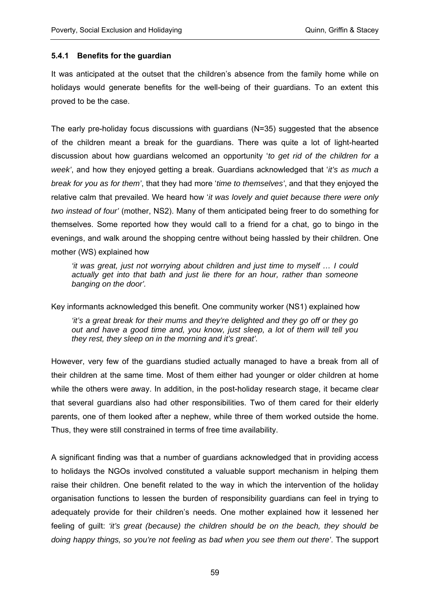#### **5.4.1 Benefits for the guardian**

It was anticipated at the outset that the children's absence from the family home while on holidays would generate benefits for the well-being of their guardians. To an extent this proved to be the case.

The early pre-holiday focus discussions with guardians (N=35) suggested that the absence of the children meant a break for the guardians. There was quite a lot of light-hearted discussion about how guardians welcomed an opportunity '*to get rid of the children for a week'*, and how they enjoyed getting a break. Guardians acknowledged that '*it's as much a break for you as for them'*, that they had more '*time to themselves'*, and that they enjoyed the relative calm that prevailed. We heard how '*it was lovely and quiet because there were only two instead of four'* (mother, NS2). Many of them anticipated being freer to do something for themselves. Some reported how they would call to a friend for a chat, go to bingo in the evenings, and walk around the shopping centre without being hassled by their children. One mother (WS) explained how

*'it was great, just not worrying about children and just time to myself … I could actually get into that bath and just lie there for an hour, rather than someone banging on the door'.* 

Key informants acknowledged this benefit. One community worker (NS1) explained how

*'it's a great break for their mums and they're delighted and they go off or they go out and have a good time and, you know, just sleep, a lot of them will tell you they rest, they sleep on in the morning and it's great'.* 

However, very few of the guardians studied actually managed to have a break from all of their children at the same time. Most of them either had younger or older children at home while the others were away. In addition, in the post-holiday research stage, it became clear that several guardians also had other responsibilities. Two of them cared for their elderly parents, one of them looked after a nephew, while three of them worked outside the home. Thus, they were still constrained in terms of free time availability.

A significant finding was that a number of guardians acknowledged that in providing access to holidays the NGOs involved constituted a valuable support mechanism in helping them raise their children. One benefit related to the way in which the intervention of the holiday organisation functions to lessen the burden of responsibility guardians can feel in trying to adequately provide for their children's needs. One mother explained how it lessened her feeling of guilt: *'it's great (because) the children should be on the beach, they should be doing happy things, so you're not feeling as bad when you see them out there'*. The support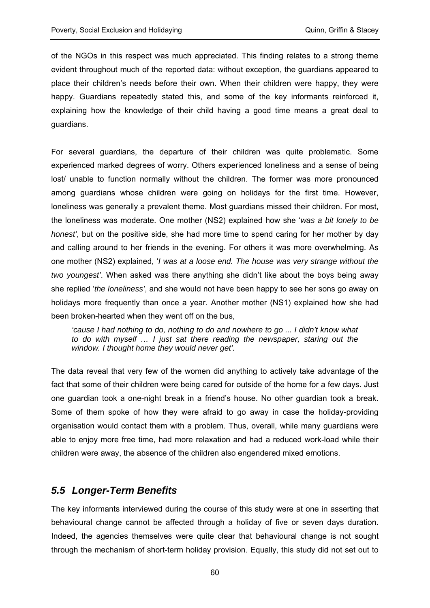of the NGOs in this respect was much appreciated. This finding relates to a strong theme evident throughout much of the reported data: without exception, the guardians appeared to place their children's needs before their own. When their children were happy, they were happy. Guardians repeatedly stated this, and some of the key informants reinforced it, explaining how the knowledge of their child having a good time means a great deal to guardians.

For several guardians, the departure of their children was quite problematic. Some experienced marked degrees of worry. Others experienced loneliness and a sense of being lost/ unable to function normally without the children. The former was more pronounced among guardians whose children were going on holidays for the first time. However, loneliness was generally a prevalent theme. Most guardians missed their children. For most, the loneliness was moderate. One mother (NS2) explained how she '*was a bit lonely to be honest'*, but on the positive side, she had more time to spend caring for her mother by day and calling around to her friends in the evening. For others it was more overwhelming. As one mother (NS2) explained, '*I was at a loose end. The house was very strange without the two youngest'*. When asked was there anything she didn't like about the boys being away she replied '*the loneliness'*, and she would not have been happy to see her sons go away on holidays more frequently than once a year. Another mother (NS1) explained how she had been broken-hearted when they went off on the bus,

*'cause I had nothing to do, nothing to do and nowhere to go ... I didn't know what to do with myself … I just sat there reading the newspaper, staring out the window. I thought home they would never get'.* 

The data reveal that very few of the women did anything to actively take advantage of the fact that some of their children were being cared for outside of the home for a few days. Just one guardian took a one-night break in a friend's house. No other guardian took a break. Some of them spoke of how they were afraid to go away in case the holiday-providing organisation would contact them with a problem. Thus, overall, while many guardians were able to enjoy more free time, had more relaxation and had a reduced work-load while their children were away, the absence of the children also engendered mixed emotions.

#### *5.5 Longer-Term Benefits*

The key informants interviewed during the course of this study were at one in asserting that behavioural change cannot be affected through a holiday of five or seven days duration. Indeed, the agencies themselves were quite clear that behavioural change is not sought through the mechanism of short-term holiday provision. Equally, this study did not set out to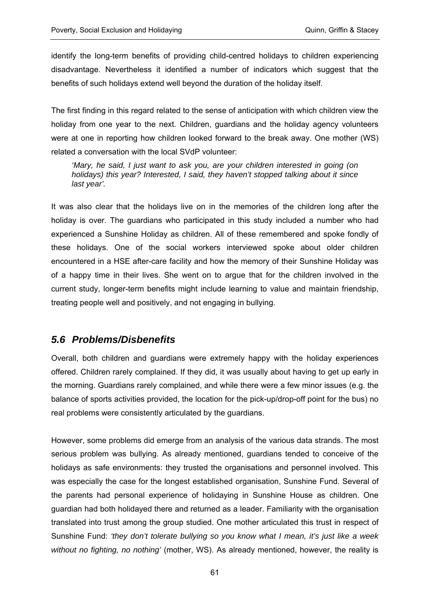identify the long-term benefits of providing child-centred holidays to children experiencing disadvantage. Nevertheless it identified a number of indicators which suggest that the benefits of such holidays extend well beyond the duration of the holiday itself.

The first finding in this regard related to the sense of anticipation with which children view the holiday from one year to the next. Children, guardians and the holiday agency volunteers were at one in reporting how children looked forward to the break away. One mother (WS) related a conversation with the local SVdP volunteer:

*'Mary, he said, I just want to ask you, are your children interested in going (on holidays) this year? Interested, I said, they haven't stopped talking about it since last year'.* 

It was also clear that the holidays live on in the memories of the children long after the holiday is over. The guardians who participated in this study included a number who had experienced a Sunshine Holiday as children. All of these remembered and spoke fondly of these holidays. One of the social workers interviewed spoke about older children encountered in a HSE after-care facility and how the memory of their Sunshine Holiday was of a happy time in their lives. She went on to argue that for the children involved in the current study, longer-term benefits might include learning to value and maintain friendship, treating people well and positively, and not engaging in bullying.

### *5.6 Problems/Disbenefits*

Overall, both children and guardians were extremely happy with the holiday experiences offered. Children rarely complained. If they did, it was usually about having to get up early in the morning. Guardians rarely complained, and while there were a few minor issues (e.g. the balance of sports activities provided, the location for the pick-up/drop-off point for the bus) no real problems were consistently articulated by the guardians.

However, some problems did emerge from an analysis of the various data strands. The most serious problem was bullying. As already mentioned, guardians tended to conceive of the holidays as safe environments: they trusted the organisations and personnel involved. This was especially the case for the longest established organisation, Sunshine Fund. Several of the parents had personal experience of holidaying in Sunshine House as children. One guardian had both holidayed there and returned as a leader. Familiarity with the organisation translated into trust among the group studied. One mother articulated this trust in respect of Sunshine Fund: *'they don't tolerate bullying so you know what I mean, it's just like a week without no fighting, no nothing'* (mother, WS). As already mentioned, however, the reality is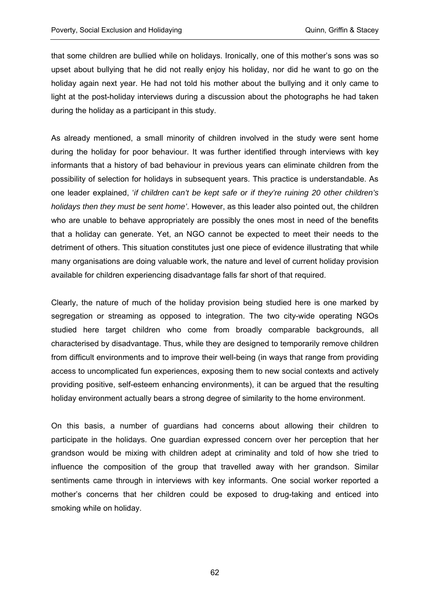that some children are bullied while on holidays. Ironically, one of this mother's sons was so upset about bullying that he did not really enjoy his holiday, nor did he want to go on the holiday again next year. He had not told his mother about the bullying and it only came to light at the post-holiday interviews during a discussion about the photographs he had taken during the holiday as a participant in this study.

As already mentioned, a small minority of children involved in the study were sent home during the holiday for poor behaviour. It was further identified through interviews with key informants that a history of bad behaviour in previous years can eliminate children from the possibility of selection for holidays in subsequent years. This practice is understandable. As one leader explained, '*if children can't be kept safe or if they're ruining 20 other children's holidays then they must be sent home'*. However, as this leader also pointed out, the children who are unable to behave appropriately are possibly the ones most in need of the benefits that a holiday can generate. Yet, an NGO cannot be expected to meet their needs to the detriment of others. This situation constitutes just one piece of evidence illustrating that while many organisations are doing valuable work, the nature and level of current holiday provision available for children experiencing disadvantage falls far short of that required.

Clearly, the nature of much of the holiday provision being studied here is one marked by segregation or streaming as opposed to integration. The two city-wide operating NGOs studied here target children who come from broadly comparable backgrounds, all characterised by disadvantage. Thus, while they are designed to temporarily remove children from difficult environments and to improve their well-being (in ways that range from providing access to uncomplicated fun experiences, exposing them to new social contexts and actively providing positive, self-esteem enhancing environments), it can be argued that the resulting holiday environment actually bears a strong degree of similarity to the home environment.

On this basis, a number of guardians had concerns about allowing their children to participate in the holidays. One guardian expressed concern over her perception that her grandson would be mixing with children adept at criminality and told of how she tried to influence the composition of the group that travelled away with her grandson. Similar sentiments came through in interviews with key informants. One social worker reported a mother's concerns that her children could be exposed to drug-taking and enticed into smoking while on holiday.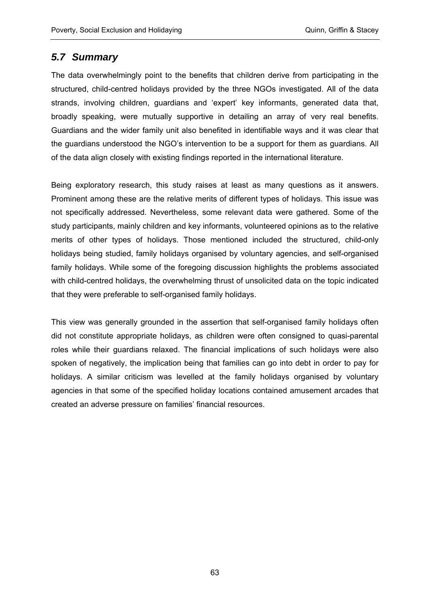### *5.7 Summary*

The data overwhelmingly point to the benefits that children derive from participating in the structured, child-centred holidays provided by the three NGOs investigated. All of the data strands, involving children, guardians and 'expert' key informants, generated data that, broadly speaking, were mutually supportive in detailing an array of very real benefits. Guardians and the wider family unit also benefited in identifiable ways and it was clear that the guardians understood the NGO's intervention to be a support for them as guardians. All of the data align closely with existing findings reported in the international literature.

Being exploratory research, this study raises at least as many questions as it answers. Prominent among these are the relative merits of different types of holidays. This issue was not specifically addressed. Nevertheless, some relevant data were gathered. Some of the study participants, mainly children and key informants, volunteered opinions as to the relative merits of other types of holidays. Those mentioned included the structured, child-only holidays being studied, family holidays organised by voluntary agencies, and self-organised family holidays. While some of the foregoing discussion highlights the problems associated with child-centred holidays, the overwhelming thrust of unsolicited data on the topic indicated that they were preferable to self-organised family holidays.

This view was generally grounded in the assertion that self-organised family holidays often did not constitute appropriate holidays, as children were often consigned to quasi-parental roles while their guardians relaxed. The financial implications of such holidays were also spoken of negatively, the implication being that families can go into debt in order to pay for holidays. A similar criticism was levelled at the family holidays organised by voluntary agencies in that some of the specified holiday locations contained amusement arcades that created an adverse pressure on families' financial resources.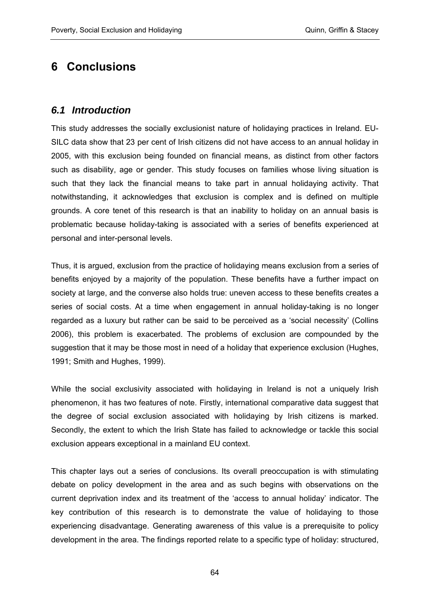# **6 Conclusions**

### *6.1 Introduction*

This study addresses the socially exclusionist nature of holidaying practices in Ireland. EU-SILC data show that 23 per cent of Irish citizens did not have access to an annual holiday in 2005, with this exclusion being founded on financial means, as distinct from other factors such as disability, age or gender. This study focuses on families whose living situation is such that they lack the financial means to take part in annual holidaying activity. That notwithstanding, it acknowledges that exclusion is complex and is defined on multiple grounds. A core tenet of this research is that an inability to holiday on an annual basis is problematic because holiday-taking is associated with a series of benefits experienced at personal and inter-personal levels.

Thus, it is argued, exclusion from the practice of holidaying means exclusion from a series of benefits enjoyed by a majority of the population. These benefits have a further impact on society at large, and the converse also holds true: uneven access to these benefits creates a series of social costs. At a time when engagement in annual holiday-taking is no longer regarded as a luxury but rather can be said to be perceived as a 'social necessity' (Collins 2006), this problem is exacerbated. The problems of exclusion are compounded by the suggestion that it may be those most in need of a holiday that experience exclusion (Hughes, 1991; Smith and Hughes, 1999).

While the social exclusivity associated with holidaying in Ireland is not a uniquely Irish phenomenon, it has two features of note. Firstly, international comparative data suggest that the degree of social exclusion associated with holidaying by Irish citizens is marked. Secondly, the extent to which the Irish State has failed to acknowledge or tackle this social exclusion appears exceptional in a mainland EU context.

This chapter lays out a series of conclusions. Its overall preoccupation is with stimulating debate on policy development in the area and as such begins with observations on the current deprivation index and its treatment of the 'access to annual holiday' indicator. The key contribution of this research is to demonstrate the value of holidaying to those experiencing disadvantage. Generating awareness of this value is a prerequisite to policy development in the area. The findings reported relate to a specific type of holiday: structured,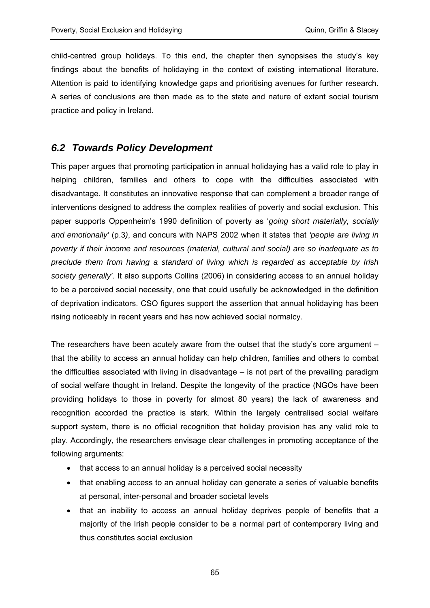child-centred group holidays. To this end, the chapter then synopsises the study's key findings about the benefits of holidaying in the context of existing international literature. Attention is paid to identifying knowledge gaps and prioritising avenues for further research. A series of conclusions are then made as to the state and nature of extant social tourism practice and policy in Ireland*.* 

## *6.2 Towards Policy Development*

This paper argues that promoting participation in annual holidaying has a valid role to play in helping children, families and others to cope with the difficulties associated with disadvantage. It constitutes an innovative response that can complement a broader range of interventions designed to address the complex realities of poverty and social exclusion. This paper supports Oppenheim's 1990 definition of poverty as '*going short materially, socially and emotionally'* (p.3*)*, and concurs with NAPS 2002 when it states that *'people are living in poverty if their income and resources (material, cultural and social) are so inadequate as to preclude them from having a standard of living which is regarded as acceptable by Irish society generally'*. It also supports Collins (2006) in considering access to an annual holiday to be a perceived social necessity, one that could usefully be acknowledged in the definition of deprivation indicators. CSO figures support the assertion that annual holidaying has been rising noticeably in recent years and has now achieved social normalcy.

The researchers have been acutely aware from the outset that the study's core argument – that the ability to access an annual holiday can help children, families and others to combat the difficulties associated with living in disadvantage – is not part of the prevailing paradigm of social welfare thought in Ireland. Despite the longevity of the practice (NGOs have been providing holidays to those in poverty for almost 80 years) the lack of awareness and recognition accorded the practice is stark. Within the largely centralised social welfare support system, there is no official recognition that holiday provision has any valid role to play. Accordingly, the researchers envisage clear challenges in promoting acceptance of the following arguments:

- that access to an annual holiday is a perceived social necessity
- that enabling access to an annual holiday can generate a series of valuable benefits at personal, inter-personal and broader societal levels
- that an inability to access an annual holiday deprives people of benefits that a majority of the Irish people consider to be a normal part of contemporary living and thus constitutes social exclusion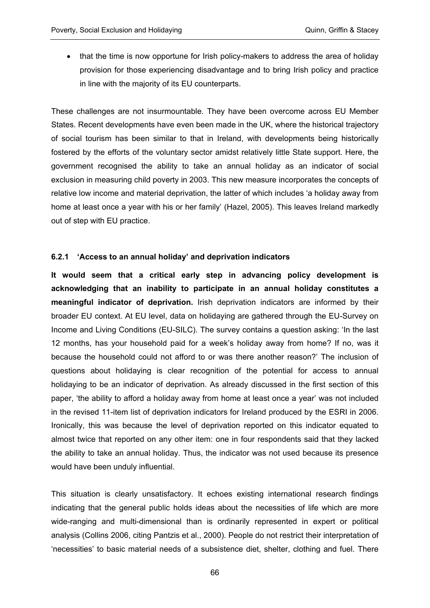• that the time is now opportune for Irish policy-makers to address the area of holiday provision for those experiencing disadvantage and to bring Irish policy and practice in line with the majority of its EU counterparts.

These challenges are not insurmountable. They have been overcome across EU Member States. Recent developments have even been made in the UK, where the historical trajectory of social tourism has been similar to that in Ireland, with developments being historically fostered by the efforts of the voluntary sector amidst relatively little State support. Here, the government recognised the ability to take an annual holiday as an indicator of social exclusion in measuring child poverty in 2003. This new measure incorporates the concepts of relative low income and material deprivation, the latter of which includes 'a holiday away from home at least once a year with his or her family' (Hazel, 2005). This leaves Ireland markedly out of step with EU practice.

### **6.2.1 'Access to an annual holiday' and deprivation indicators**

**It would seem that a critical early step in advancing policy development is acknowledging that an inability to participate in an annual holiday constitutes a meaningful indicator of deprivation.** Irish deprivation indicators are informed by their broader EU context. At EU level, data on holidaying are gathered through the EU-Survey on Income and Living Conditions (EU-SILC). The survey contains a question asking: 'In the last 12 months, has your household paid for a week's holiday away from home? If no, was it because the household could not afford to or was there another reason?' The inclusion of questions about holidaying is clear recognition of the potential for access to annual holidaying to be an indicator of deprivation. As already discussed in the first section of this paper, 'the ability to afford a holiday away from home at least once a year' was not included in the revised 11-item list of deprivation indicators for Ireland produced by the ESRI in 2006. Ironically, this was because the level of deprivation reported on this indicator equated to almost twice that reported on any other item: one in four respondents said that they lacked the ability to take an annual holiday. Thus, the indicator was not used because its presence would have been unduly influential.

This situation is clearly unsatisfactory. It echoes existing international research findings indicating that the general public holds ideas about the necessities of life which are more wide-ranging and multi-dimensional than is ordinarily represented in expert or political analysis (Collins 2006, citing Pantzis et al., 2000). People do not restrict their interpretation of 'necessities' to basic material needs of a subsistence diet, shelter, clothing and fuel. There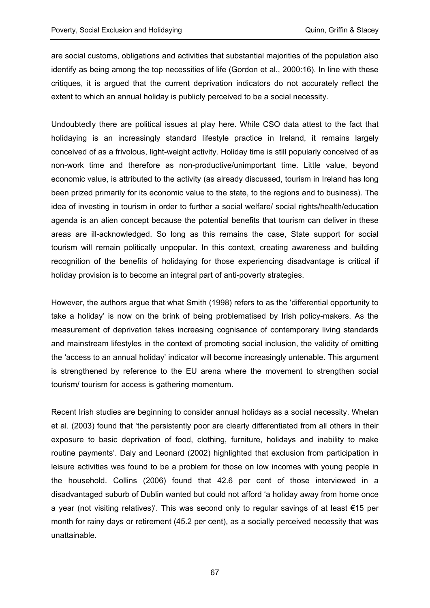are social customs, obligations and activities that substantial majorities of the population also identify as being among the top necessities of life (Gordon et al., 2000:16). In line with these critiques, it is argued that the current deprivation indicators do not accurately reflect the extent to which an annual holiday is publicly perceived to be a social necessity.

Undoubtedly there are political issues at play here. While CSO data attest to the fact that holidaying is an increasingly standard lifestyle practice in Ireland, it remains largely conceived of as a frivolous, light-weight activity. Holiday time is still popularly conceived of as non-work time and therefore as non-productive/unimportant time. Little value, beyond economic value, is attributed to the activity (as already discussed, tourism in Ireland has long been prized primarily for its economic value to the state, to the regions and to business). The idea of investing in tourism in order to further a social welfare/ social rights/health/education agenda is an alien concept because the potential benefits that tourism can deliver in these areas are ill-acknowledged. So long as this remains the case, State support for social tourism will remain politically unpopular. In this context, creating awareness and building recognition of the benefits of holidaying for those experiencing disadvantage is critical if holiday provision is to become an integral part of anti-poverty strategies.

However, the authors argue that what Smith (1998) refers to as the 'differential opportunity to take a holiday' is now on the brink of being problematised by Irish policy-makers. As the measurement of deprivation takes increasing cognisance of contemporary living standards and mainstream lifestyles in the context of promoting social inclusion, the validity of omitting the 'access to an annual holiday' indicator will become increasingly untenable. This argument is strengthened by reference to the EU arena where the movement to strengthen social tourism/ tourism for access is gathering momentum.

Recent Irish studies are beginning to consider annual holidays as a social necessity. Whelan et al. (2003) found that 'the persistently poor are clearly differentiated from all others in their exposure to basic deprivation of food, clothing, furniture, holidays and inability to make routine payments'. Daly and Leonard (2002) highlighted that exclusion from participation in leisure activities was found to be a problem for those on low incomes with young people in the household. Collins (2006) found that 42.6 per cent of those interviewed in a disadvantaged suburb of Dublin wanted but could not afford 'a holiday away from home once a year (not visiting relatives)'. This was second only to regular savings of at least €15 per month for rainy days or retirement (45.2 per cent), as a socially perceived necessity that was unattainable.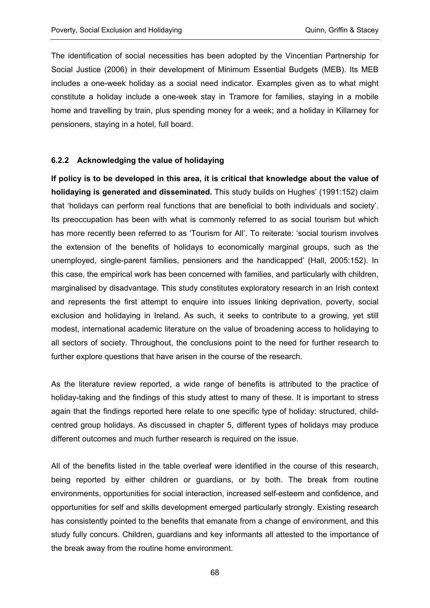The identification of social necessities has been adopted by the Vincentian Partnership for Social Justice (2006) in their development of Minimum Essential Budgets (MEB). Its MEB includes a one-week holiday as a social need indicator. Examples given as to what might constitute a holiday include a one-week stay in Tramore for families, staying in a mobile home and travelling by train, plus spending money for a week; and a holiday in Killarney for pensioners, staying in a hotel, full board.

### **6.2.2 Acknowledging the value of holidaying**

**If policy is to be developed in this area, it is critical that knowledge about the value of holidaying is generated and disseminated.** This study builds on Hughes' (1991:152) claim that 'holidays can perform real functions that are beneficial to both individuals and society'. Its preoccupation has been with what is commonly referred to as social tourism but which has more recently been referred to as 'Tourism for All'. To reiterate: 'social tourism involves the extension of the benefits of holidays to economically marginal groups, such as the unemployed, single-parent families, pensioners and the handicapped' (Hall, 2005:152). In this case, the empirical work has been concerned with families, and particularly with children, marginalised by disadvantage. This study constitutes exploratory research in an Irish context and represents the first attempt to enquire into issues linking deprivation, poverty, social exclusion and holidaying in Ireland. As such, it seeks to contribute to a growing, yet still modest, international academic literature on the value of broadening access to holidaying to all sectors of society. Throughout, the conclusions point to the need for further research to further explore questions that have arisen in the course of the research.

As the literature review reported, a wide range of benefits is attributed to the practice of holiday-taking and the findings of this study attest to many of these. It is important to stress again that the findings reported here relate to one specific type of holiday: structured, childcentred group holidays. As discussed in chapter 5, different types of holidays may produce different outcomes and much further research is required on the issue.

All of the benefits listed in the table overleaf were identified in the course of this research, being reported by either children or guardians, or by both. The break from routine environments, opportunities for social interaction, increased self-esteem and confidence, and opportunities for self and skills development emerged particularly strongly. Existing research has consistently pointed to the benefits that emanate from a change of environment, and this study fully concurs. Children, guardians and key informants all attested to the importance of the break away from the routine home environment.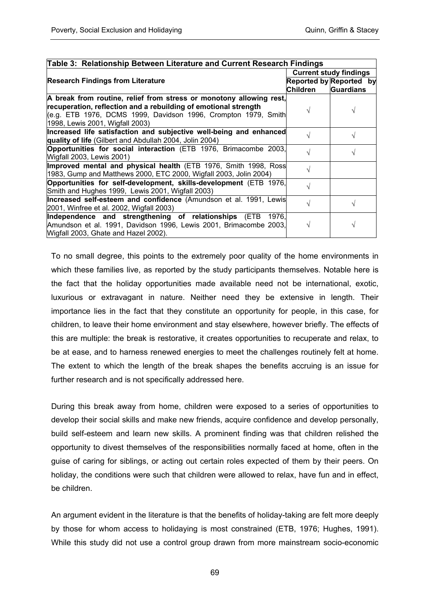| Table 3: Relationship Between Literature and Current Research Findings  |                               |                         |  |  |  |
|-------------------------------------------------------------------------|-------------------------------|-------------------------|--|--|--|
|                                                                         | <b>Current study findings</b> |                         |  |  |  |
| <b>Research Findings from Literature</b>                                |                               | Reported by Reported by |  |  |  |
|                                                                         | Children                      | <b>Guardians</b>        |  |  |  |
| A break from routine, relief from stress or monotony allowing rest,     |                               |                         |  |  |  |
| recuperation, reflection and a rebuilding of emotional strength         |                               |                         |  |  |  |
| (e.g. ETB 1976, DCMS 1999, Davidson 1996, Crompton 1979, Smith          |                               |                         |  |  |  |
| 1998, Lewis 2001, Wigfall 2003)                                         |                               |                         |  |  |  |
| Increased life satisfaction and subjective well-being and enhanced      |                               |                         |  |  |  |
| quality of life (Gilbert and Abdullah 2004, Jolin 2004)                 |                               |                         |  |  |  |
| <b>Opportunities for social interaction</b> (ETB 1976, Brimacombe 2003, |                               |                         |  |  |  |
| Wigfall 2003, Lewis 2001)                                               |                               |                         |  |  |  |
| Improved mental and physical health (ETB 1976, Smith 1998, Ross         |                               |                         |  |  |  |
| 1983, Gump and Matthews 2000, ETC 2000, Wigfall 2003, Jolin 2004)       |                               |                         |  |  |  |
| Opportunities for self-development, skills-development (ETB 1976,       |                               |                         |  |  |  |
| Smith and Hughes 1999, Lewis 2001, Wigfall 2003)                        |                               |                         |  |  |  |
| Increased self-esteem and confidence (Amundson et al. 1991, Lewis       |                               |                         |  |  |  |
| 2001, Winfree et al. 2002, Wigfall 2003)                                |                               |                         |  |  |  |
| Independence and strengthening of relationships (ETB<br>1976.l          |                               |                         |  |  |  |
| Amundson et al. 1991, Davidson 1996, Lewis 2001, Brimacombe 2003,       |                               |                         |  |  |  |
| Wigfall 2003, Ghate and Hazel 2002).                                    |                               |                         |  |  |  |

To no small degree, this points to the extremely poor quality of the home environments in which these families live, as reported by the study participants themselves. Notable here is the fact that the holiday opportunities made available need not be international, exotic, luxurious or extravagant in nature. Neither need they be extensive in length. Their importance lies in the fact that they constitute an opportunity for people, in this case, for children, to leave their home environment and stay elsewhere, however briefly. The effects of this are multiple: the break is restorative, it creates opportunities to recuperate and relax, to be at ease, and to harness renewed energies to meet the challenges routinely felt at home. The extent to which the length of the break shapes the benefits accruing is an issue for further research and is not specifically addressed here.

During this break away from home, children were exposed to a series of opportunities to develop their social skills and make new friends, acquire confidence and develop personally, build self-esteem and learn new skills. A prominent finding was that children relished the opportunity to divest themselves of the responsibilities normally faced at home, often in the guise of caring for siblings, or acting out certain roles expected of them by their peers. On holiday, the conditions were such that children were allowed to relax, have fun and in effect, be children.

An argument evident in the literature is that the benefits of holiday-taking are felt more deeply by those for whom access to holidaying is most constrained (ETB, 1976; Hughes, 1991). While this study did not use a control group drawn from more mainstream socio-economic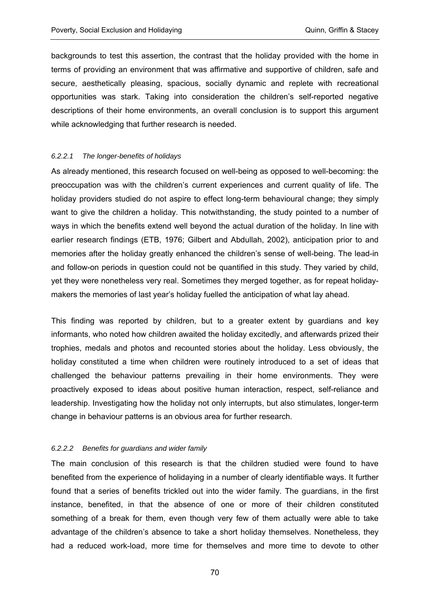backgrounds to test this assertion, the contrast that the holiday provided with the home in terms of providing an environment that was affirmative and supportive of children, safe and secure, aesthetically pleasing, spacious, socially dynamic and replete with recreational opportunities was stark. Taking into consideration the children's self-reported negative descriptions of their home environments, an overall conclusion is to support this argument while acknowledging that further research is needed.

#### *6.2.2.1 The longer-benefits of holidays*

As already mentioned, this research focused on well-being as opposed to well-becoming: the preoccupation was with the children's current experiences and current quality of life. The holiday providers studied do not aspire to effect long-term behavioural change; they simply want to give the children a holiday. This notwithstanding, the study pointed to a number of ways in which the benefits extend well beyond the actual duration of the holiday. In line with earlier research findings (ETB, 1976; Gilbert and Abdullah, 2002), anticipation prior to and memories after the holiday greatly enhanced the children's sense of well-being. The lead-in and follow-on periods in question could not be quantified in this study. They varied by child, yet they were nonetheless very real. Sometimes they merged together, as for repeat holidaymakers the memories of last year's holiday fuelled the anticipation of what lay ahead.

This finding was reported by children, but to a greater extent by guardians and key informants, who noted how children awaited the holiday excitedly, and afterwards prized their trophies, medals and photos and recounted stories about the holiday. Less obviously, the holiday constituted a time when children were routinely introduced to a set of ideas that challenged the behaviour patterns prevailing in their home environments. They were proactively exposed to ideas about positive human interaction, respect, self-reliance and leadership. Investigating how the holiday not only interrupts, but also stimulates, longer-term change in behaviour patterns is an obvious area for further research.

#### *6.2.2.2 Benefits for guardians and wider family*

The main conclusion of this research is that the children studied were found to have benefited from the experience of holidaying in a number of clearly identifiable ways. It further found that a series of benefits trickled out into the wider family. The guardians, in the first instance, benefited, in that the absence of one or more of their children constituted something of a break for them, even though very few of them actually were able to take advantage of the children's absence to take a short holiday themselves. Nonetheless, they had a reduced work-load, more time for themselves and more time to devote to other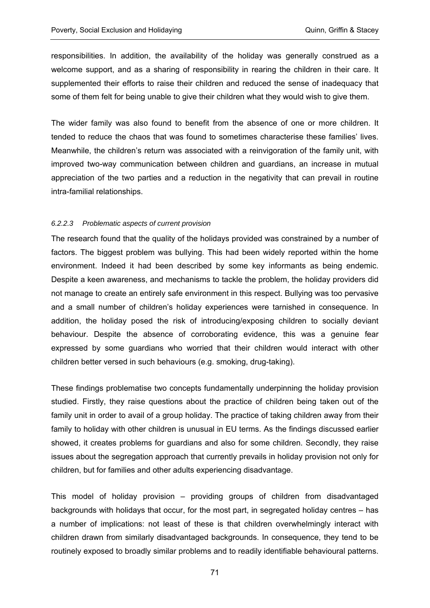responsibilities. In addition, the availability of the holiday was generally construed as a welcome support, and as a sharing of responsibility in rearing the children in their care. It supplemented their efforts to raise their children and reduced the sense of inadequacy that some of them felt for being unable to give their children what they would wish to give them.

The wider family was also found to benefit from the absence of one or more children. It tended to reduce the chaos that was found to sometimes characterise these families' lives. Meanwhile, the children's return was associated with a reinvigoration of the family unit, with improved two-way communication between children and guardians, an increase in mutual appreciation of the two parties and a reduction in the negativity that can prevail in routine intra-familial relationships.

#### *6.2.2.3 Problematic aspects of current provision*

The research found that the quality of the holidays provided was constrained by a number of factors. The biggest problem was bullying. This had been widely reported within the home environment. Indeed it had been described by some key informants as being endemic. Despite a keen awareness, and mechanisms to tackle the problem, the holiday providers did not manage to create an entirely safe environment in this respect. Bullying was too pervasive and a small number of children's holiday experiences were tarnished in consequence. In addition, the holiday posed the risk of introducing/exposing children to socially deviant behaviour. Despite the absence of corroborating evidence, this was a genuine fear expressed by some guardians who worried that their children would interact with other children better versed in such behaviours (e.g. smoking, drug-taking).

These findings problematise two concepts fundamentally underpinning the holiday provision studied. Firstly, they raise questions about the practice of children being taken out of the family unit in order to avail of a group holiday. The practice of taking children away from their family to holiday with other children is unusual in EU terms. As the findings discussed earlier showed, it creates problems for guardians and also for some children. Secondly, they raise issues about the segregation approach that currently prevails in holiday provision not only for children, but for families and other adults experiencing disadvantage.

This model of holiday provision – providing groups of children from disadvantaged backgrounds with holidays that occur, for the most part, in segregated holiday centres – has a number of implications: not least of these is that children overwhelmingly interact with children drawn from similarly disadvantaged backgrounds. In consequence, they tend to be routinely exposed to broadly similar problems and to readily identifiable behavioural patterns.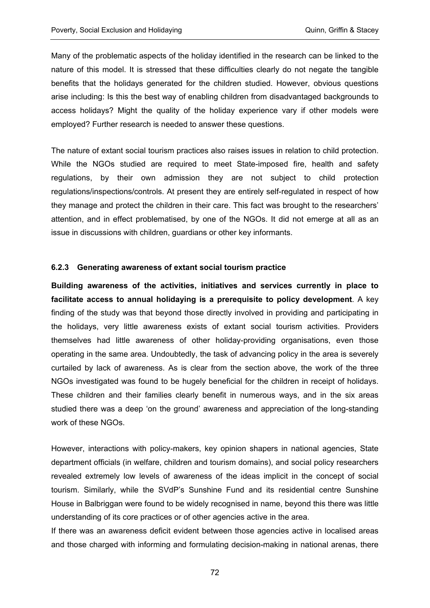Many of the problematic aspects of the holiday identified in the research can be linked to the nature of this model. It is stressed that these difficulties clearly do not negate the tangible benefits that the holidays generated for the children studied. However, obvious questions arise including: Is this the best way of enabling children from disadvantaged backgrounds to access holidays? Might the quality of the holiday experience vary if other models were employed? Further research is needed to answer these questions.

The nature of extant social tourism practices also raises issues in relation to child protection. While the NGOs studied are required to meet State-imposed fire, health and safety regulations, by their own admission they are not subject to child protection regulations/inspections/controls. At present they are entirely self-regulated in respect of how they manage and protect the children in their care. This fact was brought to the researchers' attention, and in effect problematised, by one of the NGOs. It did not emerge at all as an issue in discussions with children, guardians or other key informants.

### **6.2.3 Generating awareness of extant social tourism practice**

**Building awareness of the activities, initiatives and services currently in place to facilitate access to annual holidaying is a prerequisite to policy development**. A key finding of the study was that beyond those directly involved in providing and participating in the holidays, very little awareness exists of extant social tourism activities. Providers themselves had little awareness of other holiday-providing organisations, even those operating in the same area. Undoubtedly, the task of advancing policy in the area is severely curtailed by lack of awareness. As is clear from the section above, the work of the three NGOs investigated was found to be hugely beneficial for the children in receipt of holidays. These children and their families clearly benefit in numerous ways, and in the six areas studied there was a deep 'on the ground' awareness and appreciation of the long-standing work of these NGOs.

However, interactions with policy-makers, key opinion shapers in national agencies, State department officials (in welfare, children and tourism domains), and social policy researchers revealed extremely low levels of awareness of the ideas implicit in the concept of social tourism. Similarly, while the SVdP's Sunshine Fund and its residential centre Sunshine House in Balbriggan were found to be widely recognised in name, beyond this there was little understanding of its core practices or of other agencies active in the area.

If there was an awareness deficit evident between those agencies active in localised areas and those charged with informing and formulating decision-making in national arenas, there

72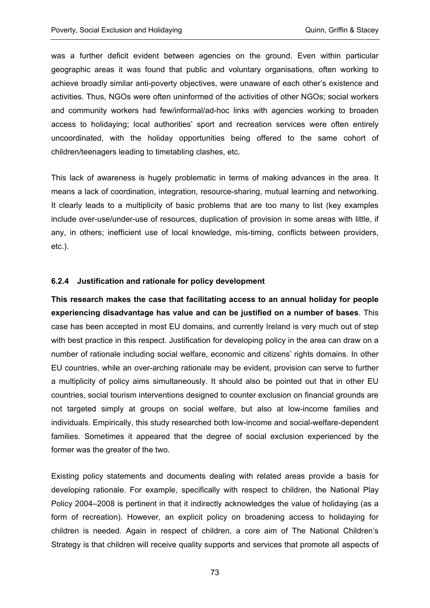was a further deficit evident between agencies on the ground. Even within particular geographic areas it was found that public and voluntary organisations, often working to achieve broadly similar anti-poverty objectives, were unaware of each other's existence and activities. Thus, NGOs were often uninformed of the activities of other NGOs; social workers and community workers had few/informal/ad-hoc links with agencies working to broaden access to holidaying; local authorities' sport and recreation services were often entirely uncoordinated, with the holiday opportunities being offered to the same cohort of children/teenagers leading to timetabling clashes, etc.

This lack of awareness is hugely problematic in terms of making advances in the area. It means a lack of coordination, integration, resource-sharing, mutual learning and networking. It clearly leads to a multiplicity of basic problems that are too many to list (key examples include over-use/under-use of resources, duplication of provision in some areas with little, if any, in others; inefficient use of local knowledge, mis-timing, conflicts between providers, etc.).

### **6.2.4 Justification and rationale for policy development**

**This research makes the case that facilitating access to an annual holiday for people experiencing disadvantage has value and can be justified on a number of bases**. This case has been accepted in most EU domains, and currently Ireland is very much out of step with best practice in this respect. Justification for developing policy in the area can draw on a number of rationale including social welfare, economic and citizens' rights domains. In other EU countries, while an over-arching rationale may be evident, provision can serve to further a multiplicity of policy aims simultaneously. It should also be pointed out that in other EU countries, social tourism interventions designed to counter exclusion on financial grounds are not targeted simply at groups on social welfare, but also at low-income families and individuals. Empirically, this study researched both low-income and social-welfare-dependent families. Sometimes it appeared that the degree of social exclusion experienced by the former was the greater of the two.

Existing policy statements and documents dealing with related areas provide a basis for developing rationale. For example, specifically with respect to children, the National Play Policy 2004–2008 is pertinent in that it indirectly acknowledges the value of holidaying (as a form of recreation). However, an explicit policy on broadening access to holidaying for children is needed. Again in respect of children, a core aim of The National Children's Strategy is that children will receive quality supports and services that promote all aspects of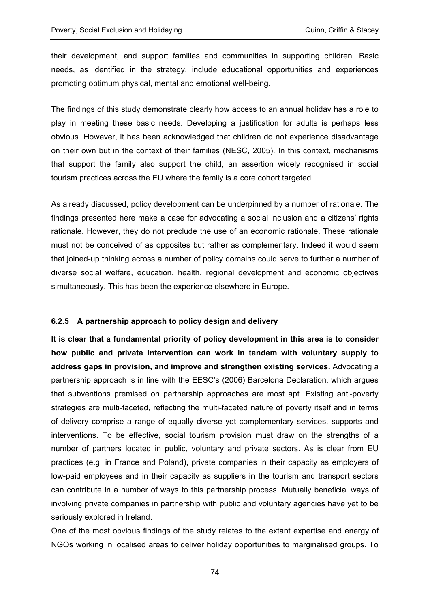their development, and support families and communities in supporting children. Basic needs, as identified in the strategy, include educational opportunities and experiences promoting optimum physical, mental and emotional well-being.

The findings of this study demonstrate clearly how access to an annual holiday has a role to play in meeting these basic needs. Developing a justification for adults is perhaps less obvious. However, it has been acknowledged that children do not experience disadvantage on their own but in the context of their families (NESC, 2005). In this context, mechanisms that support the family also support the child, an assertion widely recognised in social tourism practices across the EU where the family is a core cohort targeted.

As already discussed, policy development can be underpinned by a number of rationale. The findings presented here make a case for advocating a social inclusion and a citizens' rights rationale. However, they do not preclude the use of an economic rationale. These rationale must not be conceived of as opposites but rather as complementary. Indeed it would seem that joined-up thinking across a number of policy domains could serve to further a number of diverse social welfare, education, health, regional development and economic objectives simultaneously. This has been the experience elsewhere in Europe.

### **6.2.5 A partnership approach to policy design and delivery**

**It is clear that a fundamental priority of policy development in this area is to consider how public and private intervention can work in tandem with voluntary supply to address gaps in provision, and improve and strengthen existing services.** Advocating a partnership approach is in line with the EESC's (2006) Barcelona Declaration, which argues that subventions premised on partnership approaches are most apt. Existing anti-poverty strategies are multi-faceted, reflecting the multi-faceted nature of poverty itself and in terms of delivery comprise a range of equally diverse yet complementary services, supports and interventions. To be effective, social tourism provision must draw on the strengths of a number of partners located in public, voluntary and private sectors. As is clear from EU practices (e.g. in France and Poland), private companies in their capacity as employers of low-paid employees and in their capacity as suppliers in the tourism and transport sectors can contribute in a number of ways to this partnership process. Mutually beneficial ways of involving private companies in partnership with public and voluntary agencies have yet to be seriously explored in Ireland.

One of the most obvious findings of the study relates to the extant expertise and energy of NGOs working in localised areas to deliver holiday opportunities to marginalised groups. To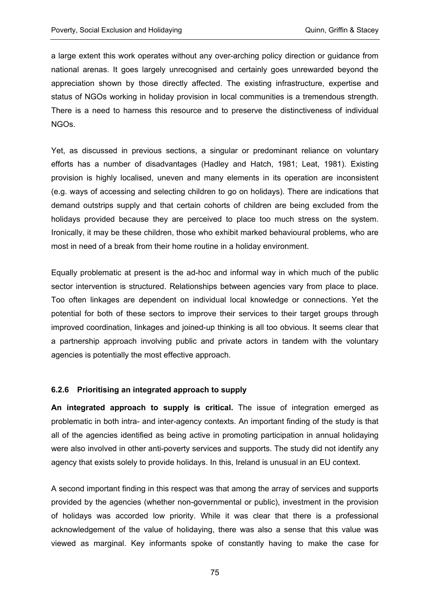a large extent this work operates without any over-arching policy direction or guidance from national arenas. It goes largely unrecognised and certainly goes unrewarded beyond the appreciation shown by those directly affected. The existing infrastructure, expertise and status of NGOs working in holiday provision in local communities is a tremendous strength. There is a need to harness this resource and to preserve the distinctiveness of individual NGOs.

Yet, as discussed in previous sections, a singular or predominant reliance on voluntary efforts has a number of disadvantages (Hadley and Hatch, 1981; Leat, 1981). Existing provision is highly localised, uneven and many elements in its operation are inconsistent (e.g. ways of accessing and selecting children to go on holidays). There are indications that demand outstrips supply and that certain cohorts of children are being excluded from the holidays provided because they are perceived to place too much stress on the system. Ironically, it may be these children, those who exhibit marked behavioural problems, who are most in need of a break from their home routine in a holiday environment.

Equally problematic at present is the ad-hoc and informal way in which much of the public sector intervention is structured. Relationships between agencies vary from place to place. Too often linkages are dependent on individual local knowledge or connections. Yet the potential for both of these sectors to improve their services to their target groups through improved coordination, linkages and joined-up thinking is all too obvious. It seems clear that a partnership approach involving public and private actors in tandem with the voluntary agencies is potentially the most effective approach.

### **6.2.6 Prioritising an integrated approach to supply**

**An integrated approach to supply is critical.** The issue of integration emerged as problematic in both intra- and inter-agency contexts. An important finding of the study is that all of the agencies identified as being active in promoting participation in annual holidaying were also involved in other anti-poverty services and supports. The study did not identify any agency that exists solely to provide holidays. In this, Ireland is unusual in an EU context.

A second important finding in this respect was that among the array of services and supports provided by the agencies (whether non-governmental or public), investment in the provision of holidays was accorded low priority. While it was clear that there is a professional acknowledgement of the value of holidaying, there was also a sense that this value was viewed as marginal. Key informants spoke of constantly having to make the case for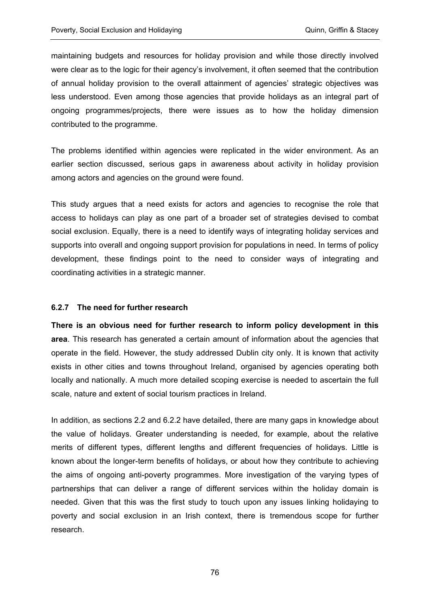maintaining budgets and resources for holiday provision and while those directly involved were clear as to the logic for their agency's involvement, it often seemed that the contribution of annual holiday provision to the overall attainment of agencies' strategic objectives was less understood. Even among those agencies that provide holidays as an integral part of ongoing programmes/projects, there were issues as to how the holiday dimension contributed to the programme.

The problems identified within agencies were replicated in the wider environment. As an earlier section discussed, serious gaps in awareness about activity in holiday provision among actors and agencies on the ground were found.

This study argues that a need exists for actors and agencies to recognise the role that access to holidays can play as one part of a broader set of strategies devised to combat social exclusion. Equally, there is a need to identify ways of integrating holiday services and supports into overall and ongoing support provision for populations in need. In terms of policy development, these findings point to the need to consider ways of integrating and coordinating activities in a strategic manner.

### **6.2.7 The need for further research**

**There is an obvious need for further research to inform policy development in this area**. This research has generated a certain amount of information about the agencies that operate in the field. However, the study addressed Dublin city only. It is known that activity exists in other cities and towns throughout Ireland, organised by agencies operating both locally and nationally. A much more detailed scoping exercise is needed to ascertain the full scale, nature and extent of social tourism practices in Ireland.

In addition, as sections 2.2 and 6.2.2 have detailed, there are many gaps in knowledge about the value of holidays. Greater understanding is needed, for example, about the relative merits of different types, different lengths and different frequencies of holidays. Little is known about the longer-term benefits of holidays, or about how they contribute to achieving the aims of ongoing anti-poverty programmes. More investigation of the varying types of partnerships that can deliver a range of different services within the holiday domain is needed. Given that this was the first study to touch upon any issues linking holidaying to poverty and social exclusion in an Irish context, there is tremendous scope for further research.

76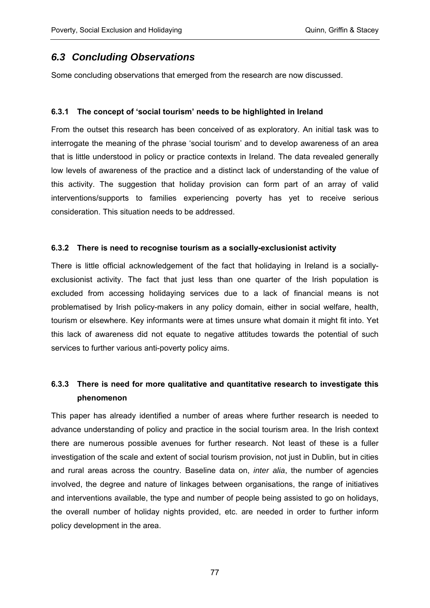## *6.3 Concluding Observations*

Some concluding observations that emerged from the research are now discussed.

### **6.3.1 The concept of 'social tourism' needs to be highlighted in Ireland**

From the outset this research has been conceived of as exploratory. An initial task was to interrogate the meaning of the phrase 'social tourism' and to develop awareness of an area that is little understood in policy or practice contexts in Ireland. The data revealed generally low levels of awareness of the practice and a distinct lack of understanding of the value of this activity. The suggestion that holiday provision can form part of an array of valid interventions/supports to families experiencing poverty has yet to receive serious consideration. This situation needs to be addressed.

### **6.3.2 There is need to recognise tourism as a socially-exclusionist activity**

There is little official acknowledgement of the fact that holidaying in Ireland is a sociallyexclusionist activity. The fact that just less than one quarter of the Irish population is excluded from accessing holidaying services due to a lack of financial means is not problematised by Irish policy-makers in any policy domain, either in social welfare, health, tourism or elsewhere. Key informants were at times unsure what domain it might fit into. Yet this lack of awareness did not equate to negative attitudes towards the potential of such services to further various anti-poverty policy aims.

### **6.3.3 There is need for more qualitative and quantitative research to investigate this phenomenon**

This paper has already identified a number of areas where further research is needed to advance understanding of policy and practice in the social tourism area. In the Irish context there are numerous possible avenues for further research. Not least of these is a fuller investigation of the scale and extent of social tourism provision, not just in Dublin, but in cities and rural areas across the country. Baseline data on, *inter alia*, the number of agencies involved, the degree and nature of linkages between organisations, the range of initiatives and interventions available, the type and number of people being assisted to go on holidays, the overall number of holiday nights provided, etc. are needed in order to further inform policy development in the area.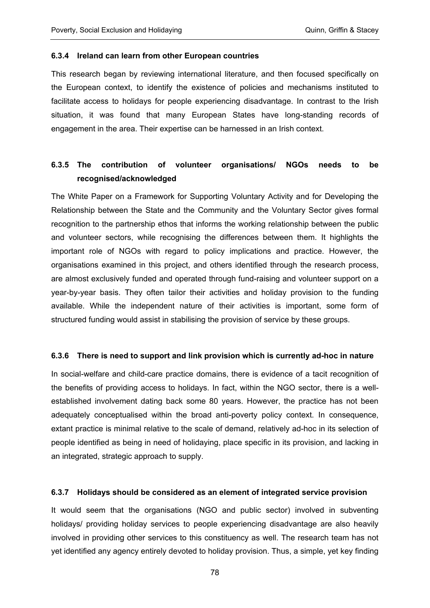#### **6.3.4 Ireland can learn from other European countries**

This research began by reviewing international literature, and then focused specifically on the European context, to identify the existence of policies and mechanisms instituted to facilitate access to holidays for people experiencing disadvantage. In contrast to the Irish situation, it was found that many European States have long-standing records of engagement in the area. Their expertise can be harnessed in an Irish context.

### **6.3.5 The contribution of volunteer organisations/ NGOs needs to be recognised/acknowledged**

The White Paper on a Framework for Supporting Voluntary Activity and for Developing the Relationship between the State and the Community and the Voluntary Sector gives formal recognition to the partnership ethos that informs the working relationship between the public and volunteer sectors, while recognising the differences between them. It highlights the important role of NGOs with regard to policy implications and practice. However, the organisations examined in this project, and others identified through the research process, are almost exclusively funded and operated through fund-raising and volunteer support on a year-by-year basis. They often tailor their activities and holiday provision to the funding available. While the independent nature of their activities is important, some form of structured funding would assist in stabilising the provision of service by these groups.

### **6.3.6 There is need to support and link provision which is currently ad-hoc in nature**

In social-welfare and child-care practice domains, there is evidence of a tacit recognition of the benefits of providing access to holidays. In fact, within the NGO sector, there is a wellestablished involvement dating back some 80 years. However, the practice has not been adequately conceptualised within the broad anti-poverty policy context. In consequence, extant practice is minimal relative to the scale of demand, relatively ad-hoc in its selection of people identified as being in need of holidaying, place specific in its provision, and lacking in an integrated, strategic approach to supply.

### **6.3.7 Holidays should be considered as an element of integrated service provision**

It would seem that the organisations (NGO and public sector) involved in subventing holidays/ providing holiday services to people experiencing disadvantage are also heavily involved in providing other services to this constituency as well. The research team has not yet identified any agency entirely devoted to holiday provision. Thus, a simple, yet key finding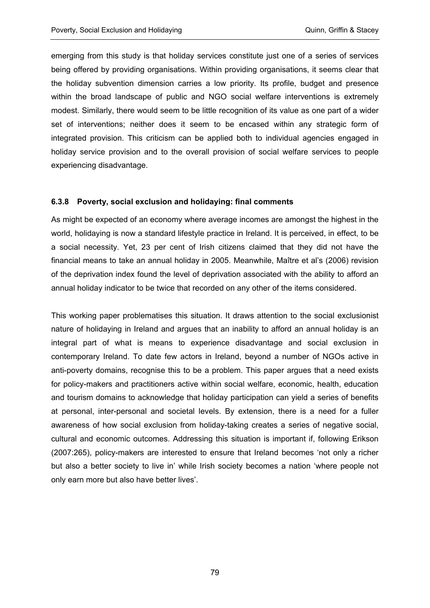emerging from this study is that holiday services constitute just one of a series of services being offered by providing organisations. Within providing organisations, it seems clear that the holiday subvention dimension carries a low priority. Its profile, budget and presence within the broad landscape of public and NGO social welfare interventions is extremely modest. Similarly, there would seem to be little recognition of its value as one part of a wider set of interventions; neither does it seem to be encased within any strategic form of integrated provision. This criticism can be applied both to individual agencies engaged in holiday service provision and to the overall provision of social welfare services to people experiencing disadvantage.

### **6.3.8 Poverty, social exclusion and holidaying: final comments**

As might be expected of an economy where average incomes are amongst the highest in the world, holidaying is now a standard lifestyle practice in Ireland. It is perceived, in effect, to be a social necessity. Yet, 23 per cent of Irish citizens claimed that they did not have the financial means to take an annual holiday in 2005. Meanwhile, Maître et al's (2006) revision of the deprivation index found the level of deprivation associated with the ability to afford an annual holiday indicator to be twice that recorded on any other of the items considered.

This working paper problematises this situation. It draws attention to the social exclusionist nature of holidaying in Ireland and argues that an inability to afford an annual holiday is an integral part of what is means to experience disadvantage and social exclusion in contemporary Ireland. To date few actors in Ireland, beyond a number of NGOs active in anti-poverty domains, recognise this to be a problem. This paper argues that a need exists for policy-makers and practitioners active within social welfare, economic, health, education and tourism domains to acknowledge that holiday participation can yield a series of benefits at personal, inter-personal and societal levels. By extension, there is a need for a fuller awareness of how social exclusion from holiday-taking creates a series of negative social, cultural and economic outcomes. Addressing this situation is important if, following Erikson (2007:265), policy-makers are interested to ensure that Ireland becomes 'not only a richer but also a better society to live in' while Irish society becomes a nation 'where people not only earn more but also have better lives'.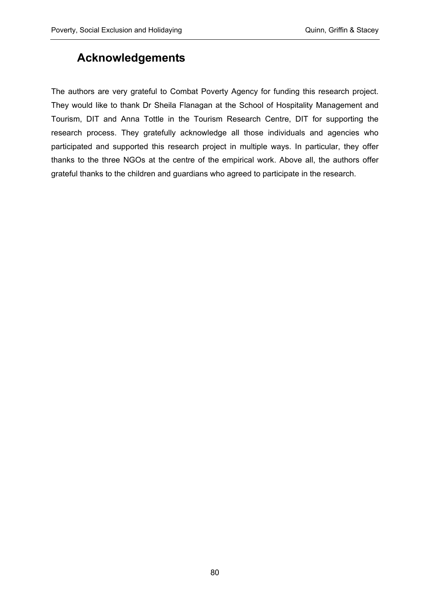## **Acknowledgements**

The authors are very grateful to Combat Poverty Agency for funding this research project. They would like to thank Dr Sheila Flanagan at the School of Hospitality Management and Tourism, DIT and Anna Tottle in the Tourism Research Centre, DIT for supporting the research process. They gratefully acknowledge all those individuals and agencies who participated and supported this research project in multiple ways. In particular, they offer thanks to the three NGOs at the centre of the empirical work. Above all, the authors offer grateful thanks to the children and guardians who agreed to participate in the research.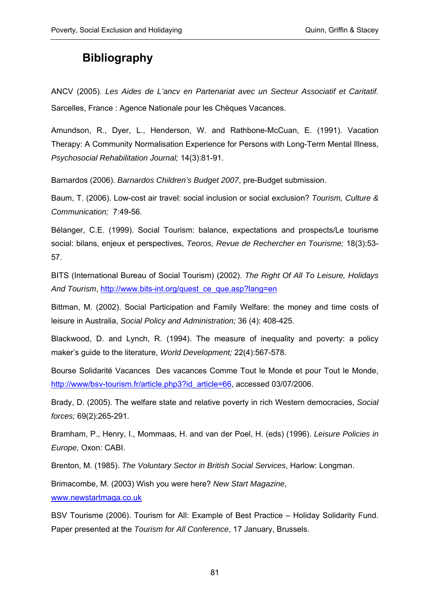## **Bibliography**

ANCV (2005). *Les Aides de L'ancv en Partenariat avec un Secteur Associatif et Caritatif.*  Sarcelles, France : Agence Nationale pour les Chèques Vacances.

Amundson, R., Dyer, L., Henderson, W. and Rathbone-McCuan, E. (1991). Vacation Therapy: A Community Normalisation Experience for Persons with Long-Term Mental Illness, *Psychosocial Rehabilitation Journal;* 14(3):81-91.

Barnardos (2006). *Barnardos Children's Budget 2007*, pre-Budget submission.

Baum, T. (2006). Low-cost air travel: social inclusion or social exclusion? *Tourism, Culture & Communication;* 7:49-56.

Bélanger, C.E. (1999). Social Tourism: balance, expectations and prospects/Le tourisme social: bilans, enjeux et perspectives, *Teoros, Revue de Rechercher en Tourisme;* 18(3):53- 57.

BITS (International Bureau of Social Tourism) (2002). *The Right Of All To Leisure, Holidays And Tourism*, http://www.bits-int.org/quest\_ce\_que.asp?lang=en

Bittman, M. (2002). Social Participation and Family Welfare: the money and time costs of leisure in Australia, *Social Policy and Administration;* 36 (4): 408-425.

Blackwood, D. and Lynch, R. (1994). The measure of inequality and poverty: a policy maker's guide to the literature, *World Development;* 22(4):567-578.

Bourse Solidarité Vacances Des vacances Comme Tout le Monde et pour Tout le Monde, http://www/bsv-tourism.fr/article.php3?id\_article=66, accessed 03/07/2006.

Brady, D. (2005). The welfare state and relative poverty in rich Western democracies, *Social forces;* 69(2):265-291.

Bramham, P., Henry, I., Mommaas, H. and van der Poel, H. (eds) (1996). *Leisure Policies in Europe,* Oxon: CABI.

Brenton, M. (1985). *The Voluntary Sector in British Social Services*, Harlow: Longman.

Brimacombe, M. (2003) Wish you were here? *New Start Magazine*, www.newstartmaga.co.uk

BSV Tourisme (2006). Tourism for All: Example of Best Practice – Holiday Solidarity Fund. Paper presented at the *Tourism for All Conference*, 17 January, Brussels.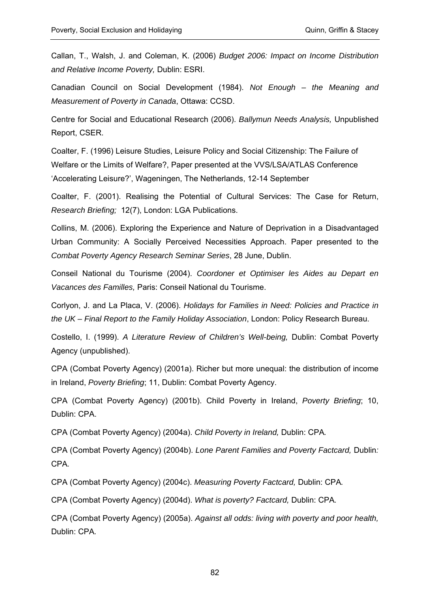Callan, T., Walsh, J. and Coleman, K. (2006) *Budget 2006: Impact on Income Distribution and Relative Income Poverty,* Dublin: ESRI.

Canadian Council on Social Development (1984). *Not Enough – the Meaning and Measurement of Poverty in Canada*, Ottawa: CCSD.

Centre for Social and Educational Research (2006). *Ballymun Needs Analysis,* Unpublished Report, CSER.

Coalter, F. (1996) Leisure Studies, Leisure Policy and Social Citizenship: The Failure of Welfare or the Limits of Welfare?, Paper presented at the VVS/LSA/ATLAS Conference 'Accelerating Leisure?', Wageningen, The Netherlands, 12-14 September

Coalter, F. (2001). Realising the Potential of Cultural Services: The Case for Return, *Research Briefing;* 12(7), London: LGA Publications.

Collins, M. (2006). Exploring the Experience and Nature of Deprivation in a Disadvantaged Urban Community: A Socially Perceived Necessities Approach. Paper presented to the *Combat Poverty Agency Research Seminar Series*, 28 June, Dublin.

Conseil National du Tourisme (2004). *Coordoner et Optimiser les Aides au Depart en Vacances des Familles,* Paris: Conseil National du Tourisme.

Corlyon, J. and La Placa, V. (2006). *Holidays for Families in Need: Policies and Practice in the UK – Final Report to the Family Holiday Association*, London: Policy Research Bureau.

Costello, I. (1999). *A Literature Review of Children's Well-being,* Dublin: Combat Poverty Agency (unpublished).

CPA (Combat Poverty Agency) (2001a). Richer but more unequal: the distribution of income in Ireland, *Poverty Briefing*; 11, Dublin: Combat Poverty Agency.

CPA (Combat Poverty Agency) (2001b). Child Poverty in Ireland, *Poverty Briefing*; 10, Dublin: CPA.

CPA (Combat Poverty Agency) (2004a). *Child Poverty in Ireland,* Dublin: CPA*.* 

CPA (Combat Poverty Agency) (2004b). *Lone Parent Families and Poverty Factcard,* Dublin*:* CPA*.* 

CPA (Combat Poverty Agency) (2004c). *Measuring Poverty Factcard,* Dublin: CPA*.* 

CPA (Combat Poverty Agency) (2004d). *What is poverty? Factcard,* Dublin: CPA*.* 

CPA (Combat Poverty Agency) (2005a). *Against all odds: living with poverty and poor health,*  Dublin: CPA*.*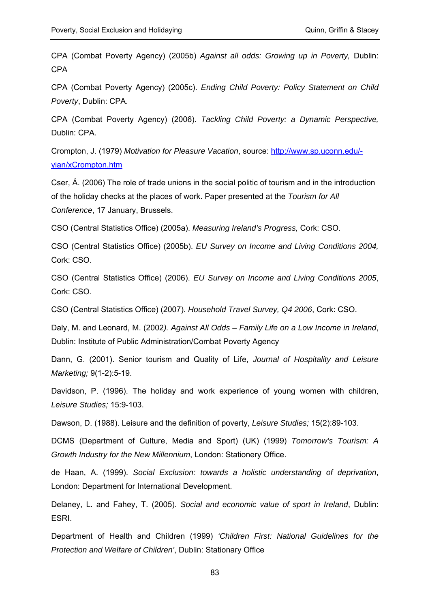CPA (Combat Poverty Agency) (2005b) *Against all odds: Growing up in Poverty,* Dublin: CPA

CPA (Combat Poverty Agency) (2005c). *Ending Child Poverty: Policy Statement on Child Poverty*, Dublin: CPA.

CPA (Combat Poverty Agency) (2006). *Tackling Child Poverty: a Dynamic Perspective,* Dublin: CPA.

Crompton, J. (1979) *Motivation for Pleasure Vacation*, source: http://www.sp.uconn.edu/ yian/xCrompton.htm

Cser, Á. (2006) The role of trade unions in the social politic of tourism and in the introduction of the holiday checks at the places of work. Paper presented at the *Tourism for All Conference*, 17 January, Brussels.

CSO (Central Statistics Office) (2005a). *Measuring Ireland's Progress,* Cork: CSO.

CSO (Central Statistics Office) (2005b). *EU Survey on Income and Living Conditions 2004,*  Cork: CSO.

CSO (Central Statistics Office) (2006). *EU Survey on Income and Living Conditions 2005*, Cork: CSO.

CSO (Central Statistics Office) (2007). *Household Travel Survey, Q4 2006*, Cork: CSO.

Daly, M. and Leonard, M. (2002*). Against All Odds – Family Life on a Low Income in Ireland*, Dublin: Institute of Public Administration/Combat Poverty Agency

Dann, G. (2001). Senior tourism and Quality of Life, *Journal of Hospitality and Leisure Marketing;* 9(1-2):5-19.

Davidson, P. (1996). The holiday and work experience of young women with children, *Leisure Studies;* 15:9-103.

Dawson, D. (1988). Leisure and the definition of poverty, *Leisure Studies;* 15(2):89-103.

DCMS (Department of Culture, Media and Sport) (UK) (1999) *Tomorrow's Tourism: A Growth Industry for the New Millennium*, London: Stationery Office.

de Haan, A. (1999). *Social Exclusion: towards a holistic understanding of deprivation*, London: Department for International Development.

Delaney, L. and Fahey, T. (2005). *Social and economic value of sport in Ireland*, Dublin: ESRI.

Department of Health and Children (1999) *'Children First: National Guidelines for the Protection and Welfare of Children'*, Dublin: Stationary Office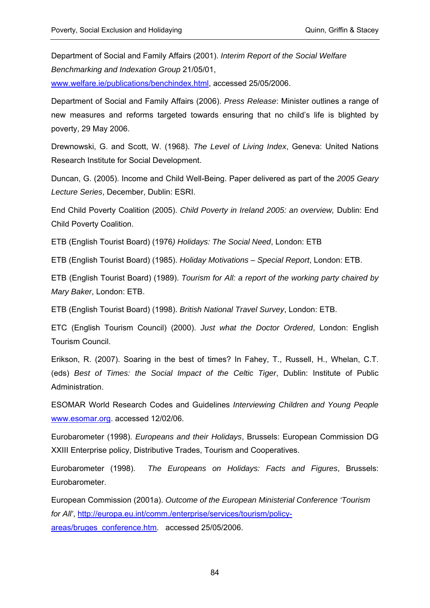Department of Social and Family Affairs (2001). *Interim Report of the Social Welfare Benchmarking and Indexation Group* 21/05/01,

www.welfare.ie/publications/benchindex.html, accessed 25/05/2006.

Department of Social and Family Affairs (2006). *Press Release*: Minister outlines a range of new measures and reforms targeted towards ensuring that no child's life is blighted by poverty, 29 May 2006.

Drewnowski, G. and Scott, W. (1968). *The Level of Living Index*, Geneva: United Nations Research Institute for Social Development.

Duncan, G. (2005). Income and Child Well-Being. Paper delivered as part of the *2005 Geary Lecture Series*, December, Dublin: ESRI.

End Child Poverty Coalition (2005). *Child Poverty in Ireland 2005: an overview,* Dublin: End Child Poverty Coalition.

ETB (English Tourist Board) (1976*) Holidays: The Social Need*, London: ETB

ETB (English Tourist Board) (1985). *Holiday Motivations – Special Report*, London: ETB.

ETB (English Tourist Board) (1989). *Tourism for All: a report of the working party chaired by Mary Baker*, London: ETB.

ETB (English Tourist Board) (1998). *British National Travel Survey*, London: ETB.

ETC (English Tourism Council) (2000). *Just what the Doctor Ordered*, London: English Tourism Council.

Erikson, R. (2007). Soaring in the best of times? In Fahey, T., Russell, H., Whelan, C.T. (eds) *Best of Times: the Social Impact of the Celtic Tiger*, Dublin: Institute of Public Administration.

ESOMAR World Research Codes and Guidelines *Interviewing Children and Young People* www.esomar.org. accessed 12/02/06.

Eurobarometer (1998). *Europeans and their Holidays*, Brussels: European Commission DG XXIII Enterprise policy, Distributive Trades, Tourism and Cooperatives.

Eurobarometer (1998). *The Europeans on Holidays: Facts and Figures*, Brussels: Eurobarometer.

European Commission (2001a). *Outcome of the European Ministerial Conference 'Tourism for All'*, http://europa.eu.int/comm./enterprise/services/tourism/policyareas/bruges\_conference.htm. accessed 25/05/2006.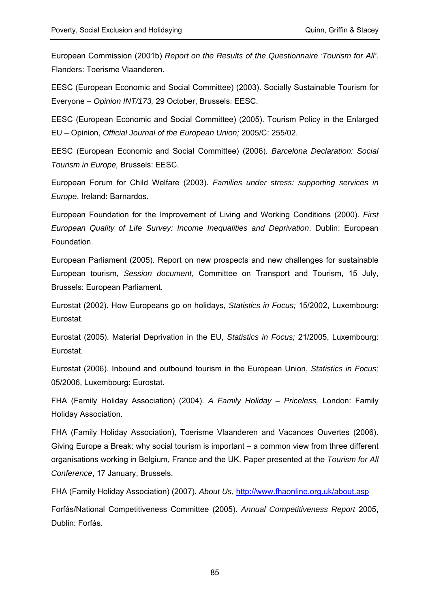European Commission (2001b) *Report on the Results of the Questionnaire 'Tourism for All'*. Flanders: Toerisme Vlaanderen.

EESC (European Economic and Social Committee) (2003). Socially Sustainable Tourism for Everyone – *Opinion INT/173,* 29 October, Brussels: EESC.

EESC (European Economic and Social Committee) (2005). Tourism Policy in the Enlarged EU – Opinion, *Official Journal of the European Union;* 2005/C: 255/02.

EESC (European Economic and Social Committee) (2006). *Barcelona Declaration: Social Tourism in Europe,* Brussels: EESC.

European Forum for Child Welfare (2003). *Families under stress: supporting services in Europe*, Ireland: Barnardos.

European Foundation for the Improvement of Living and Working Conditions (2000). *First European Quality of Life Survey: Income Inequalities and Deprivation*. Dublin: European Foundation.

European Parliament (2005). Report on new prospects and new challenges for sustainable European tourism, *Session document*, Committee on Transport and Tourism, 15 July, Brussels: European Parliament.

Eurostat (2002). How Europeans go on holidays, *Statistics in Focus;* 15/2002, Luxembourg: Eurostat.

Eurostat (2005). Material Deprivation in the EU, *Statistics in Focus;* 21/2005, Luxembourg: Eurostat.

Eurostat (2006). Inbound and outbound tourism in the European Union, *Statistics in Focus;* 05/2006, Luxembourg: Eurostat.

FHA (Family Holiday Association) (2004). *A Family Holiday – Priceless,* London: Family Holiday Association.

FHA (Family Holiday Association), Toerisme Vlaanderen and Vacances Ouvertes (2006). Giving Europe a Break: why social tourism is important – a common view from three different organisations working in Belgium, France and the UK. Paper presented at the *Tourism for All Conference*, 17 January, Brussels.

FHA (Family Holiday Association) (2007). *About Us*, http://www.fhaonline.org.uk/about.asp

Forfás/National Competitiveness Committee (2005). *Annual Competitiveness Report* 2005, Dublin: Forfás.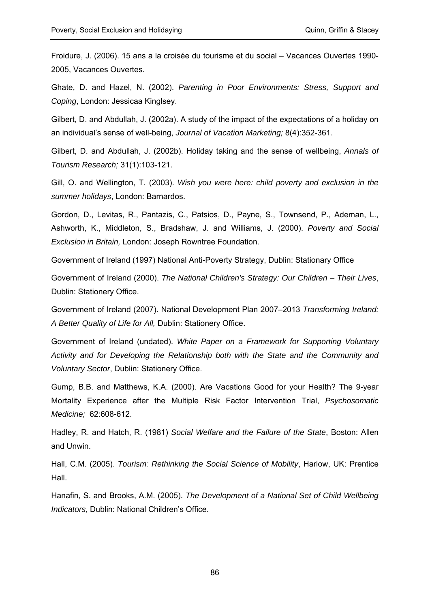Froidure, J. (2006). 15 ans a la croisée du tourisme et du social – Vacances Ouvertes 1990- 2005, Vacances Ouvertes.

Ghate, D. and Hazel, N. (2002). *Parenting in Poor Environments: Stress, Support and Coping*, London: Jessicaa Kinglsey.

Gilbert, D. and Abdullah, J. (2002a). A study of the impact of the expectations of a holiday on an individual's sense of well-being, *Journal of Vacation Marketing;* 8(4):352-361.

Gilbert, D. and Abdullah, J. (2002b). Holiday taking and the sense of wellbeing, *Annals of Tourism Research;* 31(1):103-121.

Gill, O. and Wellington, T. (2003). *Wish you were here: child poverty and exclusion in the summer holidays*, London: Barnardos.

Gordon, D., Levitas, R., Pantazis, C., Patsios, D., Payne, S., Townsend, P., Ademan, L., Ashworth, K., Middleton, S., Bradshaw, J. and Williams, J. (2000). *Poverty and Social Exclusion in Britain,* London: Joseph Rowntree Foundation.

Government of Ireland (1997) National Anti-Poverty Strategy, Dublin: Stationary Office

Government of Ireland (2000). *The National Children's Strategy: Our Children – Their Lives*, Dublin: Stationery Office.

Government of Ireland (2007). National Development Plan 2007–2013 *Transforming Ireland: A Better Quality of Life for All,* Dublin: Stationery Office.

Government of Ireland (undated). *White Paper on a Framework for Supporting Voluntary Activity and for Developing the Relationship both with the State and the Community and Voluntary Sector*, Dublin: Stationery Office.

Gump, B.B. and Matthews, K.A. (2000). Are Vacations Good for your Health? The 9-year Mortality Experience after the Multiple Risk Factor Intervention Trial, *Psychosomatic Medicine;* 62:608-612.

Hadley, R. and Hatch, R. (1981) *Social Welfare and the Failure of the State*, Boston: Allen and Unwin.

Hall, C.M. (2005). *Tourism: Rethinking the Social Science of Mobility*, Harlow, UK: Prentice Hall.

Hanafin, S. and Brooks, A.M. (2005). *The Development of a National Set of Child Wellbeing Indicators*, Dublin: National Children's Office.

86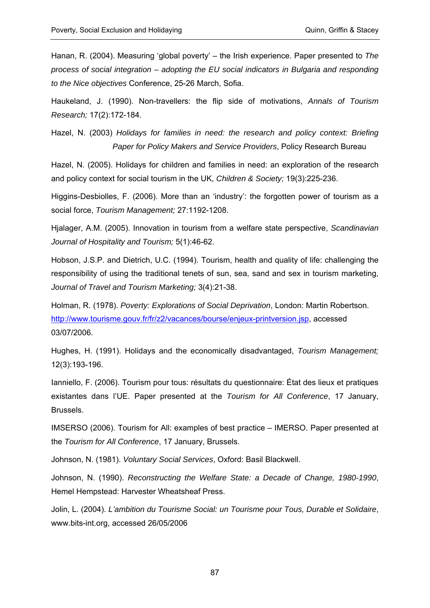Hanan, R. (2004). Measuring 'global poverty' – the Irish experience. Paper presented to *The process of social integration – adopting the EU social indicators in Bulgaria and responding to the Nice objectives* Conference, 25-26 March, Sofia.

Haukeland, J. (1990). Non-travellers: the flip side of motivations, *Annals of Tourism Research;* 17(2):172-184.

Hazel, N. (2003) *Holidays for families in need: the research and policy context: Briefing Paper for Policy Makers and Service Providers*, Policy Research Bureau

Hazel, N. (2005). Holidays for children and families in need: an exploration of the research and policy context for social tourism in the UK, *Children & Society;* 19(3):225-236.

Higgins-Desbiolles, F. (2006). More than an 'industry': the forgotten power of tourism as a social force, *Tourism Management;* 27:1192-1208.

Hjalager, A.M. (2005). Innovation in tourism from a welfare state perspective, *Scandinavian Journal of Hospitality and Tourism;* 5(1):46-62.

Hobson, J.S.P. and Dietrich, U.C. (1994). Tourism, health and quality of life: challenging the responsibility of using the traditional tenets of sun, sea, sand and sex in tourism marketing, *Journal of Travel and Tourism Marketing;* 3(4):21-38.

Holman, R. (1978). *Poverty: Explorations of Social Deprivation*, London: Martin Robertson. http://www.tourisme.gouv.fr/fr/z2/vacances/bourse/enjeux-printversion.jsp, accessed 03/07/2006.

Hughes, H. (1991). Holidays and the economically disadvantaged, *Tourism Management;* 12(3):193-196.

Ianniello, F. (2006). Tourism pour tous: résultats du questionnaire: État des lieux et pratiques existantes dans l'UE. Paper presented at the *Tourism for All Conference*, 17 January, Brussels.

IMSERSO (2006). Tourism for All: examples of best practice – IMERSO. Paper presented at the *Tourism for All Conference*, 17 January, Brussels.

Johnson, N. (1981). *Voluntary Social Services*, Oxford: Basil Blackwell.

Johnson, N. (1990). *Reconstructing the Welfare State: a Decade of Change, 1980-1990*, Hemel Hempstead: Harvester Wheatsheaf Press.

Jolin, L. (2004). *L'ambition du Tourisme Social: un Tourisme pour Tous, Durable et Solidaire*, www.bits-int.org, accessed 26/05/2006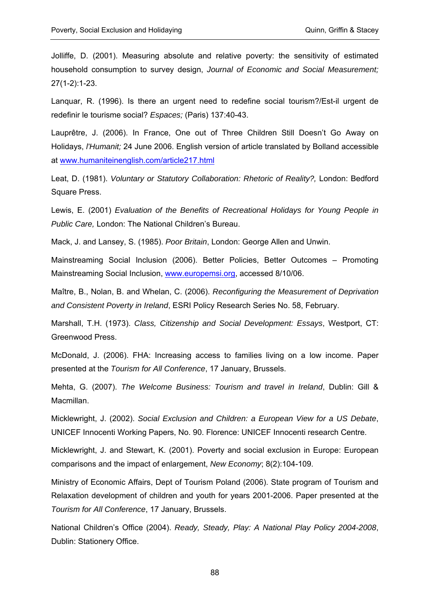Jolliffe, D. (2001). Measuring absolute and relative poverty: the sensitivity of estimated household consumption to survey design, *Journal of Economic and Social Measurement;* 27(1-2):1-23.

Lanquar, R. (1996). Is there an urgent need to redefine social tourism?/Est-il urgent de redefinir le tourisme social? *Espaces;* (Paris) 137:40-43.

Lauprêtre, J. (2006). In France, One out of Three Children Still Doesn't Go Away on Holidays, *l'Humanit;* 24 June 2006. English version of article translated by Bolland accessible at www.humaniteinenglish.com/article217.html

Leat, D. (1981). *Voluntary or Statutory Collaboration: Rhetoric of Reality?,* London: Bedford Square Press.

Lewis, E. (2001) *Evaluation of the Benefits of Recreational Holidays for Young People in Public Care,* London: The National Children's Bureau.

Mack, J. and Lansey, S. (1985). *Poor Britain*, London: George Allen and Unwin.

Mainstreaming Social Inclusion (2006). Better Policies, Better Outcomes – Promoting Mainstreaming Social Inclusion, www.europemsi.org, accessed 8/10/06.

Maître, B., Nolan, B. and Whelan, C. (2006). *Reconfiguring the Measurement of Deprivation and Consistent Poverty in Ireland*, ESRI Policy Research Series No. 58, February.

Marshall, T.H. (1973). *Class, Citizenship and Social Development: Essays*, Westport, CT: Greenwood Press.

McDonald, J. (2006). FHA: Increasing access to families living on a low income. Paper presented at the *Tourism for All Conference*, 17 January, Brussels.

Mehta, G. (2007). *The Welcome Business: Tourism and travel in Ireland*, Dublin: Gill & Macmillan.

Micklewright, J. (2002). *Social Exclusion and Children: a European View for a US Debate*, UNICEF Innocenti Working Papers, No. 90. Florence: UNICEF Innocenti research Centre.

Micklewright, J. and Stewart, K. (2001). Poverty and social exclusion in Europe: European comparisons and the impact of enlargement, *New Economy*; 8(2):104-109.

Ministry of Economic Affairs, Dept of Tourism Poland (2006). State program of Tourism and Relaxation development of children and youth for years 2001-2006. Paper presented at the *Tourism for All Conference*, 17 January, Brussels.

National Children's Office (2004). *Ready, Steady, Play: A National Play Policy 2004-2008*, Dublin: Stationery Office.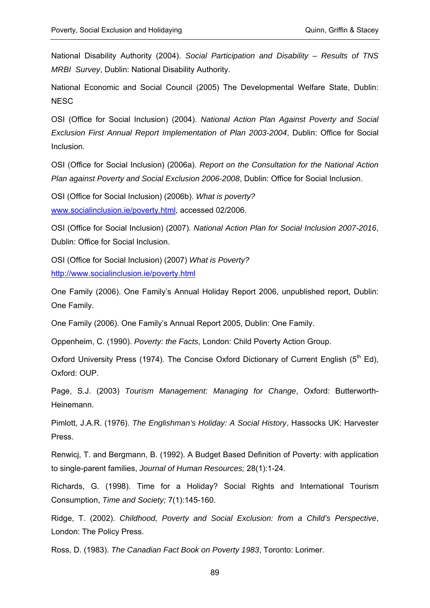National Disability Authority (2004). *Social Participation and Disability – Results of TNS MRBI Survey*, Dublin: National Disability Authority.

National Economic and Social Council (2005) The Developmental Welfare State, Dublin: **NESC** 

OSI (Office for Social Inclusion) (2004). *National Action Plan Against Poverty and Social Exclusion First Annual Report Implementation of Plan 2003-2004*, Dublin: Office for Social Inclusion.

OSI (Office for Social Inclusion) (2006a). *Report on the Consultation for the National Action Plan against Poverty and Social Exclusion 2006-2008*, Dublin: Office for Social Inclusion.

OSI (Office for Social Inclusion) (2006b). *What is poverty?* www.socialinclusion.ie/poverty.html, accessed 02/2006.

OSI (Office for Social Inclusion) (2007). *National Action Plan for Social Inclusion 2007-2016*, Dublin: Office for Social Inclusion.

OSI (Office for Social Inclusion) (2007) *What is Poverty?* http://www.socialinclusion.ie/poverty.html

One Family (2006). One Family's Annual Holiday Report 2006, unpublished report, Dublin: One Family.

One Family (2006). One Family's Annual Report 2005, Dublin: One Family.

Oppenheim, C. (1990). *Poverty: the Facts*, London: Child Poverty Action Group.

Oxford University Press (1974). The Concise Oxford Dictionary of Current English ( $5<sup>th</sup> Ed$ ), Oxford: OUP.

Page, S.J. (2003) *Tourism Management: Managing for Change*, Oxford: Butterworth-Heinemann.

Pimlott, J.A.R. (1976). *The Englishman's Holiday: A Social History*, Hassocks UK: Harvester Press.

Renwicj, T. and Bergmann, B. (1992). A Budget Based Definition of Poverty: with application to single-parent families, *Journal of Human Resources;* 28(1):1-24.

Richards, G. (1998). Time for a Holiday? Social Rights and International Tourism Consumption, *Time and Society;* 7(1):145-160.

Ridge, T. (2002). *Childhood, Poverty and Social Exclusion: from a Child's Perspective*, London: The Policy Press.

Ross, D. (1983). *The Canadian Fact Book on Poverty 1983*, Toronto: Lorimer.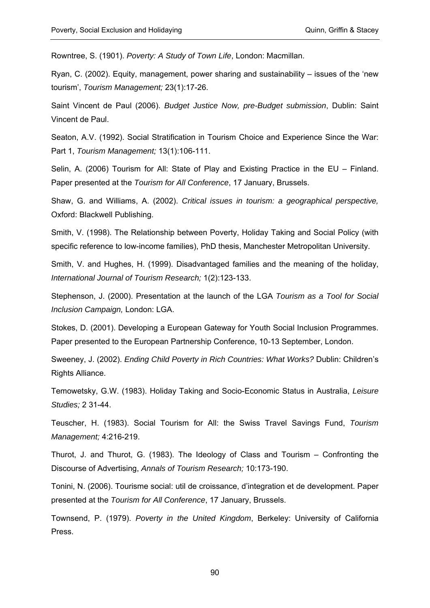Rowntree, S. (1901). *Poverty: A Study of Town Life*, London: Macmillan.

Ryan, C. (2002). Equity, management, power sharing and sustainability – issues of the 'new tourism', *Tourism Management;* 23(1):17-26.

Saint Vincent de Paul (2006). *Budget Justice Now, pre-Budget submission*, Dublin: Saint Vincent de Paul.

Seaton, A.V. (1992). Social Stratification in Tourism Choice and Experience Since the War: Part 1, *Tourism Management;* 13(1):106-111.

Selin, A. (2006) Tourism for All: State of Play and Existing Practice in the EU – Finland. Paper presented at the *Tourism for All Conference*, 17 January, Brussels.

Shaw, G. and Williams, A. (2002). *Critical issues in tourism: a geographical perspective,*  Oxford: Blackwell Publishing.

Smith, V. (1998). The Relationship between Poverty, Holiday Taking and Social Policy (with specific reference to low-income families), PhD thesis, Manchester Metropolitan University.

Smith, V. and Hughes, H. (1999). Disadvantaged families and the meaning of the holiday, *International Journal of Tourism Research;* 1(2):123-133.

Stephenson, J. (2000). Presentation at the launch of the LGA *Tourism as a Tool for Social Inclusion Campaign,* London: LGA.

Stokes, D. (2001). Developing a European Gateway for Youth Social Inclusion Programmes. Paper presented to the European Partnership Conference, 10-13 September, London.

Sweeney, J. (2002). *Ending Child Poverty in Rich Countries: What Works?* Dublin: Children's Rights Alliance.

Temowetsky, G.W. (1983). Holiday Taking and Socio-Economic Status in Australia, *Leisure Studies;* 2 31-44.

Teuscher, H. (1983). Social Tourism for All: the Swiss Travel Savings Fund, *Tourism Management;* 4:216-219.

Thurot, J. and Thurot, G. (1983). The Ideology of Class and Tourism – Confronting the Discourse of Advertising, *Annals of Tourism Research;* 10:173-190.

Tonini, N. (2006). Tourisme social: util de croissance, d'integration et de development. Paper presented at the *Tourism for All Conference*, 17 January, Brussels.

Townsend, P. (1979). *Poverty in the United Kingdom*, Berkeley: University of California Press.

90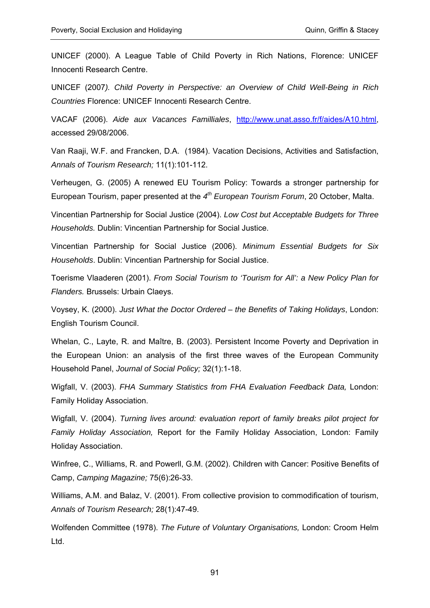UNICEF (2000). A League Table of Child Poverty in Rich Nations, Florence: UNICEF Innocenti Research Centre.

UNICEF (2007*). Child Poverty in Perspective: an Overview of Child Well-Being in Rich Countries* Florence: UNICEF Innocenti Research Centre.

VACAF (2006). *Aide aux Vacances Familliales*, http://www.unat.asso.fr/f/aides/A10.html, accessed 29/08/2006.

Van Raaji, W.F. and Francken, D.A. (1984). Vacation Decisions, Activities and Satisfaction, *Annals of Tourism Research;* 11(1):101-112.

Verheugen, G. (2005) A renewed EU Tourism Policy: Towards a stronger partnership for European Tourism, paper presented at the *4th European Tourism Forum*, 20 October, Malta.

Vincentian Partnership for Social Justice (2004). *Low Cost but Acceptable Budgets for Three Households.* Dublin: Vincentian Partnership for Social Justice.

Vincentian Partnership for Social Justice (2006). *Minimum Essential Budgets for Six Households*. Dublin: Vincentian Partnership for Social Justice.

Toerisme Vlaaderen (2001). *From Social Tourism to 'Tourism for All': a New Policy Plan for Flanders.* Brussels: Urbain Claeys.

Voysey, K. (2000). *Just What the Doctor Ordered – the Benefits of Taking Holidays*, London: English Tourism Council.

Whelan, C., Layte, R. and Maître, B. (2003). Persistent Income Poverty and Deprivation in the European Union: an analysis of the first three waves of the European Community Household Panel, *Journal of Social Policy;* 32(1):1-18.

Wigfall, V. (2003). *FHA Summary Statistics from FHA Evaluation Feedback Data,* London: Family Holiday Association.

Wigfall, V. (2004). *Turning lives around: evaluation report of family breaks pilot project for Family Holiday Association,* Report for the Family Holiday Association, London: Family Holiday Association.

Winfree, C., Williams, R. and Powerll, G.M. (2002). Children with Cancer: Positive Benefits of Camp, *Camping Magazine;* 75(6):26-33.

Williams, A.M. and Balaz, V. (2001). From collective provision to commodification of tourism, *Annals of Tourism Research;* 28(1):47-49.

Wolfenden Committee (1978). *The Future of Voluntary Organisations,* London: Croom Helm Ltd.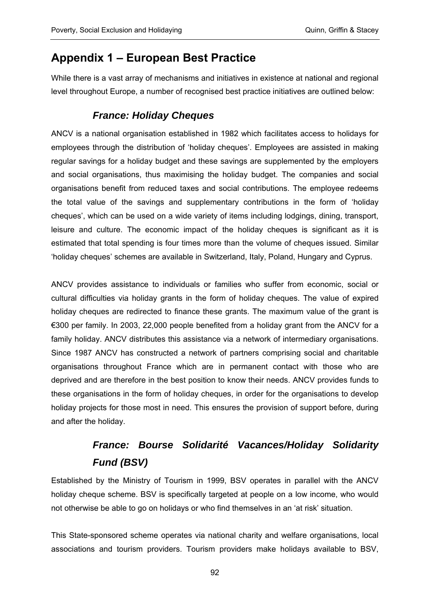## **Appendix 1 – European Best Practice**

While there is a vast array of mechanisms and initiatives in existence at national and regional level throughout Europe, a number of recognised best practice initiatives are outlined below:

### *France: Holiday Cheques*

ANCV is a national organisation established in 1982 which facilitates access to holidays for employees through the distribution of 'holiday cheques'. Employees are assisted in making regular savings for a holiday budget and these savings are supplemented by the employers and social organisations, thus maximising the holiday budget. The companies and social organisations benefit from reduced taxes and social contributions. The employee redeems the total value of the savings and supplementary contributions in the form of 'holiday cheques', which can be used on a wide variety of items including lodgings, dining, transport, leisure and culture. The economic impact of the holiday cheques is significant as it is estimated that total spending is four times more than the volume of cheques issued. Similar 'holiday cheques' schemes are available in Switzerland, Italy, Poland, Hungary and Cyprus.

ANCV provides assistance to individuals or families who suffer from economic, social or cultural difficulties via holiday grants in the form of holiday cheques. The value of expired holiday cheques are redirected to finance these grants. The maximum value of the grant is €300 per family. In 2003, 22,000 people benefited from a holiday grant from the ANCV for a family holiday. ANCV distributes this assistance via a network of intermediary organisations. Since 1987 ANCV has constructed a network of partners comprising social and charitable organisations throughout France which are in permanent contact with those who are deprived and are therefore in the best position to know their needs. ANCV provides funds to these organisations in the form of holiday cheques, in order for the organisations to develop holiday projects for those most in need. This ensures the provision of support before, during and after the holiday.

## *France: Bourse Solidarité Vacances/Holiday Solidarity Fund (BSV)*

Established by the Ministry of Tourism in 1999, BSV operates in parallel with the ANCV holiday cheque scheme. BSV is specifically targeted at people on a low income, who would not otherwise be able to go on holidays or who find themselves in an 'at risk' situation.

This State-sponsored scheme operates via national charity and welfare organisations, local associations and tourism providers. Tourism providers make holidays available to BSV,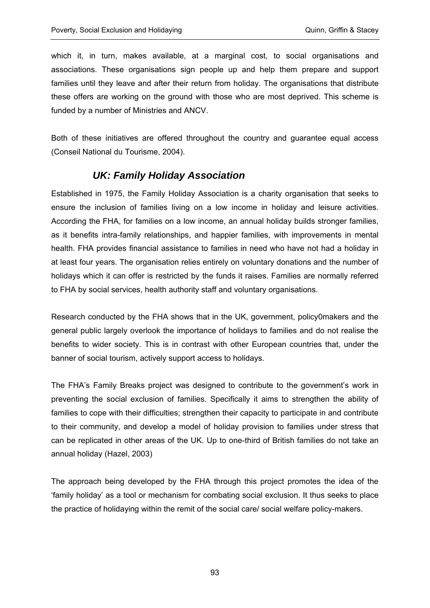which it, in turn, makes available, at a marginal cost, to social organisations and associations. These organisations sign people up and help them prepare and support families until they leave and after their return from holiday. The organisations that distribute these offers are working on the ground with those who are most deprived. This scheme is funded by a number of Ministries and ANCV.

Both of these initiatives are offered throughout the country and guarantee equal access (Conseil National du Tourisme, 2004).

## *UK: Family Holiday Association*

Established in 1975, the Family Holiday Association is a charity organisation that seeks to ensure the inclusion of families living on a low income in holiday and leisure activities. According the FHA, for families on a low income, an annual holiday builds stronger families, as it benefits intra-family relationships, and happier families, with improvements in mental health. FHA provides financial assistance to families in need who have not had a holiday in at least four years. The organisation relies entirely on voluntary donations and the number of holidays which it can offer is restricted by the funds it raises. Families are normally referred to FHA by social services, health authority staff and voluntary organisations.

Research conducted by the FHA shows that in the UK, government, policy0makers and the general public largely overlook the importance of holidays to families and do not realise the benefits to wider society. This is in contrast with other European countries that, under the banner of social tourism, actively support access to holidays.

The FHA's Family Breaks project was designed to contribute to the government's work in preventing the social exclusion of families. Specifically it aims to strengthen the ability of families to cope with their difficulties; strengthen their capacity to participate in and contribute to their community, and develop a model of holiday provision to families under stress that can be replicated in other areas of the UK. Up to one-third of British families do not take an annual holiday (Hazel, 2003)

The approach being developed by the FHA through this project promotes the idea of the 'family holiday' as a tool or mechanism for combating social exclusion. It thus seeks to place the practice of holidaying within the remit of the social care/ social welfare policy-makers.

93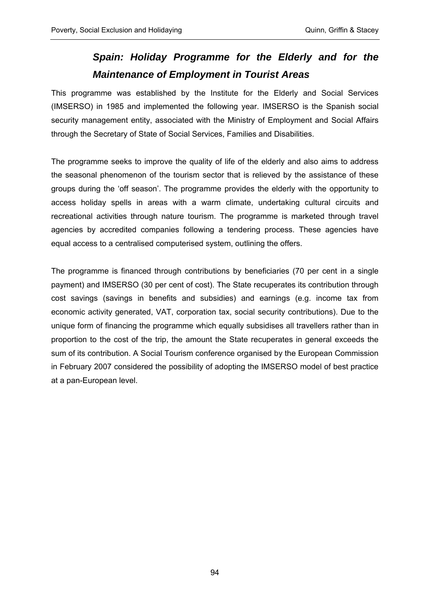# *Spain: Holiday Programme for the Elderly and for the Maintenance of Employment in Tourist Areas*

This programme was established by the Institute for the Elderly and Social Services (IMSERSO) in 1985 and implemented the following year. IMSERSO is the Spanish social security management entity, associated with the Ministry of Employment and Social Affairs through the Secretary of State of Social Services, Families and Disabilities.

The programme seeks to improve the quality of life of the elderly and also aims to address the seasonal phenomenon of the tourism sector that is relieved by the assistance of these groups during the 'off season'. The programme provides the elderly with the opportunity to access holiday spells in areas with a warm climate, undertaking cultural circuits and recreational activities through nature tourism. The programme is marketed through travel agencies by accredited companies following a tendering process. These agencies have equal access to a centralised computerised system, outlining the offers.

The programme is financed through contributions by beneficiaries (70 per cent in a single payment) and IMSERSO (30 per cent of cost). The State recuperates its contribution through cost savings (savings in benefits and subsidies) and earnings (e.g. income tax from economic activity generated, VAT, corporation tax, social security contributions). Due to the unique form of financing the programme which equally subsidises all travellers rather than in proportion to the cost of the trip, the amount the State recuperates in general exceeds the sum of its contribution. A Social Tourism conference organised by the European Commission in February 2007 considered the possibility of adopting the IMSERSO model of best practice at a pan-European level.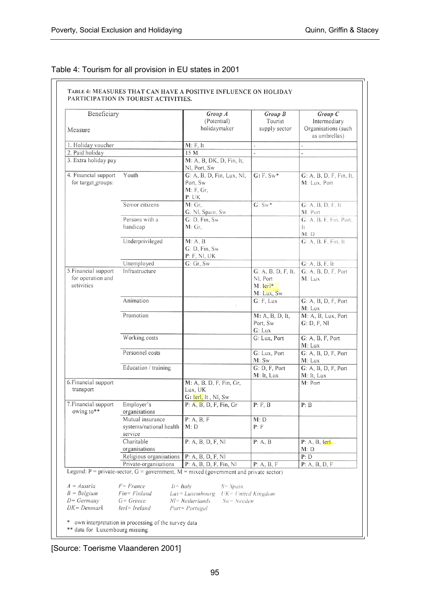### Table 4: Tourism for all provision in EU states in 2001

| Beneficiary<br>Measure                                  |                                                        | Group A<br>(Potential)<br>holidaymaker                                                               | Group B<br>Tourist<br>supply sector                        | Group C<br>Intermediary<br>Organisations (such<br>as umbrellas) |  |
|---------------------------------------------------------|--------------------------------------------------------|------------------------------------------------------------------------------------------------------|------------------------------------------------------------|-----------------------------------------------------------------|--|
| 1. Holiday voucher                                      |                                                        | M: F, It                                                                                             | ÷.                                                         | $\mathbb{Z}^2$                                                  |  |
| 2. Paid holiday                                         |                                                        | 15 M                                                                                                 |                                                            |                                                                 |  |
| 3. Extra holiday pay                                    |                                                        | M: A, B, DK, D, Fin, It,<br>Nl, Port, Sw                                                             |                                                            |                                                                 |  |
| 4. Financial support<br>for target_groups:              | Youth                                                  | G: A, B, D, Fin, Lux, NI,<br>Port, Sw<br>M: F, Gr,<br>P: UK                                          | $G: F, Sw^*$                                               | G: A, B, D, F, Fin, It,<br>M: Lux, Port                         |  |
|                                                         | Senior citizens                                        | $M:$ Gr,<br>G: Nl, Spain, Sw                                                                         | $G: Sw*$                                                   | G: A, B, D, F, It<br>M: Port                                    |  |
|                                                         | Persons with a<br>handicap                             | G: D, Fin, Sw<br>M:Gr.                                                                               |                                                            | G: A, B, F, Fin, Port,<br>Ιt<br>M: D                            |  |
|                                                         | Underprivileged                                        | M: A, B<br>G: D, Fin, Sw<br>P: F, NI, UK                                                             |                                                            | G: A, B, F, Fin, It                                             |  |
|                                                         | Unemployed                                             | G: Gr, Sw                                                                                            |                                                            | G: A, B, F, It                                                  |  |
| 5. Financial support<br>for operation and<br>activities | Infrastructure                                         |                                                                                                      | G: A, B, D, F, It,<br>NI, Port<br>$M:$ lerl*<br>M: Lux, Sw | $G: A, B, D, F, P$ ort<br>M: Lux                                |  |
|                                                         | Animation                                              |                                                                                                      | G: F, Lux                                                  | G: A, B, D, F, Port<br>M: Lux                                   |  |
|                                                         | Promotion                                              |                                                                                                      | M: A, B, D, It,<br>Port, Sw<br>G: Lux                      | M: A, B, Lux, Port<br>G: D, F, N1                               |  |
|                                                         | Working costs                                          |                                                                                                      | G: Lux, Port                                               | G: A, B, F, Port<br>M: Lux                                      |  |
|                                                         | Personnel costs                                        |                                                                                                      | G: Lux, Port<br>$M:$ Sw                                    | G: A, B, D, F, Port<br>M: Lux                                   |  |
|                                                         | Education / training                                   |                                                                                                      | G: D, F, Port<br>$M$ : It, Lux                             | G: A, B, D, F, Port<br>M: It, Lux                               |  |
| 6. Financial support<br>transport                       |                                                        | M: A, B, D, F, Fin, Gr,<br>Lux, UK<br>G: lerl, It, Nl, Sw                                            |                                                            | M: Port                                                         |  |
| 7. Financial support<br>owing to**                      | Employer's<br>organisations                            | P: A, B, D, F, Fin, Gr                                                                               | P: F, B                                                    | P: B                                                            |  |
|                                                         | Mutual insurance<br>systems/national health<br>service | P: A, B, F<br>M: D                                                                                   | M: D<br>P: F                                               |                                                                 |  |
|                                                         | Charitable<br>organisations                            | P: A, B, D, F, NI                                                                                    | P: A, B                                                    | P: A, B, Ier.<br>M: D                                           |  |
|                                                         | Religious organisations                                | P: A, B, D, F, N1                                                                                    |                                                            | P: D                                                            |  |
|                                                         | Private-organisations                                  | P: A, B, D, F, Fin, NI                                                                               | P: A, B, F                                                 | P: A, B, D, F                                                   |  |
|                                                         |                                                        | Legend: $P = private\text{-sector}$ , $G = government$ , $M = mixed$ (government and private sector) |                                                            |                                                                 |  |
| $A = Australia$                                         | $F = France$                                           |                                                                                                      |                                                            |                                                                 |  |
| $B = Belgium$                                           | $Fin = Finland$                                        | $It = Italy$<br>$S = Spain$<br>$Lux = Luxembourg$<br>$UK =$ United Kingdom                           |                                                            |                                                                 |  |
| $D = Germany$                                           | $G = \text{Greec}e$                                    | $Nl = Netherlands$<br>$Sw = Sweden$                                                                  |                                                            |                                                                 |  |
| $DK = Denmark$                                          | $Ierl = Ireland$                                       | Port= Portugal                                                                                       |                                                            |                                                                 |  |

[Source: Toerisme Vlaanderen 2001]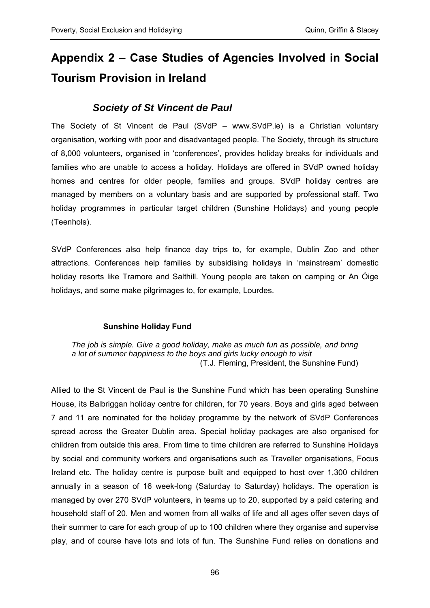# **Appendix 2 – Case Studies of Agencies Involved in Social Tourism Provision in Ireland**

## *Society of St Vincent de Paul*

The Society of St Vincent de Paul (SVdP – www.SVdP.ie) is a Christian voluntary organisation, working with poor and disadvantaged people. The Society, through its structure of 8,000 volunteers, organised in 'conferences', provides holiday breaks for individuals and families who are unable to access a holiday. Holidays are offered in SVdP owned holiday homes and centres for older people, families and groups. SVdP holiday centres are managed by members on a voluntary basis and are supported by professional staff. Two holiday programmes in particular target children (Sunshine Holidays) and young people (Teenhols).

SVdP Conferences also help finance day trips to, for example, Dublin Zoo and other attractions. Conferences help families by subsidising holidays in 'mainstream' domestic holiday resorts like Tramore and Salthill. Young people are taken on camping or An Óige holidays, and some make pilgrimages to, for example, Lourdes.

### **Sunshine Holiday Fund**

*The job is simple. Give a good holiday, make as much fun as possible, and bring a lot of summer happiness to the boys and girls lucky enough to visit*  (T.J. Fleming, President, the Sunshine Fund)

Allied to the St Vincent de Paul is the Sunshine Fund which has been operating Sunshine House, its Balbriggan holiday centre for children, for 70 years. Boys and girls aged between 7 and 11 are nominated for the holiday programme by the network of SVdP Conferences spread across the Greater Dublin area. Special holiday packages are also organised for children from outside this area. From time to time children are referred to Sunshine Holidays by social and community workers and organisations such as Traveller organisations, Focus Ireland etc. The holiday centre is purpose built and equipped to host over 1,300 children annually in a season of 16 week-long (Saturday to Saturday) holidays. The operation is managed by over 270 SVdP volunteers, in teams up to 20, supported by a paid catering and household staff of 20. Men and women from all walks of life and all ages offer seven days of their summer to care for each group of up to 100 children where they organise and supervise play, and of course have lots and lots of fun. The Sunshine Fund relies on donations and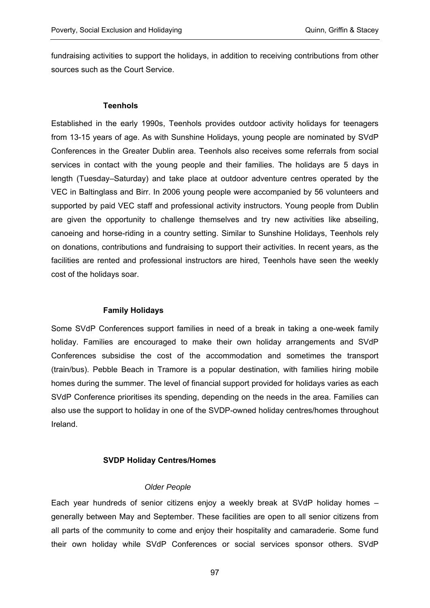fundraising activities to support the holidays, in addition to receiving contributions from other sources such as the Court Service.

### **Teenhols**

Established in the early 1990s, Teenhols provides outdoor activity holidays for teenagers from 13-15 years of age. As with Sunshine Holidays, young people are nominated by SVdP Conferences in the Greater Dublin area. Teenhols also receives some referrals from social services in contact with the young people and their families. The holidays are 5 days in length (Tuesday–Saturday) and take place at outdoor adventure centres operated by the VEC in Baltinglass and Birr. In 2006 young people were accompanied by 56 volunteers and supported by paid VEC staff and professional activity instructors. Young people from Dublin are given the opportunity to challenge themselves and try new activities like abseiling, canoeing and horse-riding in a country setting. Similar to Sunshine Holidays, Teenhols rely on donations, contributions and fundraising to support their activities. In recent years, as the facilities are rented and professional instructors are hired, Teenhols have seen the weekly cost of the holidays soar.

### **Family Holidays**

Some SVdP Conferences support families in need of a break in taking a one-week family holiday. Families are encouraged to make their own holiday arrangements and SVdP Conferences subsidise the cost of the accommodation and sometimes the transport (train/bus). Pebble Beach in Tramore is a popular destination, with families hiring mobile homes during the summer. The level of financial support provided for holidays varies as each SVdP Conference prioritises its spending, depending on the needs in the area. Families can also use the support to holiday in one of the SVDP-owned holiday centres/homes throughout Ireland.

### **SVDP Holiday Centres/Homes**

#### *Older People*

Each year hundreds of senior citizens enjoy a weekly break at SVdP holiday homes – generally between May and September. These facilities are open to all senior citizens from all parts of the community to come and enjoy their hospitality and camaraderie. Some fund their own holiday while SVdP Conferences or social services sponsor others. SVdP

97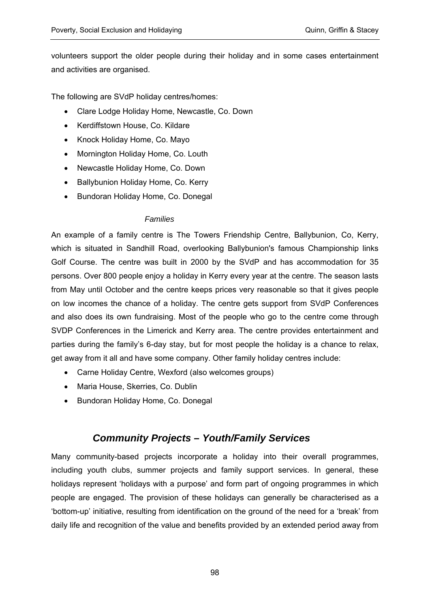volunteers support the older people during their holiday and in some cases entertainment and activities are organised.

The following are SVdP holiday centres/homes:

- Clare Lodge Holiday Home, Newcastle, Co. Down
- Kerdiffstown House, Co. Kildare
- Knock Holiday Home, Co. Mayo
- Mornington Holiday Home, Co. Louth
- Newcastle Holiday Home, Co. Down
- Ballybunion Holiday Home, Co. Kerry
- Bundoran Holiday Home, Co. Donegal

### *Families*

An example of a family centre is The Towers Friendship Centre, Ballybunion, Co, Kerry, which is situated in Sandhill Road, overlooking Ballybunion's famous Championship links Golf Course. The centre was built in 2000 by the SVdP and has accommodation for 35 persons. Over 800 people enjoy a holiday in Kerry every year at the centre. The season lasts from May until October and the centre keeps prices very reasonable so that it gives people on low incomes the chance of a holiday. The centre gets support from SVdP Conferences and also does its own fundraising. Most of the people who go to the centre come through SVDP Conferences in the Limerick and Kerry area. The centre provides entertainment and parties during the family's 6-day stay, but for most people the holiday is a chance to relax, get away from it all and have some company. Other family holiday centres include:

- Carne Holiday Centre, Wexford (also welcomes groups)
- Maria House, Skerries, Co. Dublin
- Bundoran Holiday Home, Co. Donegal

### *Community Projects – Youth/Family Services*

Many community-based projects incorporate a holiday into their overall programmes, including youth clubs, summer projects and family support services. In general, these holidays represent 'holidays with a purpose' and form part of ongoing programmes in which people are engaged. The provision of these holidays can generally be characterised as a 'bottom-up' initiative, resulting from identification on the ground of the need for a 'break' from daily life and recognition of the value and benefits provided by an extended period away from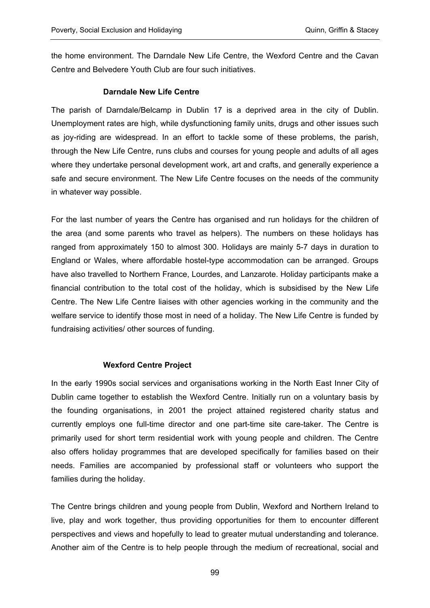the home environment. The Darndale New Life Centre, the Wexford Centre and the Cavan Centre and Belvedere Youth Club are four such initiatives.

### **Darndale New Life Centre**

The parish of Darndale/Belcamp in Dublin 17 is a deprived area in the city of Dublin. Unemployment rates are high, while dysfunctioning family units, drugs and other issues such as joy-riding are widespread. In an effort to tackle some of these problems, the parish, through the New Life Centre, runs clubs and courses for young people and adults of all ages where they undertake personal development work, art and crafts, and generally experience a safe and secure environment. The New Life Centre focuses on the needs of the community in whatever way possible.

For the last number of years the Centre has organised and run holidays for the children of the area (and some parents who travel as helpers). The numbers on these holidays has ranged from approximately 150 to almost 300. Holidays are mainly 5-7 days in duration to England or Wales, where affordable hostel-type accommodation can be arranged. Groups have also travelled to Northern France, Lourdes, and Lanzarote. Holiday participants make a financial contribution to the total cost of the holiday, which is subsidised by the New Life Centre. The New Life Centre liaises with other agencies working in the community and the welfare service to identify those most in need of a holiday. The New Life Centre is funded by fundraising activities/ other sources of funding.

#### **Wexford Centre Project**

In the early 1990s social services and organisations working in the North East Inner City of Dublin came together to establish the Wexford Centre. Initially run on a voluntary basis by the founding organisations, in 2001 the project attained registered charity status and currently employs one full-time director and one part-time site care-taker. The Centre is primarily used for short term residential work with young people and children. The Centre also offers holiday programmes that are developed specifically for families based on their needs. Families are accompanied by professional staff or volunteers who support the families during the holiday.

The Centre brings children and young people from Dublin, Wexford and Northern Ireland to live, play and work together, thus providing opportunities for them to encounter different perspectives and views and hopefully to lead to greater mutual understanding and tolerance. Another aim of the Centre is to help people through the medium of recreational, social and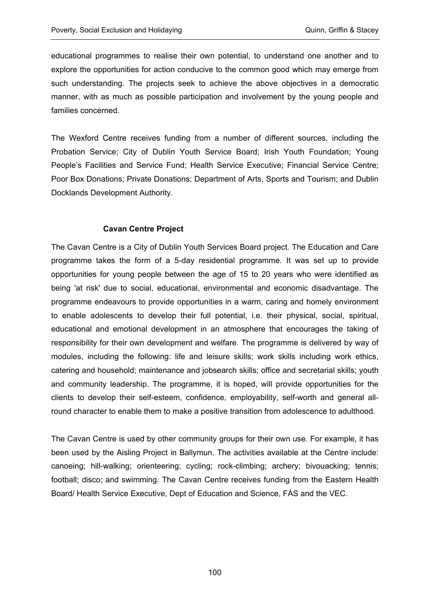educational programmes to realise their own potential, to understand one another and to explore the opportunities for action conducive to the common good which may emerge from such understanding. The projects seek to achieve the above objectives in a democratic manner, with as much as possible participation and involvement by the young people and families concerned.

The Wexford Centre receives funding from a number of different sources, including the Probation Service; City of Dublin Youth Service Board; Irish Youth Foundation; Young People's Facilities and Service Fund; Health Service Executive; Financial Service Centre; Poor Box Donations; Private Donations; Department of Arts, Sports and Tourism; and Dublin Docklands Development Authority.

### **Cavan Centre Project**

The Cavan Centre is a City of Dublin Youth Services Board project. The Education and Care programme takes the form of a 5-day residential programme. It was set up to provide opportunities for young people between the age of 15 to 20 years who were identified as being 'at risk' due to social, educational, environmental and economic disadvantage. The programme endeavours to provide opportunities in a warm, caring and homely environment to enable adolescents to develop their full potential, i.e. their physical, social, spiritual, educational and emotional development in an atmosphere that encourages the taking of responsibility for their own development and welfare. The programme is delivered by way of modules, including the following: life and leisure skills; work skills including work ethics, catering and household; maintenance and jobsearch skills; office and secretarial skills; youth and community leadership. The programme, it is hoped, will provide opportunities for the clients to develop their self-esteem, confidence, employability, self-worth and general allround character to enable them to make a positive transition from adolescence to adulthood.

The Cavan Centre is used by other community groups for their own use. For example, it has been used by the Aisling Project in Ballymun. The activities available at the Centre include: canoeing; hill-walking; orienteering; cycling; rock-climbing; archery; bivouacking; tennis; football; disco; and swimming. The Cavan Centre receives funding from the Eastern Health Board/ Health Service Executive, Dept of Education and Science, FÁS and the VEC.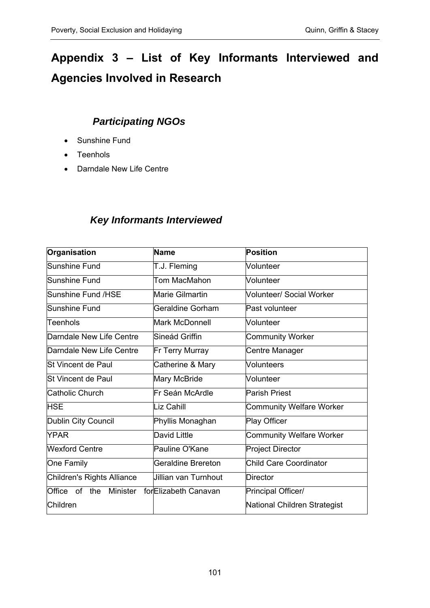# **Appendix 3 – List of Key Informants Interviewed and Agencies Involved in Research**

## *Participating NGOs*

- Sunshine Fund
- Teenhols
- Darndale New Life Centre

## *Key Informants Interviewed*

| Organisation               | <b>Name</b>          | Position                        |
|----------------------------|----------------------|---------------------------------|
| Sunshine Fund              | T.J. Fleming         | Volunteer                       |
| Sunshine Fund              | Tom MacMahon         | Volunteer                       |
| Sunshine Fund /HSE         | Marie Gilmartin      | <b>Volunteer/ Social Worker</b> |
| Sunshine Fund              | Geraldine Gorham     | Past volunteer                  |
| Teenhols                   | Mark McDonnell       | Volunteer                       |
| Darndale New Life Centre   | Sineád Griffin       | <b>Community Worker</b>         |
| Darndale New Life Centre   | Fr Terry Murray      | Centre Manager                  |
| <b>St Vincent de Paul</b>  | Catherine & Mary     | Volunteers                      |
| <b>St Vincent de Paul</b>  | Mary McBride         | Volunteer                       |
| <b>Catholic Church</b>     | lFr Seán McArdle     | Parish Priest                   |
| <b>HSE</b>                 | Liz Cahill           | <b>Community Welfare Worker</b> |
| Dublin City Council        | Phyllis Monaghan     | <b>Play Officer</b>             |
| <b>YPAR</b>                | David Little         | <b>Community Welfare Worker</b> |
| <b>Wexford Centre</b>      | Pauline O'Kane       | <b>Project Director</b>         |
| One Family                 | Geraldine Brereton   | <b>Child Care Coordinator</b>   |
| Children's Rights Alliance | Uillian van Turnhout | Director                        |
| Office of the Minister     | forElizabeth Canavan | Principal Officer/              |
| Children                   |                      | National Children Strategist    |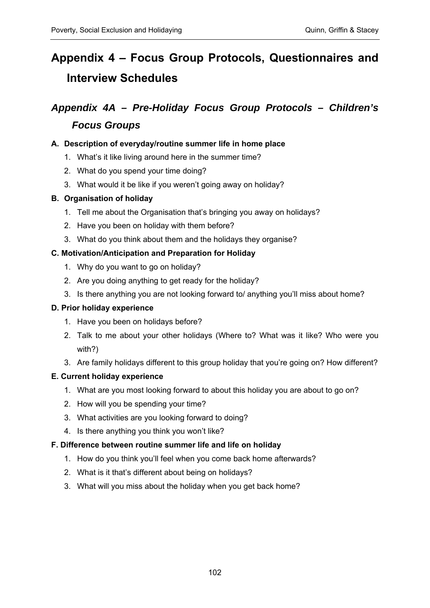# **Appendix 4 – Focus Group Protocols, Questionnaires and Interview Schedules**

### *Appendix 4A – Pre-Holiday Focus Group Protocols – Children's Focus Groups*

#### **A. Description of everyday/routine summer life in home place**

- 1. What's it like living around here in the summer time?
- 2. What do you spend your time doing?
- 3. What would it be like if you weren't going away on holiday?

#### **B. Organisation of holiday**

- 1. Tell me about the Organisation that's bringing you away on holidays?
- 2. Have you been on holiday with them before?
- 3. What do you think about them and the holidays they organise?

#### **C. Motivation/Anticipation and Preparation for Holiday**

- 1. Why do you want to go on holiday?
- 2. Are you doing anything to get ready for the holiday?
- 3. Is there anything you are not looking forward to/ anything you'll miss about home?

#### **D. Prior holiday experience**

- 1. Have you been on holidays before?
- 2. Talk to me about your other holidays (Where to? What was it like? Who were you with?)
- 3. Are family holidays different to this group holiday that you're going on? How different?

#### **E. Current holiday experience**

- 1. What are you most looking forward to about this holiday you are about to go on?
- 2. How will you be spending your time?
- 3. What activities are you looking forward to doing?
- 4. Is there anything you think you won't like?

#### **F. Difference between routine summer life and life on holiday**

- 1. How do you think you'll feel when you come back home afterwards?
- 2. What is it that's different about being on holidays?
- 3. What will you miss about the holiday when you get back home?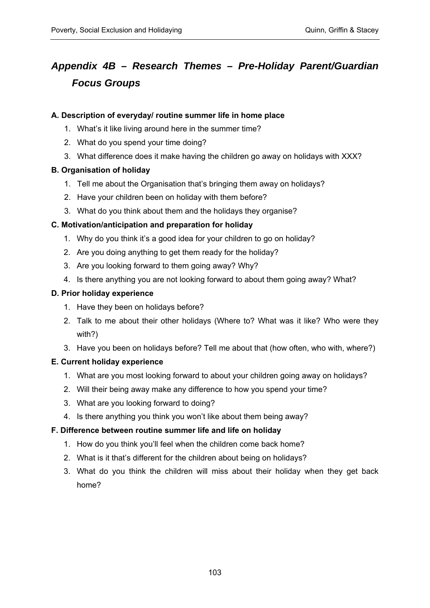## *Appendix 4B – Research Themes – Pre-Holiday Parent/Guardian Focus Groups*

#### **A. Description of everyday/ routine summer life in home place**

- 1. What's it like living around here in the summer time?
- 2. What do you spend your time doing?
- 3. What difference does it make having the children go away on holidays with XXX?

#### **B. Organisation of holiday**

- 1. Tell me about the Organisation that's bringing them away on holidays?
- 2. Have your children been on holiday with them before?
- 3. What do you think about them and the holidays they organise?

#### **C. Motivation/anticipation and preparation for holiday**

- 1. Why do you think it's a good idea for your children to go on holiday?
- 2. Are you doing anything to get them ready for the holiday?
- 3. Are you looking forward to them going away? Why?
- 4. Is there anything you are not looking forward to about them going away? What?

#### **D. Prior holiday experience**

- 1. Have they been on holidays before?
- 2. Talk to me about their other holidays (Where to? What was it like? Who were they with?)
- 3. Have you been on holidays before? Tell me about that (how often, who with, where?)

#### **E. Current holiday experience**

- 1. What are you most looking forward to about your children going away on holidays?
- 2. Will their being away make any difference to how you spend your time?
- 3. What are you looking forward to doing?
- 4. Is there anything you think you won't like about them being away?

#### **F. Difference between routine summer life and life on holiday**

- 1. How do you think you'll feel when the children come back home?
- 2. What is it that's different for the children about being on holidays?
- 3. What do you think the children will miss about their holiday when they get back home?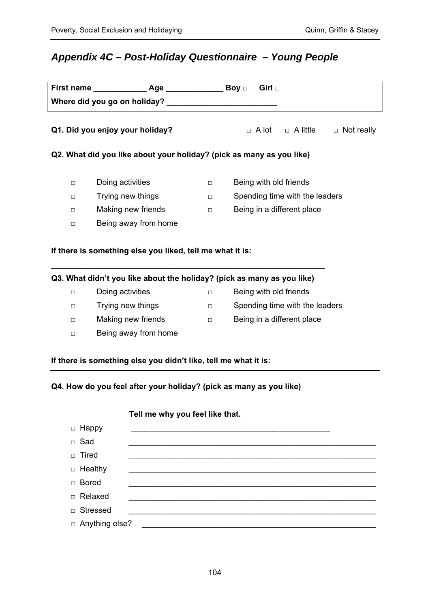### *Appendix 4C – Post-Holiday Questionnaire – Young People*

|                                                                        |                                 | Girl $\Box$                                          |  |  |  |  |  |
|------------------------------------------------------------------------|---------------------------------|------------------------------------------------------|--|--|--|--|--|
| Where did you go on holiday?                                           |                                 |                                                      |  |  |  |  |  |
|                                                                        |                                 |                                                      |  |  |  |  |  |
|                                                                        | Q1. Did you enjoy your holiday? | $\Box$ Not really<br>$\Box$ A lot<br>$\Box$ A little |  |  |  |  |  |
|                                                                        |                                 |                                                      |  |  |  |  |  |
| Q2. What did you like about your holiday? (pick as many as you like)   |                                 |                                                      |  |  |  |  |  |
| $\Box$                                                                 | Doing activities<br>$\Box$      | Being with old friends                               |  |  |  |  |  |
| $\Box$                                                                 | Trying new things<br>$\Box$     | Spending time with the leaders                       |  |  |  |  |  |
| $\Box$                                                                 | Making new friends<br>$\Box$    | Being in a different place                           |  |  |  |  |  |
| $\Box$                                                                 | Being away from home            |                                                      |  |  |  |  |  |
| If there is something else you liked, tell me what it is:              |                                 |                                                      |  |  |  |  |  |
|                                                                        |                                 |                                                      |  |  |  |  |  |
| Q3. What didn't you like about the holiday? (pick as many as you like) |                                 |                                                      |  |  |  |  |  |
| $\Box$                                                                 | Doing activities<br>$\Box$      | Being with old friends                               |  |  |  |  |  |
| $\Box$                                                                 | Trying new things<br>$\Box$     | Spending time with the leaders                       |  |  |  |  |  |
| $\Box$                                                                 | Making new friends<br>$\Box$    | Being in a different place                           |  |  |  |  |  |
| $\Box$                                                                 | Being away from home            |                                                      |  |  |  |  |  |
|                                                                        |                                 |                                                      |  |  |  |  |  |

**If there is something else you didn't like, tell me what it is:**

**Q4. How do you feel after your holiday? (pick as many as you like)** 

#### **Tell me why you feel like that.**

| $\Box$ Happy     |  |
|------------------|--|
| $\Box$ Sad       |  |
| $\Box$ Tired     |  |
| $\Box$ Healthy   |  |
| □ Bored          |  |
| $\Box$ Relaxed   |  |
| □ Stressed       |  |
| □ Anything else? |  |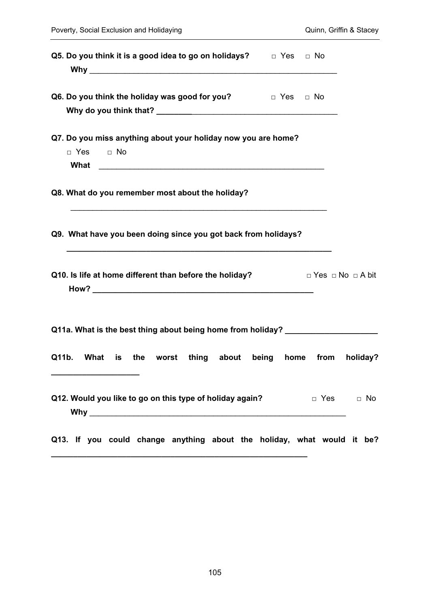| Q5. Do you think it is a good idea to go on holidays? $\Box$ Yes                         |            | $\Box$ No |                                   |
|------------------------------------------------------------------------------------------|------------|-----------|-----------------------------------|
| Q6. Do you think the holiday was good for you? $\Box$ Yes $\Box$ No                      |            |           |                                   |
| Q7. Do you miss anything about your holiday now you are home?<br>$\Box$ No<br>$\Box$ Yes |            |           |                                   |
| Q8. What do you remember most about the holiday?                                         |            |           |                                   |
| Q9. What have you been doing since you got back from holidays?                           |            |           |                                   |
| Q10. Is life at home different than before the holiday?                                  |            |           | $\Box$ Yes $\Box$ No $\Box$ A bit |
| Q11a. What is the best thing about being home from holiday? ____________________         |            |           |                                   |
| What<br>worst thing about<br>Q11b.<br>the<br>is i                                        | being home | from      | holiday?                          |
| Q12. Would you like to go on this type of holiday again?                                 |            |           | $\Box$ Yes $\Box$ No              |
| Q13. If you could change anything about the holiday, what would it be?                   |            |           |                                   |

**\_\_\_\_\_\_\_\_\_\_\_\_\_\_\_\_\_\_\_\_\_\_\_\_\_\_\_\_\_\_\_\_\_\_\_\_\_\_\_\_\_\_\_\_\_\_\_\_\_\_\_\_\_\_\_\_\_\_**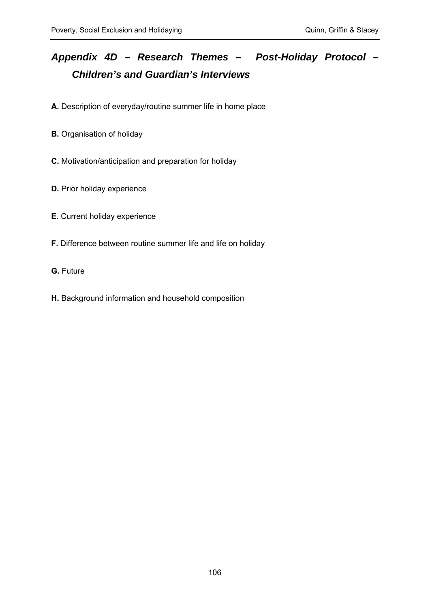## *Appendix 4D – Research Themes – Post-Holiday Protocol – Children's and Guardian's Interviews*

- **A.** Description of everyday/routine summer life in home place
- **B.** Organisation of holiday
- **C.** Motivation/anticipation and preparation for holiday
- **D.** Prior holiday experience
- **E.** Current holiday experience
- **F.** Difference between routine summer life and life on holiday
- **G.** Future
- **H.** Background information and household composition